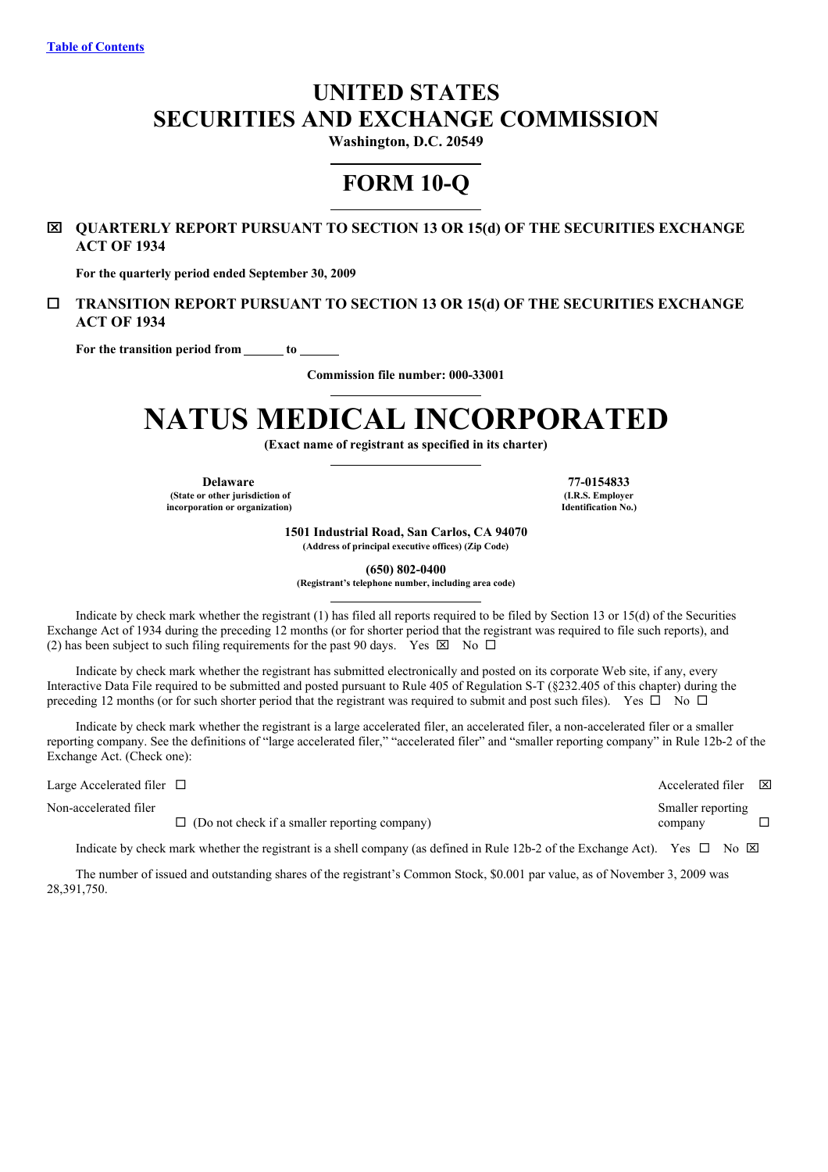# <span id="page-0-0"></span>**UNITED STATES SECURITIES AND EXCHANGE COMMISSION**

**Washington, D.C. 20549**

# **FORM 10-Q**

# x **QUARTERLY REPORT PURSUANT TO SECTION 13 OR 15(d) OF THE SECURITIES EXCHANGE ACT OF 1934**

**For the quarterly period ended September 30, 2009**

# ¨ **TRANSITION REPORT PURSUANT TO SECTION 13 OR 15(d) OF THE SECURITIES EXCHANGE ACT OF 1934**

**For the transition period from to**

**Commission file number: 000-33001**

# **NATUS MEDICAL INCORPORATED**

**(Exact name of registrant as specified in its charter)**

**Delaware 77-0154833 (State or other jurisdiction of incorporation or organization)**

**(I.R.S. Employer Identification No.)**

**1501 Industrial Road, San Carlos, CA 94070 (Address of principal executive offices) (Zip Code)**

**(650) 802-0400**

**(Registrant's telephone number, including area code)**

Indicate by check mark whether the registrant (1) has filed all reports required to be filed by Section 13 or 15(d) of the Securities Exchange Act of 1934 during the preceding 12 months (or for shorter period that the registrant was required to file such reports), and (2) has been subject to such filing requirements for the past 90 days. Yes  $\boxtimes$  No  $\Box$ 

Indicate by check mark whether the registrant has submitted electronically and posted on its corporate Web site, if any, every Interactive Data File required to be submitted and posted pursuant to Rule 405 of Regulation S-T (§232.405 of this chapter) during the preceding 12 months (or for such shorter period that the registrant was required to submit and post such files). Yes  $\Box$  No  $\Box$ 

Indicate by check mark whether the registrant is a large accelerated filer, an accelerated filer, a non-accelerated filer or a smaller reporting company. See the definitions of "large accelerated filer," "accelerated filer" and "smaller reporting company" in Rule 12b-2 of the Exchange Act. (Check one):

Large Accelerated filer  $\Box$ Non-accelerated filer  $\square$  (Do not check if a smaller reporting company) Smaller reporting  $company$   $\Box$ 

Indicate by check mark whether the registrant is a shell company (as defined in Rule 12b-2 of the Exchange Act). Yes  $\Box$  No  $\boxtimes$ 

The number of issued and outstanding shares of the registrant's Common Stock, \$0.001 par value, as of November 3, 2009 was 28,391,750.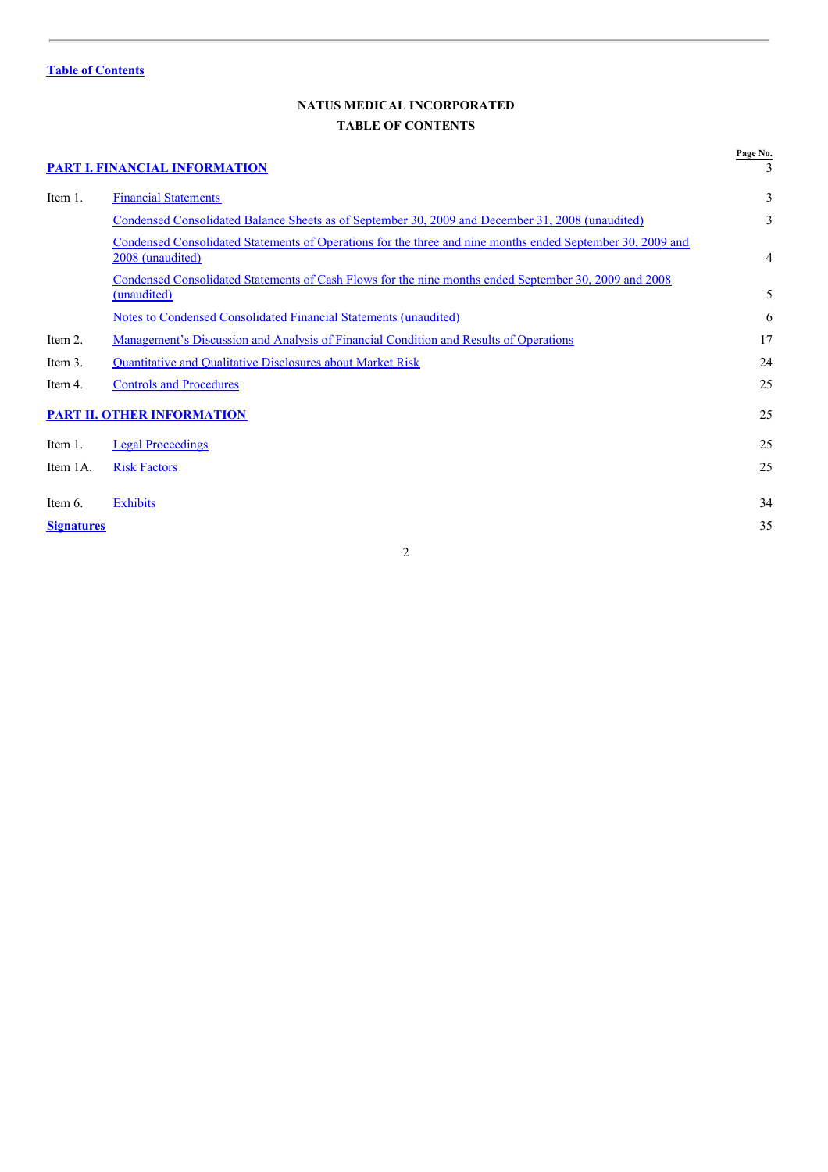# **NATUS MEDICAL INCORPORATED TABLE OF CONTENTS**

|                   | <b>PART I. FINANCIAL INFORMATION</b>                                                                                           | Page No.<br>3 |
|-------------------|--------------------------------------------------------------------------------------------------------------------------------|---------------|
| Item 1.           | <b>Financial Statements</b>                                                                                                    | 3             |
|                   | Condensed Consolidated Balance Sheets as of September 30, 2009 and December 31, 2008 (unaudited)                               | 3             |
|                   | Condensed Consolidated Statements of Operations for the three and nine months ended September 30, 2009 and<br>2008 (unaudited) | 4             |
|                   | Condensed Consolidated Statements of Cash Flows for the nine months ended September 30, 2009 and 2008<br>(unaudited)           | 5             |
|                   | Notes to Condensed Consolidated Financial Statements (unaudited)                                                               | 6             |
| Item 2.           | Management's Discussion and Analysis of Financial Condition and Results of Operations                                          | 17            |
| Item 3.           | Quantitative and Qualitative Disclosures about Market Risk                                                                     | 24            |
| Item 4.           | <b>Controls and Procedures</b>                                                                                                 | 25            |
|                   | <b>PART II. OTHER INFORMATION</b>                                                                                              | 25            |
| Item 1.           | <b>Legal Proceedings</b>                                                                                                       | 25            |
| Item 1A.          | <b>Risk Factors</b>                                                                                                            | 25            |
| Item 6.           | <b>Exhibits</b>                                                                                                                | 34            |
| <b>Signatures</b> |                                                                                                                                | 35            |
|                   | 2                                                                                                                              |               |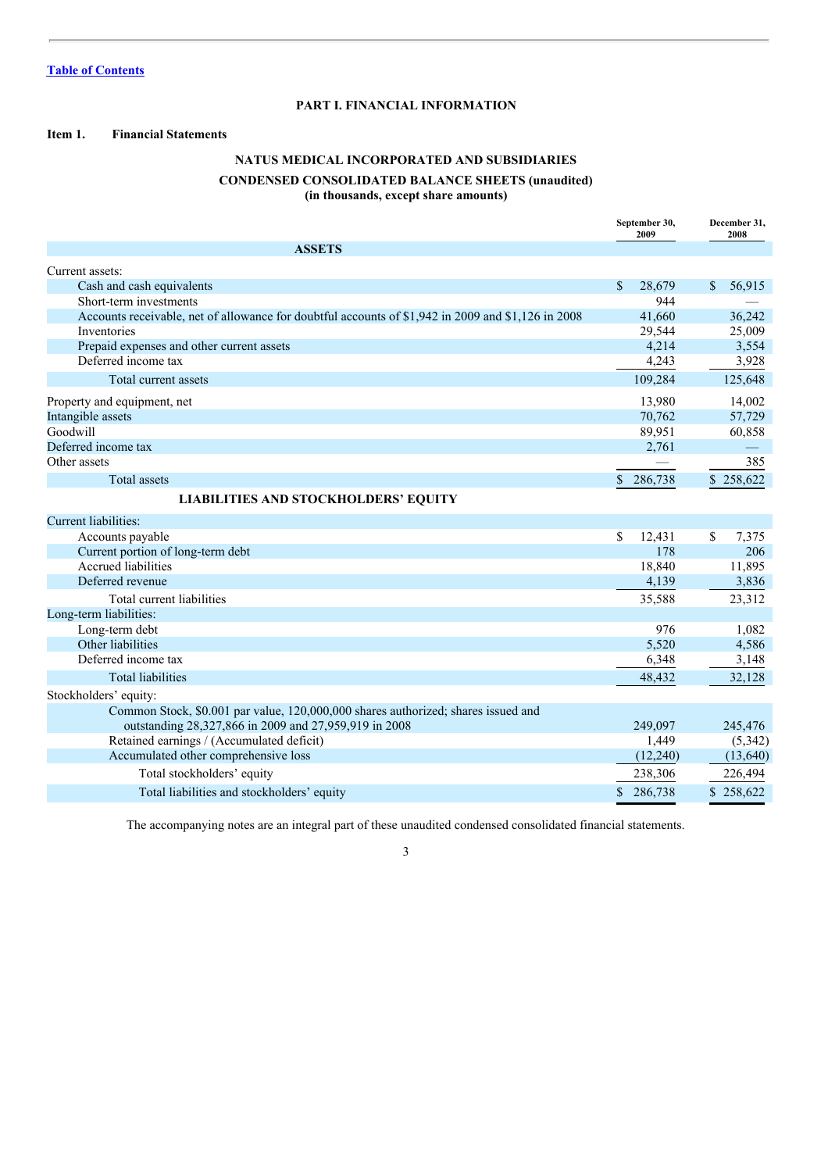# **PART I. FINANCIAL INFORMATION**

# **Item 1. Financial Statements**

# **NATUS MEDICAL INCORPORATED AND SUBSIDIARIES CONDENSED CONSOLIDATED BALANCE SHEETS (unaudited) (in thousands, except share amounts)**

|                                                                                                    | September 30,<br>2009  | December 31,<br>2008   |
|----------------------------------------------------------------------------------------------------|------------------------|------------------------|
| <b>ASSETS</b>                                                                                      |                        |                        |
| Current assets:                                                                                    |                        |                        |
| Cash and cash equivalents                                                                          | $\mathbb{S}$<br>28,679 | $\mathbb{S}$<br>56.915 |
| Short-term investments                                                                             | 944                    |                        |
| Accounts receivable, net of allowance for doubtful accounts of \$1,942 in 2009 and \$1,126 in 2008 | 41,660                 | 36,242                 |
| <b>Inventories</b>                                                                                 | 29,544                 | 25,009                 |
| Prepaid expenses and other current assets                                                          | 4,214                  | 3,554                  |
| Deferred income tax                                                                                | 4,243                  | 3,928                  |
| Total current assets                                                                               | 109,284                | 125,648                |
| Property and equipment, net                                                                        | 13,980                 | 14,002                 |
| Intangible assets                                                                                  | 70,762                 | 57,729                 |
| Goodwill                                                                                           | 89,951                 | 60,858                 |
| Deferred income tax                                                                                | 2,761                  |                        |
| Other assets                                                                                       |                        | 385                    |
| <b>Total assets</b>                                                                                | 286,738                | \$258,622              |
| <b>LIABILITIES AND STOCKHOLDERS' EQUITY</b>                                                        |                        |                        |
| <b>Current liabilities:</b>                                                                        |                        |                        |
| Accounts payable                                                                                   | \$<br>12,431           | S.<br>7,375            |
| Current portion of long-term debt                                                                  | 178                    | 206                    |
| <b>Accrued liabilities</b>                                                                         | 18,840                 | 11,895                 |
| Deferred revenue                                                                                   | 4,139                  | 3,836                  |
| Total current liabilities                                                                          | 35,588                 | 23,312                 |
| Long-term liabilities:                                                                             |                        |                        |
| Long-term debt                                                                                     | 976                    | 1,082                  |
| Other liabilities                                                                                  | 5,520                  | 4,586                  |
| Deferred income tax                                                                                | 6,348                  | 3,148                  |
| <b>Total liabilities</b>                                                                           | 48,432                 | 32,128                 |
| Stockholders' equity:                                                                              |                        |                        |
| Common Stock, \$0.001 par value, 120,000,000 shares authorized; shares issued and                  |                        |                        |
| outstanding 28,327,866 in 2009 and 27,959,919 in 2008                                              | 249,097                | 245,476                |
| Retained earnings / (Accumulated deficit)                                                          | 1,449                  | (5, 342)               |
| Accumulated other comprehensive loss                                                               | (12,240)               | (13, 640)              |
| Total stockholders' equity                                                                         | 238,306                | 226,494                |
| Total liabilities and stockholders' equity                                                         | \$286,738              | \$258,622              |
|                                                                                                    |                        |                        |

The accompanying notes are an integral part of these unaudited condensed consolidated financial statements.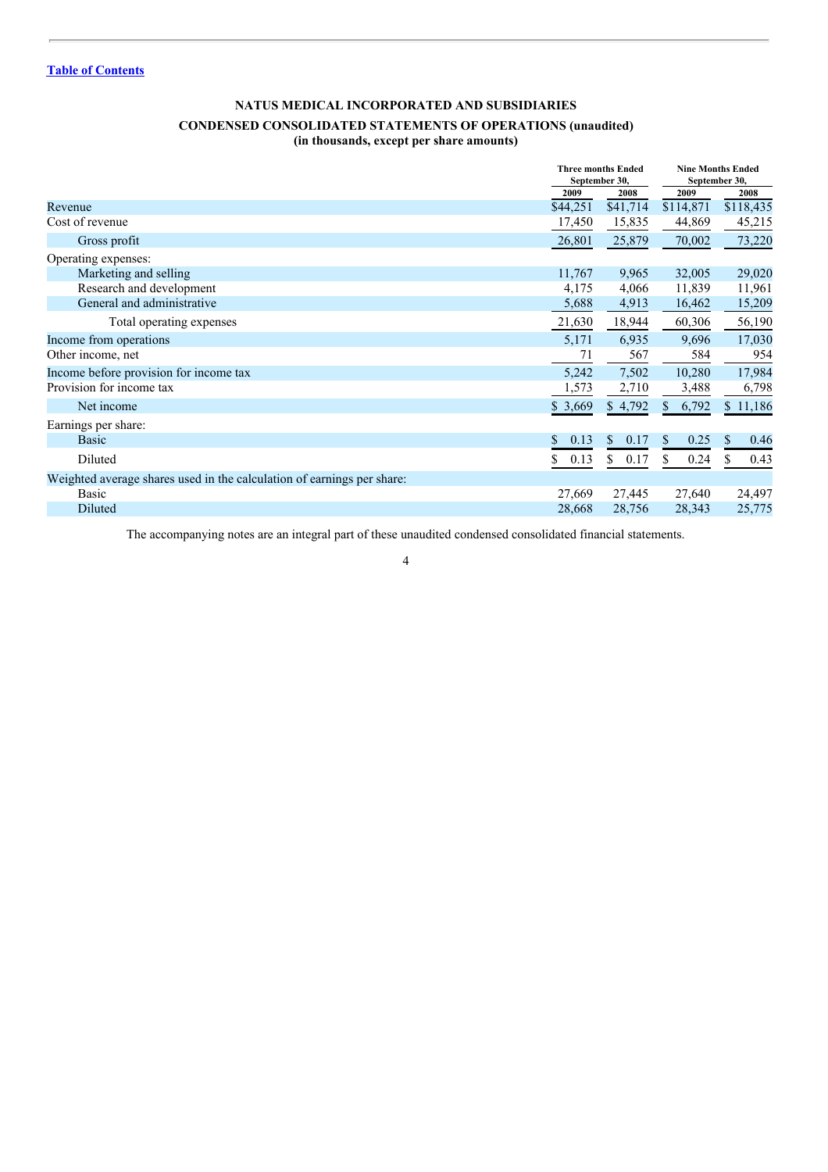# **CONDENSED CONSOLIDATED STATEMENTS OF OPERATIONS (unaudited) (in thousands, except per share amounts)**

|                                                                        |          | <b>Three months Ended</b><br>September 30, |             | <b>Nine Months Ended</b><br>September 30, |
|------------------------------------------------------------------------|----------|--------------------------------------------|-------------|-------------------------------------------|
|                                                                        | 2009     | 2008                                       | 2009        | 2008                                      |
| Revenue                                                                | \$44,251 | \$41,714                                   | \$114,871   | \$118,435                                 |
| Cost of revenue                                                        | 17,450   | 15,835                                     | 44,869      | 45,215                                    |
| Gross profit                                                           | 26,801   | 25,879                                     | 70,002      | 73,220                                    |
| Operating expenses:                                                    |          |                                            |             |                                           |
| Marketing and selling                                                  | 11,767   | 9,965                                      | 32,005      | 29,020                                    |
| Research and development                                               | 4,175    | 4,066                                      | 11,839      | 11,961                                    |
| General and administrative                                             | 5,688    | 4,913                                      | 16,462      | 15,209                                    |
| Total operating expenses                                               | 21,630   | 18,944                                     | 60,306      | 56,190                                    |
| Income from operations                                                 | 5,171    | 6,935                                      | 9,696       | 17,030                                    |
| Other income, net                                                      | 71       | 567                                        | 584         | 954                                       |
| Income before provision for income tax                                 | 5,242    | 7,502                                      | 10,280      | 17,984                                    |
| Provision for income tax                                               | 1,573    | 2,710                                      | 3,488       | 6,798                                     |
| Net income                                                             | \$3,669  | \$4,792                                    | 6,792<br>S. | \$11,186                                  |
| Earnings per share:                                                    |          |                                            |             |                                           |
| <b>Basic</b>                                                           | 0.13     | \$<br>0.17                                 | 0.25        | S<br>0.46                                 |
| Diluted                                                                | 0.13     | \$<br>0.17                                 | 0.24<br>S   | 0.43                                      |
| Weighted average shares used in the calculation of earnings per share: |          |                                            |             |                                           |
| Basic                                                                  | 27,669   | 27,445                                     | 27,640      | 24,497                                    |
| Diluted                                                                | 28,668   | 28,756                                     | 28,343      | 25,775                                    |

The accompanying notes are an integral part of these unaudited condensed consolidated financial statements.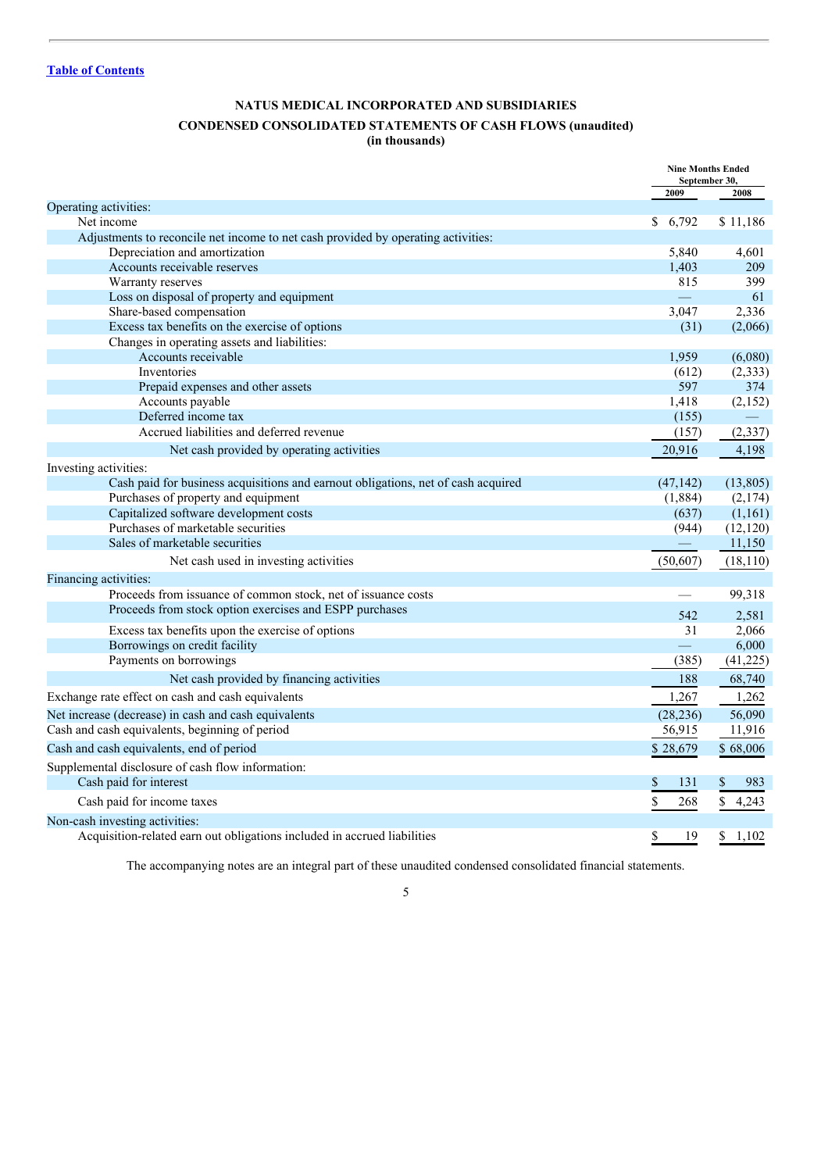# **NATUS MEDICAL INCORPORATED AND SUBSIDIARIES CONDENSED CONSOLIDATED STATEMENTS OF CASH FLOWS (unaudited)**

# **(in thousands)**

|                                                                                                                    | <b>Nine Months Ended</b><br>September 30, |             |
|--------------------------------------------------------------------------------------------------------------------|-------------------------------------------|-------------|
|                                                                                                                    | 2009                                      | 2008        |
| Operating activities:                                                                                              |                                           |             |
| Net income                                                                                                         | \$6,792                                   | \$11,186    |
| Adjustments to reconcile net income to net cash provided by operating activities:<br>Depreciation and amortization | 5,840                                     | 4,601       |
| Accounts receivable reserves                                                                                       | 1,403                                     | 209         |
| Warranty reserves                                                                                                  | 815                                       | 399         |
| Loss on disposal of property and equipment                                                                         |                                           | 61          |
| Share-based compensation                                                                                           | 3,047                                     | 2,336       |
| Excess tax benefits on the exercise of options                                                                     | (31)                                      | (2,066)     |
| Changes in operating assets and liabilities:                                                                       |                                           |             |
| Accounts receivable                                                                                                | 1,959                                     | (6,080)     |
| Inventories                                                                                                        | (612)                                     | (2, 333)    |
| Prepaid expenses and other assets                                                                                  | 597                                       | 374         |
| Accounts payable                                                                                                   | 1,418                                     | (2,152)     |
| Deferred income tax                                                                                                | (155)                                     |             |
| Accrued liabilities and deferred revenue                                                                           | (157)                                     | (2, 337)    |
| Net cash provided by operating activities                                                                          | 20,916                                    | 4,198       |
| Investing activities:                                                                                              |                                           |             |
| Cash paid for business acquisitions and earnout obligations, net of cash acquired                                  | (47, 142)                                 | (13,805)    |
| Purchases of property and equipment                                                                                | (1,884)                                   | (2,174)     |
| Capitalized software development costs                                                                             | (637)                                     | (1,161)     |
| Purchases of marketable securities                                                                                 | (944)                                     | (12, 120)   |
| Sales of marketable securities                                                                                     | $\overline{\phantom{0}}$                  | 11,150      |
| Net cash used in investing activities                                                                              | (50,607)                                  | (18, 110)   |
| Financing activities:                                                                                              |                                           |             |
| Proceeds from issuance of common stock, net of issuance costs                                                      |                                           | 99,318      |
| Proceeds from stock option exercises and ESPP purchases                                                            | 542                                       | 2,581       |
| Excess tax benefits upon the exercise of options                                                                   | 31                                        | 2,066       |
| Borrowings on credit facility                                                                                      | $\overline{\phantom{0}}$                  | 6,000       |
| Payments on borrowings                                                                                             | (385)                                     | (41,225)    |
| Net cash provided by financing activities                                                                          | 188                                       | 68,740      |
| Exchange rate effect on cash and cash equivalents                                                                  | 1,267                                     | 1,262       |
| Net increase (decrease) in cash and cash equivalents                                                               | (28, 236)                                 | 56,090      |
| Cash and cash equivalents, beginning of period                                                                     | 56,915                                    | 11,916      |
| Cash and cash equivalents, end of period                                                                           | \$28,679                                  | \$68,006    |
| Supplemental disclosure of cash flow information:                                                                  |                                           |             |
| Cash paid for interest                                                                                             | \$<br>131                                 | 983<br>\$   |
| Cash paid for income taxes                                                                                         | \$<br>268                                 | \$<br>4,243 |
| Non-cash investing activities:                                                                                     |                                           |             |
| Acquisition-related earn out obligations included in accrued liabilities                                           | \$<br>19                                  | \$<br>1.102 |

The accompanying notes are an integral part of these unaudited condensed consolidated financial statements.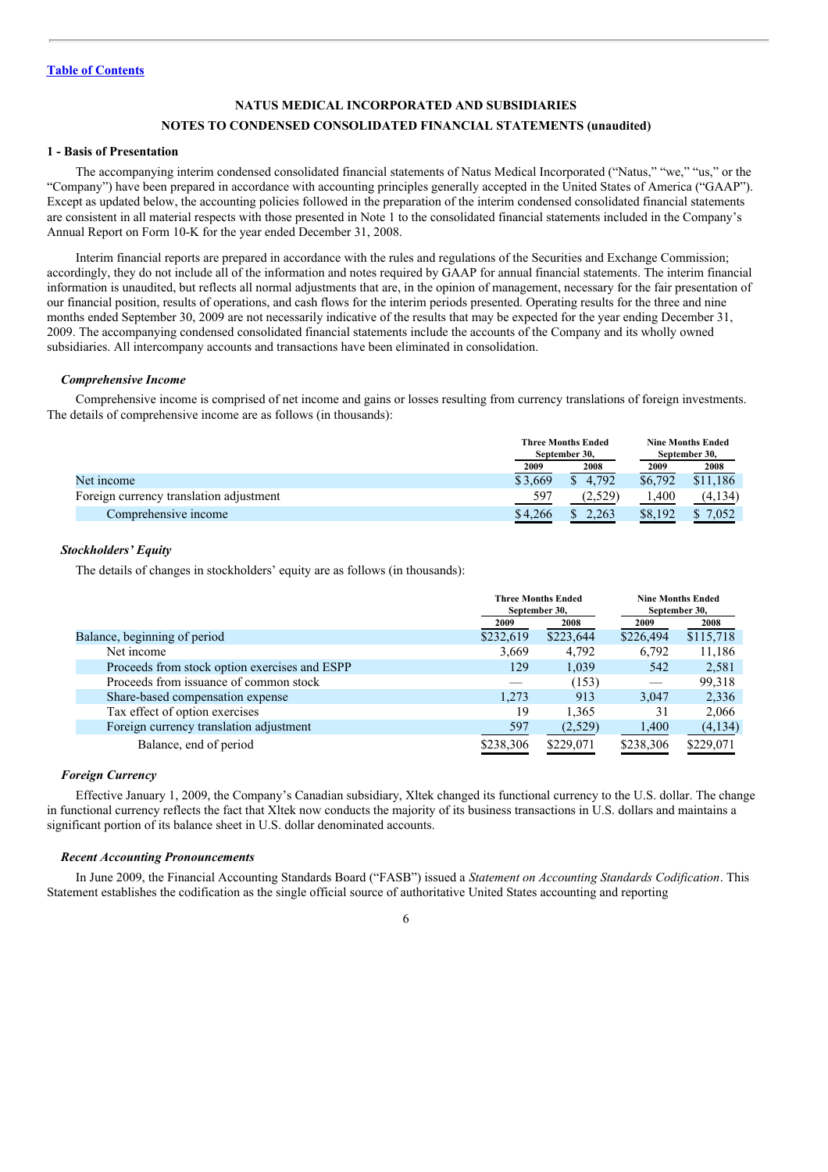# **NATUS MEDICAL INCORPORATED AND SUBSIDIARIES NOTES TO CONDENSED CONSOLIDATED FINANCIAL STATEMENTS (unaudited)**

#### **1 - Basis of Presentation**

The accompanying interim condensed consolidated financial statements of Natus Medical Incorporated ("Natus," "we," "us," or the "Company") have been prepared in accordance with accounting principles generally accepted in the United States of America ("GAAP"). Except as updated below, the accounting policies followed in the preparation of the interim condensed consolidated financial statements are consistent in all material respects with those presented in Note 1 to the consolidated financial statements included in the Company's Annual Report on Form 10-K for the year ended December 31, 2008.

Interim financial reports are prepared in accordance with the rules and regulations of the Securities and Exchange Commission; accordingly, they do not include all of the information and notes required by GAAP for annual financial statements. The interim financial information is unaudited, but reflects all normal adjustments that are, in the opinion of management, necessary for the fair presentation of our financial position, results of operations, and cash flows for the interim periods presented. Operating results for the three and nine months ended September 30, 2009 are not necessarily indicative of the results that may be expected for the year ending December 31, 2009. The accompanying condensed consolidated financial statements include the accounts of the Company and its wholly owned subsidiaries. All intercompany accounts and transactions have been eliminated in consolidation.

#### *Comprehensive Income*

Comprehensive income is comprised of net income and gains or losses resulting from currency translations of foreign investments. The details of comprehensive income are as follows (in thousands):

|                                         |         | <b>Three Months Ended</b><br>September 30, |         | <b>Nine Months Ended</b><br>September 30, |  |
|-----------------------------------------|---------|--------------------------------------------|---------|-------------------------------------------|--|
|                                         | 2009    | 2008                                       | 2009    | 2008                                      |  |
| Net income                              | \$3.669 | 4.792                                      | \$6,792 | \$11,186                                  |  |
| Foreign currency translation adjustment | 597     | (2,529)                                    | .400    | (4,134)                                   |  |
| Comprehensive income                    | \$4,266 | 2.263                                      | \$8,192 | 7,052                                     |  |

#### *Stockholders' Equity*

The details of changes in stockholders' equity are as follows (in thousands):

|                                               |           | <b>Three Months Ended</b><br>September 30, |           | <b>Nine Months Ended</b><br>September 30, |
|-----------------------------------------------|-----------|--------------------------------------------|-----------|-------------------------------------------|
|                                               | 2009      | 2008                                       | 2009      | 2008                                      |
| Balance, beginning of period                  | \$232,619 | \$223,644                                  | \$226,494 | \$115,718                                 |
| Net income                                    | 3,669     | 4,792                                      | 6,792     | 11,186                                    |
| Proceeds from stock option exercises and ESPP | 129       | 1,039                                      | 542       | 2,581                                     |
| Proceeds from issuance of common stock        |           | (153)                                      |           | 99,318                                    |
| Share-based compensation expense              | 1.273     | 913                                        | 3.047     | 2,336                                     |
| Tax effect of option exercises                | 19        | 1.365                                      | 31        | 2,066                                     |
| Foreign currency translation adjustment       | 597       | (2,529)                                    | 1,400     | (4, 134)                                  |
| Balance, end of period                        | \$238,306 | \$229,071                                  | \$238,306 | \$229,071                                 |

#### *Foreign Currency*

Effective January 1, 2009, the Company's Canadian subsidiary, Xltek changed its functional currency to the U.S. dollar. The change in functional currency reflects the fact that Xltek now conducts the majority of its business transactions in U.S. dollars and maintains a significant portion of its balance sheet in U.S. dollar denominated accounts.

#### *Recent Accounting Pronouncements*

In June 2009, the Financial Accounting Standards Board ("FASB") issued a *Statement on Accounting Standards Codification*. This Statement establishes the codification as the single official source of authoritative United States accounting and reporting

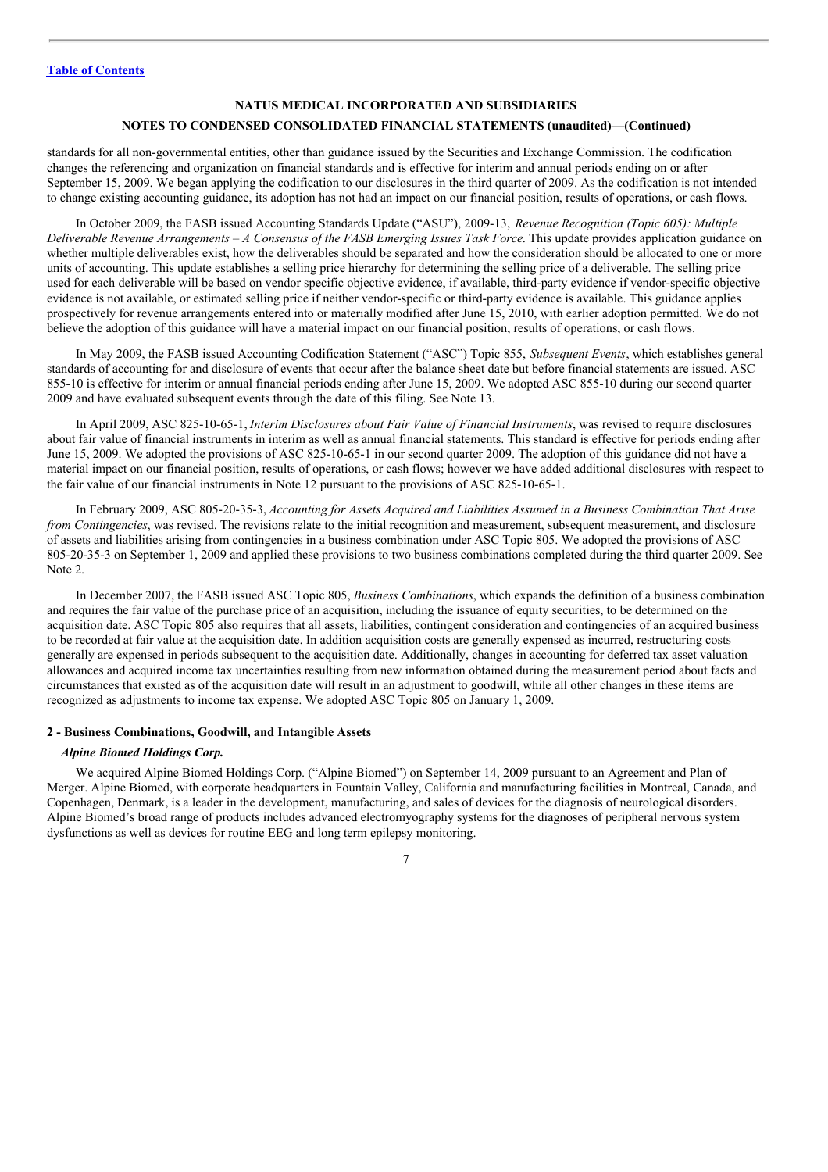# **NOTES TO CONDENSED CONSOLIDATED FINANCIAL STATEMENTS (unaudited)—(Continued)**

standards for all non-governmental entities, other than guidance issued by the Securities and Exchange Commission. The codification changes the referencing and organization on financial standards and is effective for interim and annual periods ending on or after September 15, 2009. We began applying the codification to our disclosures in the third quarter of 2009. As the codification is not intended to change existing accounting guidance, its adoption has not had an impact on our financial position, results of operations, or cash flows.

In October 2009, the FASB issued Accounting Standards Update ("ASU"), 2009-13, *Revenue Recognition (Topic 605): Multiple Deliverable Revenue Arrangements – A Consensus of the FASB Emerging Issues Task Force*. This update provides application guidance on whether multiple deliverables exist, how the deliverables should be separated and how the consideration should be allocated to one or more units of accounting. This update establishes a selling price hierarchy for determining the selling price of a deliverable. The selling price used for each deliverable will be based on vendor specific objective evidence, if available, third-party evidence if vendor-specific objective evidence is not available, or estimated selling price if neither vendor-specific or third-party evidence is available. This guidance applies prospectively for revenue arrangements entered into or materially modified after June 15, 2010, with earlier adoption permitted. We do not believe the adoption of this guidance will have a material impact on our financial position, results of operations, or cash flows.

In May 2009, the FASB issued Accounting Codification Statement ("ASC") Topic 855, *Subsequent Events*, which establishes general standards of accounting for and disclosure of events that occur after the balance sheet date but before financial statements are issued. ASC 855-10 is effective for interim or annual financial periods ending after June 15, 2009. We adopted ASC 855-10 during our second quarter 2009 and have evaluated subsequent events through the date of this filing. See Note 13.

In April 2009, ASC 825-10-65-1, *Interim Disclosures about Fair Value of Financial Instruments*, was revised to require disclosures about fair value of financial instruments in interim as well as annual financial statements. This standard is effective for periods ending after June 15, 2009. We adopted the provisions of ASC 825-10-65-1 in our second quarter 2009. The adoption of this guidance did not have a material impact on our financial position, results of operations, or cash flows; however we have added additional disclosures with respect to the fair value of our financial instruments in Note 12 pursuant to the provisions of ASC 825-10-65-1.

In February 2009, ASC 805-20-35-3, *Accounting for Assets Acquired and Liabilities Assumed in a Business Combination That Arise from Contingencies*, was revised. The revisions relate to the initial recognition and measurement, subsequent measurement, and disclosure of assets and liabilities arising from contingencies in a business combination under ASC Topic 805. We adopted the provisions of ASC 805-20-35-3 on September 1, 2009 and applied these provisions to two business combinations completed during the third quarter 2009. See Note 2.

In December 2007, the FASB issued ASC Topic 805, *Business Combinations*, which expands the definition of a business combination and requires the fair value of the purchase price of an acquisition, including the issuance of equity securities, to be determined on the acquisition date. ASC Topic 805 also requires that all assets, liabilities, contingent consideration and contingencies of an acquired business to be recorded at fair value at the acquisition date. In addition acquisition costs are generally expensed as incurred, restructuring costs generally are expensed in periods subsequent to the acquisition date. Additionally, changes in accounting for deferred tax asset valuation allowances and acquired income tax uncertainties resulting from new information obtained during the measurement period about facts and circumstances that existed as of the acquisition date will result in an adjustment to goodwill, while all other changes in these items are recognized as adjustments to income tax expense. We adopted ASC Topic 805 on January 1, 2009.

#### **2 - Business Combinations, Goodwill, and Intangible Assets**

## *Alpine Biomed Holdings Corp.*

We acquired Alpine Biomed Holdings Corp. ("Alpine Biomed") on September 14, 2009 pursuant to an Agreement and Plan of Merger. Alpine Biomed, with corporate headquarters in Fountain Valley, California and manufacturing facilities in Montreal, Canada, and Copenhagen, Denmark, is a leader in the development, manufacturing, and sales of devices for the diagnosis of neurological disorders. Alpine Biomed's broad range of products includes advanced electromyography systems for the diagnoses of peripheral nervous system dysfunctions as well as devices for routine EEG and long term epilepsy monitoring.

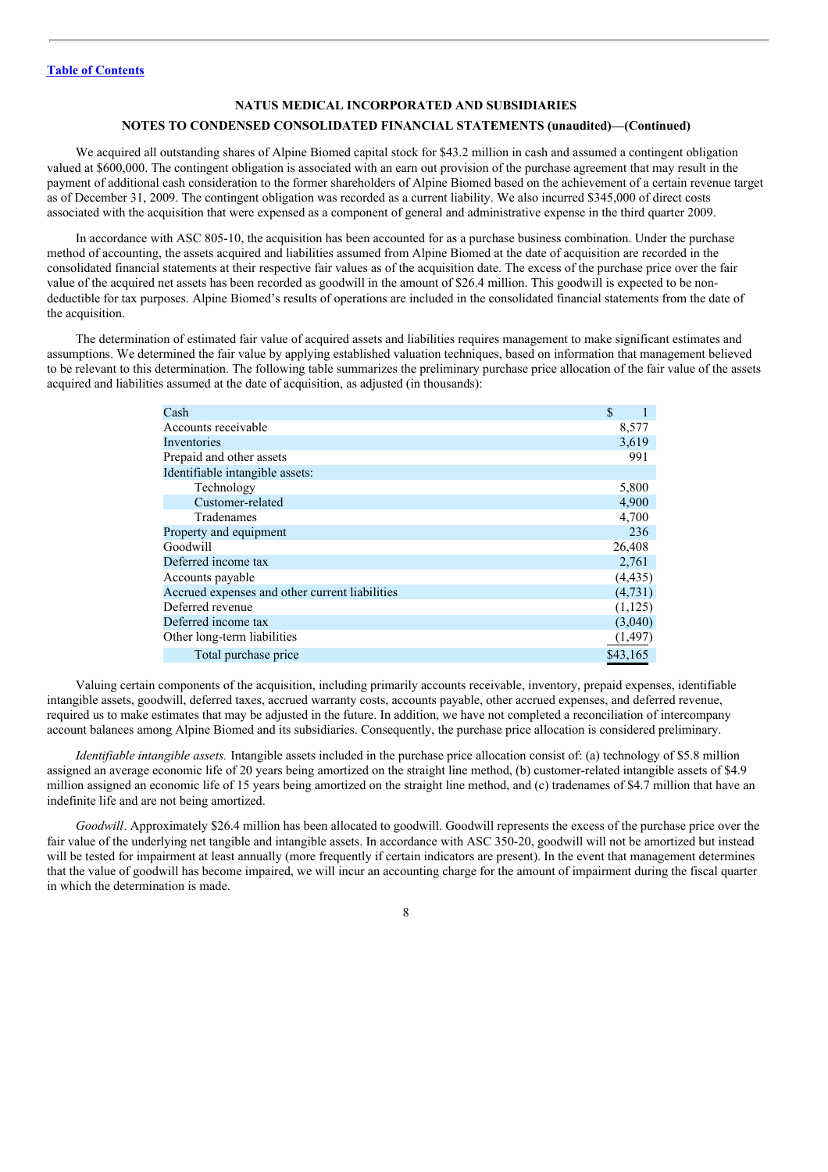# **NOTES TO CONDENSED CONSOLIDATED FINANCIAL STATEMENTS (unaudited)—(Continued)**

We acquired all outstanding shares of Alpine Biomed capital stock for \$43.2 million in cash and assumed a contingent obligation valued at \$600,000. The contingent obligation is associated with an earn out provision of the purchase agreement that may result in the payment of additional cash consideration to the former shareholders of Alpine Biomed based on the achievement of a certain revenue target as of December 31, 2009. The contingent obligation was recorded as a current liability. We also incurred \$345,000 of direct costs associated with the acquisition that were expensed as a component of general and administrative expense in the third quarter 2009.

In accordance with ASC 805-10, the acquisition has been accounted for as a purchase business combination. Under the purchase method of accounting, the assets acquired and liabilities assumed from Alpine Biomed at the date of acquisition are recorded in the consolidated financial statements at their respective fair values as of the acquisition date. The excess of the purchase price over the fair value of the acquired net assets has been recorded as goodwill in the amount of \$26.4 million. This goodwill is expected to be nondeductible for tax purposes. Alpine Biomed's results of operations are included in the consolidated financial statements from the date of the acquisition.

The determination of estimated fair value of acquired assets and liabilities requires management to make significant estimates and assumptions. We determined the fair value by applying established valuation techniques, based on information that management believed to be relevant to this determination. The following table summarizes the preliminary purchase price allocation of the fair value of the assets acquired and liabilities assumed at the date of acquisition, as adjusted (in thousands):

| Cash                                           | \$       |
|------------------------------------------------|----------|
| Accounts receivable                            | 8,577    |
| Inventories                                    | 3,619    |
| Prepaid and other assets                       | 991      |
| Identifiable intangible assets:                |          |
| Technology                                     | 5,800    |
| Customer-related                               | 4,900    |
| Tradenames                                     | 4,700    |
| Property and equipment                         | 236      |
| Goodwill                                       | 26,408   |
| Deferred income tax                            | 2,761    |
| Accounts payable                               | (4, 435) |
| Accrued expenses and other current liabilities | (4, 731) |
| Deferred revenue                               | (1, 125) |
| Deferred income tax                            | (3,040)  |
| Other long-term liabilities                    | (1, 497) |
| Total purchase price                           | \$43,165 |

Valuing certain components of the acquisition, including primarily accounts receivable, inventory, prepaid expenses, identifiable intangible assets, goodwill, deferred taxes, accrued warranty costs, accounts payable, other accrued expenses, and deferred revenue, required us to make estimates that may be adjusted in the future. In addition, we have not completed a reconciliation of intercompany account balances among Alpine Biomed and its subsidiaries. Consequently, the purchase price allocation is considered preliminary.

*Identifiable intangible assets.* Intangible assets included in the purchase price allocation consist of: (a) technology of \$5.8 million assigned an average economic life of 20 years being amortized on the straight line method, (b) customer-related intangible assets of \$4.9 million assigned an economic life of 15 years being amortized on the straight line method, and (c) tradenames of \$4.7 million that have an indefinite life and are not being amortized.

*Goodwill*. Approximately \$26.4 million has been allocated to goodwill. Goodwill represents the excess of the purchase price over the fair value of the underlying net tangible and intangible assets. In accordance with ASC 350-20, goodwill will not be amortized but instead will be tested for impairment at least annually (more frequently if certain indicators are present). In the event that management determines that the value of goodwill has become impaired, we will incur an accounting charge for the amount of impairment during the fiscal quarter in which the determination is made.

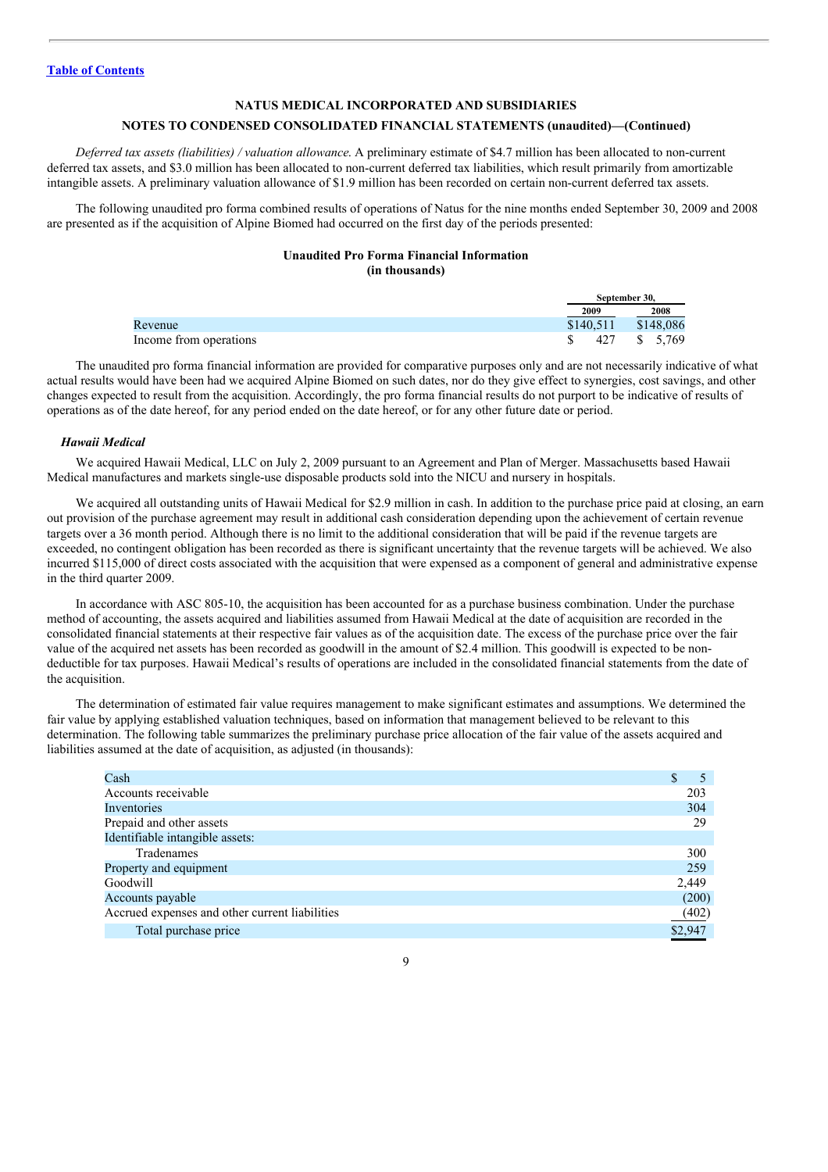## **NOTES TO CONDENSED CONSOLIDATED FINANCIAL STATEMENTS (unaudited)—(Continued)**

*Deferred tax assets (liabilities) / valuation allowance*. A preliminary estimate of \$4.7 million has been allocated to non-current deferred tax assets, and \$3.0 million has been allocated to non-current deferred tax liabilities, which result primarily from amortizable intangible assets. A preliminary valuation allowance of \$1.9 million has been recorded on certain non-current deferred tax assets.

The following unaudited pro forma combined results of operations of Natus for the nine months ended September 30, 2009 and 2008 are presented as if the acquisition of Alpine Biomed had occurred on the first day of the periods presented:

#### **Unaudited Pro Forma Financial Information (in thousands)**

|                        |      | September 30,         |  |  |
|------------------------|------|-----------------------|--|--|
|                        | 2009 | 2008                  |  |  |
| Revenue                |      | $$140,511$ $$148,086$ |  |  |
| Income from operations |      | 427 \$ 5.769          |  |  |

The unaudited pro forma financial information are provided for comparative purposes only and are not necessarily indicative of what actual results would have been had we acquired Alpine Biomed on such dates, nor do they give effect to synergies, cost savings, and other changes expected to result from the acquisition. Accordingly, the pro forma financial results do not purport to be indicative of results of operations as of the date hereof, for any period ended on the date hereof, or for any other future date or period.

#### *Hawaii Medical*

We acquired Hawaii Medical, LLC on July 2, 2009 pursuant to an Agreement and Plan of Merger. Massachusetts based Hawaii Medical manufactures and markets single-use disposable products sold into the NICU and nursery in hospitals.

We acquired all outstanding units of Hawaii Medical for \$2.9 million in cash. In addition to the purchase price paid at closing, an earn out provision of the purchase agreement may result in additional cash consideration depending upon the achievement of certain revenue targets over a 36 month period. Although there is no limit to the additional consideration that will be paid if the revenue targets are exceeded, no contingent obligation has been recorded as there is significant uncertainty that the revenue targets will be achieved. We also incurred \$115,000 of direct costs associated with the acquisition that were expensed as a component of general and administrative expense in the third quarter 2009.

In accordance with ASC 805-10, the acquisition has been accounted for as a purchase business combination. Under the purchase method of accounting, the assets acquired and liabilities assumed from Hawaii Medical at the date of acquisition are recorded in the consolidated financial statements at their respective fair values as of the acquisition date. The excess of the purchase price over the fair value of the acquired net assets has been recorded as goodwill in the amount of \$2.4 million. This goodwill is expected to be nondeductible for tax purposes. Hawaii Medical's results of operations are included in the consolidated financial statements from the date of the acquisition.

The determination of estimated fair value requires management to make significant estimates and assumptions. We determined the fair value by applying established valuation techniques, based on information that management believed to be relevant to this determination. The following table summarizes the preliminary purchase price allocation of the fair value of the assets acquired and liabilities assumed at the date of acquisition, as adjusted (in thousands):

| Cash                                           | \$      |
|------------------------------------------------|---------|
| Accounts receivable                            | 203     |
| Inventories                                    | 304     |
| Prepaid and other assets                       | 29      |
| Identifiable intangible assets:                |         |
| Tradenames                                     | 300     |
| Property and equipment                         | 259     |
| Goodwill                                       | 2,449   |
| Accounts payable                               | (200)   |
| Accrued expenses and other current liabilities | (402)   |
| Total purchase price                           | \$2,947 |
|                                                |         |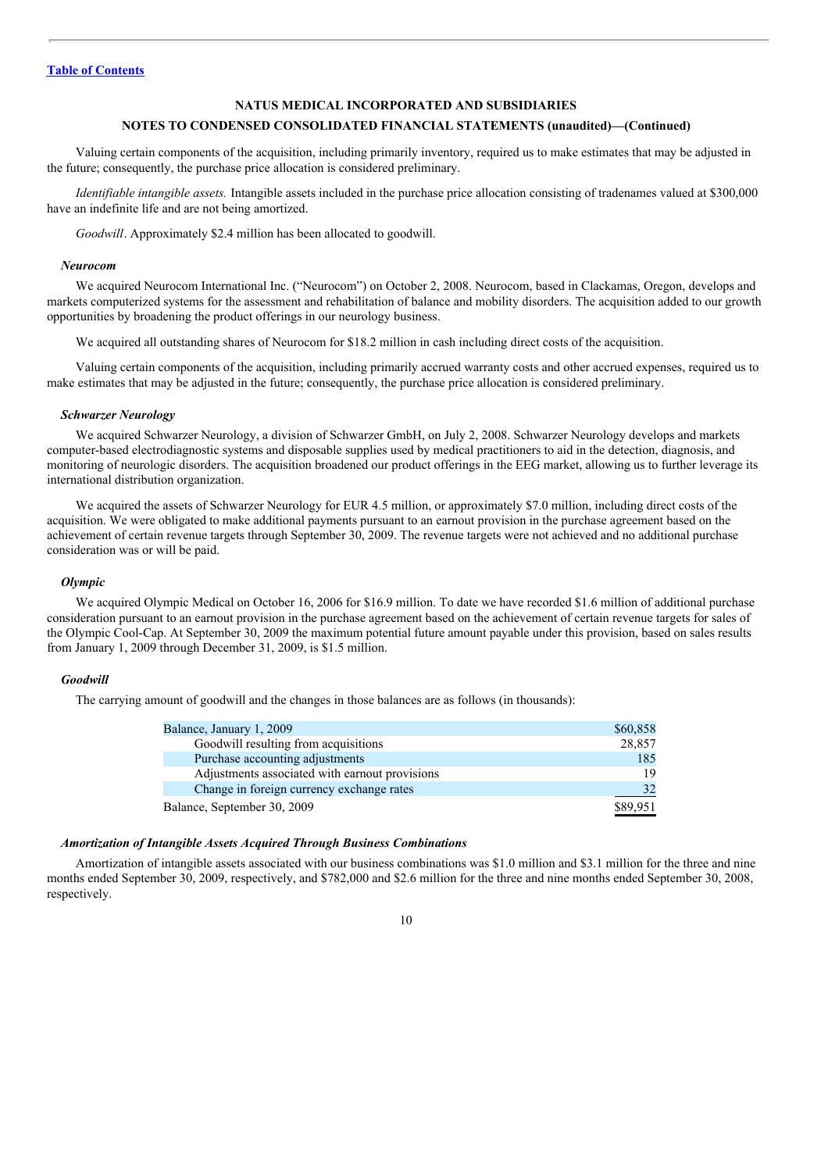## **NOTES TO CONDENSED CONSOLIDATED FINANCIAL STATEMENTS (unaudited)—(Continued)**

Valuing certain components of the acquisition, including primarily inventory, required us to make estimates that may be adjusted in the future; consequently, the purchase price allocation is considered preliminary.

*Identifiable intangible assets.* Intangible assets included in the purchase price allocation consisting of tradenames valued at \$300,000 have an indefinite life and are not being amortized.

*Goodwill*. Approximately \$2.4 million has been allocated to goodwill.

#### *Neurocom*

We acquired Neurocom International Inc. ("Neurocom") on October 2, 2008. Neurocom, based in Clackamas, Oregon, develops and markets computerized systems for the assessment and rehabilitation of balance and mobility disorders. The acquisition added to our growth opportunities by broadening the product offerings in our neurology business.

We acquired all outstanding shares of Neurocom for \$18.2 million in cash including direct costs of the acquisition.

Valuing certain components of the acquisition, including primarily accrued warranty costs and other accrued expenses, required us to make estimates that may be adjusted in the future; consequently, the purchase price allocation is considered preliminary.

#### *Schwarzer Neurology*

We acquired Schwarzer Neurology, a division of Schwarzer GmbH, on July 2, 2008. Schwarzer Neurology develops and markets computer-based electrodiagnostic systems and disposable supplies used by medical practitioners to aid in the detection, diagnosis, and monitoring of neurologic disorders. The acquisition broadened our product offerings in the EEG market, allowing us to further leverage its international distribution organization.

We acquired the assets of Schwarzer Neurology for EUR 4.5 million, or approximately \$7.0 million, including direct costs of the acquisition. We were obligated to make additional payments pursuant to an earnout provision in the purchase agreement based on the achievement of certain revenue targets through September 30, 2009. The revenue targets were not achieved and no additional purchase consideration was or will be paid.

#### *Olympic*

We acquired Olympic Medical on October 16, 2006 for \$16.9 million. To date we have recorded \$1.6 million of additional purchase consideration pursuant to an earnout provision in the purchase agreement based on the achievement of certain revenue targets for sales of the Olympic Cool-Cap. At September 30, 2009 the maximum potential future amount payable under this provision, based on sales results from January 1, 2009 through December 31, 2009, is \$1.5 million.

#### *Goodwill*

The carrying amount of goodwill and the changes in those balances are as follows (in thousands):

| Balance, January 1, 2009                       | \$60,858 |
|------------------------------------------------|----------|
| Goodwill resulting from acquisitions           | 28.857   |
| Purchase accounting adjustments                | 185      |
| Adjustments associated with earnout provisions | 19       |
| Change in foreign currency exchange rates      | 32       |
| Balance, September 30, 2009                    | \$89,951 |

#### *Amortization of Intangible Assets Acquired Through Business Combinations*

Amortization of intangible assets associated with our business combinations was \$1.0 million and \$3.1 million for the three and nine months ended September 30, 2009, respectively, and \$782,000 and \$2.6 million for the three and nine months ended September 30, 2008, respectively.

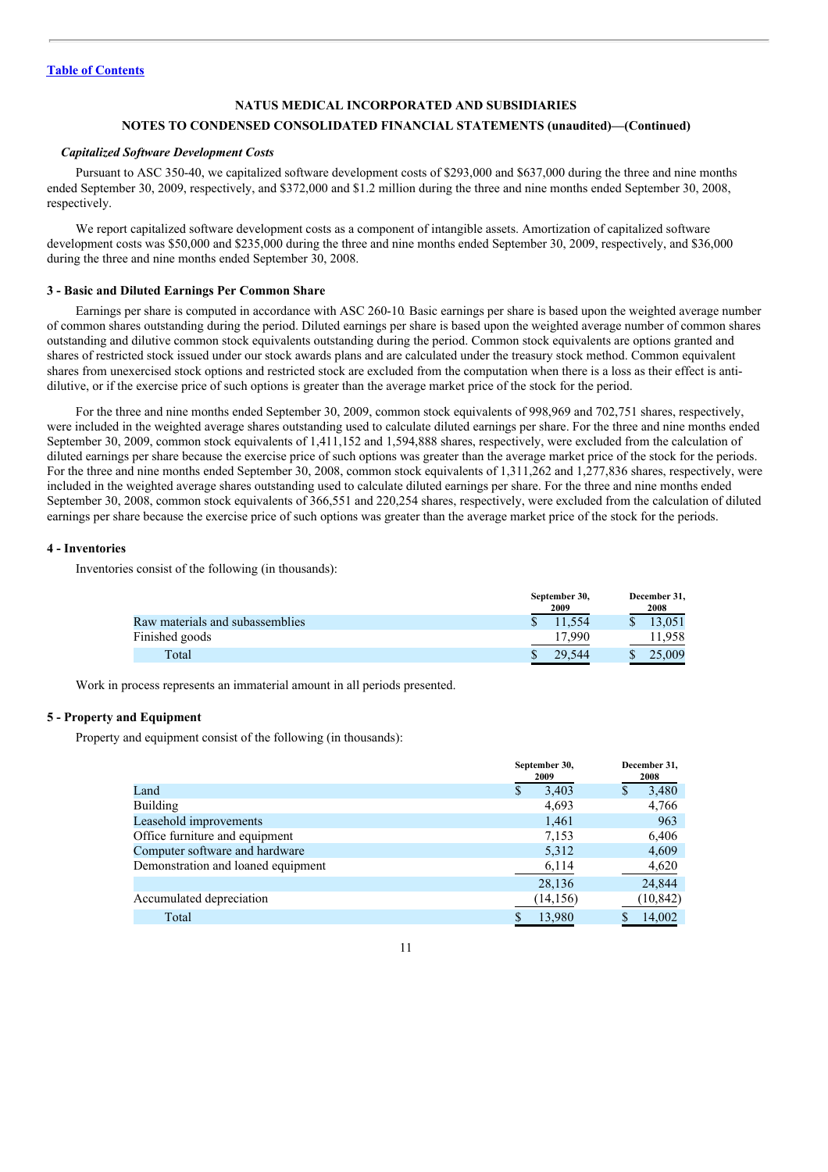## **NATUS MEDICAL INCORPORATED AND SUBSIDIARIES**

# **NOTES TO CONDENSED CONSOLIDATED FINANCIAL STATEMENTS (unaudited)—(Continued)**

#### *Capitalized Software Development Costs*

Pursuant to ASC 350-40, we capitalized software development costs of \$293,000 and \$637,000 during the three and nine months ended September 30, 2009, respectively, and \$372,000 and \$1.2 million during the three and nine months ended September 30, 2008, respectively.

We report capitalized software development costs as a component of intangible assets. Amortization of capitalized software development costs was \$50,000 and \$235,000 during the three and nine months ended September 30, 2009, respectively, and \$36,000 during the three and nine months ended September 30, 2008.

#### **3 - Basic and Diluted Earnings Per Common Share**

Earnings per share is computed in accordance with ASC 260-10*.* Basic earnings per share is based upon the weighted average number of common shares outstanding during the period. Diluted earnings per share is based upon the weighted average number of common shares outstanding and dilutive common stock equivalents outstanding during the period. Common stock equivalents are options granted and shares of restricted stock issued under our stock awards plans and are calculated under the treasury stock method. Common equivalent shares from unexercised stock options and restricted stock are excluded from the computation when there is a loss as their effect is antidilutive, or if the exercise price of such options is greater than the average market price of the stock for the period.

For the three and nine months ended September 30, 2009, common stock equivalents of 998,969 and 702,751 shares, respectively, were included in the weighted average shares outstanding used to calculate diluted earnings per share. For the three and nine months ended September 30, 2009, common stock equivalents of 1,411,152 and 1,594,888 shares, respectively, were excluded from the calculation of diluted earnings per share because the exercise price of such options was greater than the average market price of the stock for the periods. For the three and nine months ended September 30, 2008, common stock equivalents of 1,311,262 and 1,277,836 shares, respectively, were included in the weighted average shares outstanding used to calculate diluted earnings per share. For the three and nine months ended September 30, 2008, common stock equivalents of 366,551 and 220,254 shares, respectively, were excluded from the calculation of diluted earnings per share because the exercise price of such options was greater than the average market price of the stock for the periods.

#### **4 - Inventories**

Inventories consist of the following (in thousands):

|                                 | September 30, | December 31, |  |  |
|---------------------------------|---------------|--------------|--|--|
|                                 | 2009          | 2008         |  |  |
| Raw materials and subassemblies | 11.554        | 13,051       |  |  |
| Finished goods                  | 17.990        | 1.958        |  |  |
| Total                           | 29.544        | 25,009       |  |  |

Work in process represents an immaterial amount in all periods presented.

#### **5 - Property and Equipment**

Property and equipment consist of the following (in thousands):

|                                    | September 30,<br>2009 | December 31,<br>2008 |
|------------------------------------|-----------------------|----------------------|
| Land                               | \$<br>3,403           | 3,480<br>S           |
| <b>Building</b>                    | 4,693                 | 4,766                |
| Leasehold improvements             | 1,461                 | 963                  |
| Office furniture and equipment     | 7,153                 | 6,406                |
| Computer software and hardware     | 5,312                 | 4,609                |
| Demonstration and loaned equipment | 6,114                 | 4,620                |
|                                    | 28,136                | 24,844               |
| Accumulated depreciation           | (14, 156)             | (10, 842)            |
| Total                              | 13.980<br>S           | 14.002               |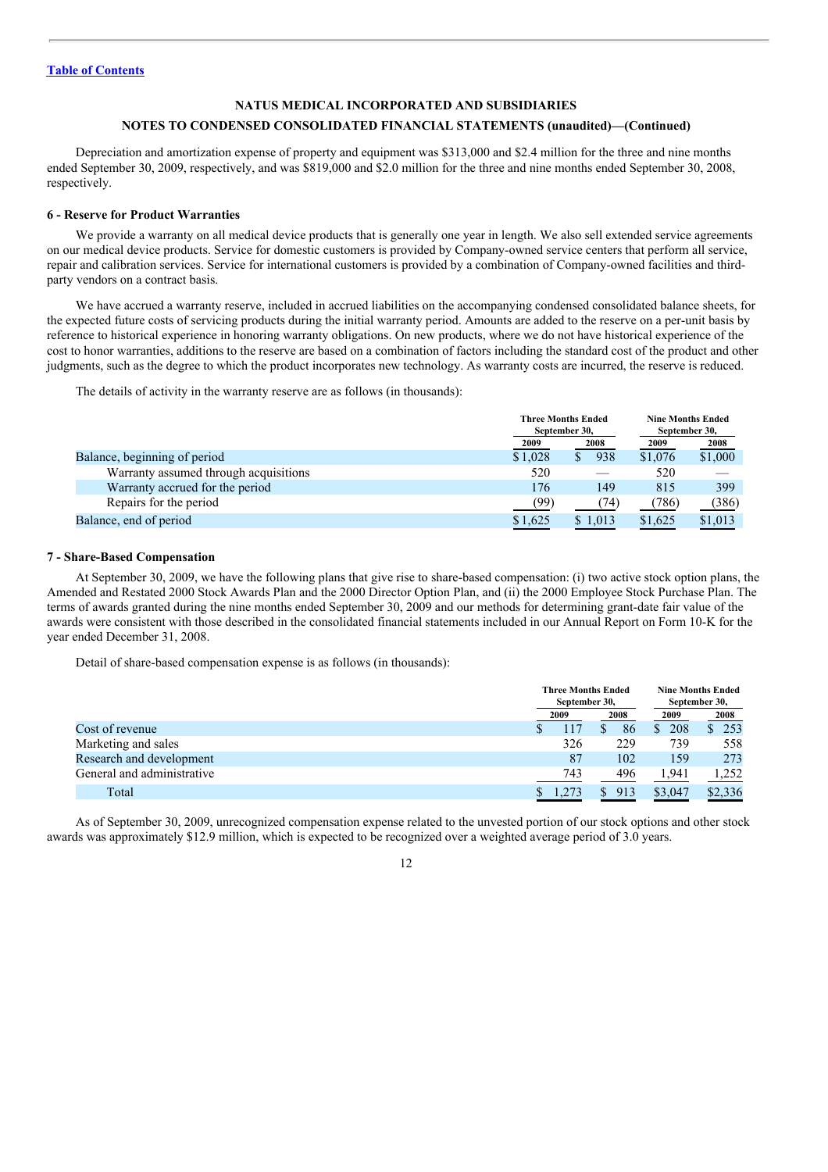# **NOTES TO CONDENSED CONSOLIDATED FINANCIAL STATEMENTS (unaudited)—(Continued)**

Depreciation and amortization expense of property and equipment was \$313,000 and \$2.4 million for the three and nine months ended September 30, 2009, respectively, and was \$819,000 and \$2.0 million for the three and nine months ended September 30, 2008, respectively.

#### **6 - Reserve for Product Warranties**

We provide a warranty on all medical device products that is generally one year in length. We also sell extended service agreements on our medical device products. Service for domestic customers is provided by Company-owned service centers that perform all service, repair and calibration services. Service for international customers is provided by a combination of Company-owned facilities and thirdparty vendors on a contract basis.

We have accrued a warranty reserve, included in accrued liabilities on the accompanying condensed consolidated balance sheets, for the expected future costs of servicing products during the initial warranty period. Amounts are added to the reserve on a per-unit basis by reference to historical experience in honoring warranty obligations. On new products, where we do not have historical experience of the cost to honor warranties, additions to the reserve are based on a combination of factors including the standard cost of the product and other judgments, such as the degree to which the product incorporates new technology. As warranty costs are incurred, the reserve is reduced.

The details of activity in the warranty reserve are as follows (in thousands):

|                                       |         | <b>Three Months Ended</b><br>September 30, |         | <b>Nine Months Ended</b><br>September 30, |
|---------------------------------------|---------|--------------------------------------------|---------|-------------------------------------------|
|                                       | 2009    | 2008                                       | 2009    | 2008                                      |
| Balance, beginning of period          | \$1,028 | 938                                        | \$1,076 | \$1,000                                   |
| Warranty assumed through acquisitions | 520     |                                            | 520     |                                           |
| Warranty accrued for the period       | 176     | 149                                        | 815     | 399                                       |
| Repairs for the period                | (99)    | 74)                                        | (786)   | (386)                                     |
| Balance, end of period                | \$1,625 | \$1,013                                    | \$1,625 | \$1,013                                   |

#### **7 - Share-Based Compensation**

At September 30, 2009, we have the following plans that give rise to share-based compensation: (i) two active stock option plans, the Amended and Restated 2000 Stock Awards Plan and the 2000 Director Option Plan, and (ii) the 2000 Employee Stock Purchase Plan. The terms of awards granted during the nine months ended September 30, 2009 and our methods for determining grant-date fair value of the awards were consistent with those described in the consolidated financial statements included in our Annual Report on Form 10-K for the year ended December 31, 2008.

Detail of share-based compensation expense is as follows (in thousands):

|                            |      | <b>Three Months Ended</b> | <b>Nine Months Ended</b> |               |
|----------------------------|------|---------------------------|--------------------------|---------------|
|                            |      | September 30,             |                          | September 30, |
|                            | 2009 | 2008                      | 2009                     | 2008          |
| Cost of revenue            |      | 86                        | 208                      | 253           |
| Marketing and sales        |      | 229<br>326                | 739                      | 558           |
| Research and development   |      | 102<br>87                 | 159                      | 273           |
| General and administrative |      | 743<br>496                | 1,941                    | ,252          |
| Total                      |      | 913                       | \$3,047                  | \$2,336       |

As of September 30, 2009, unrecognized compensation expense related to the unvested portion of our stock options and other stock awards was approximately \$12.9 million, which is expected to be recognized over a weighted average period of 3.0 years.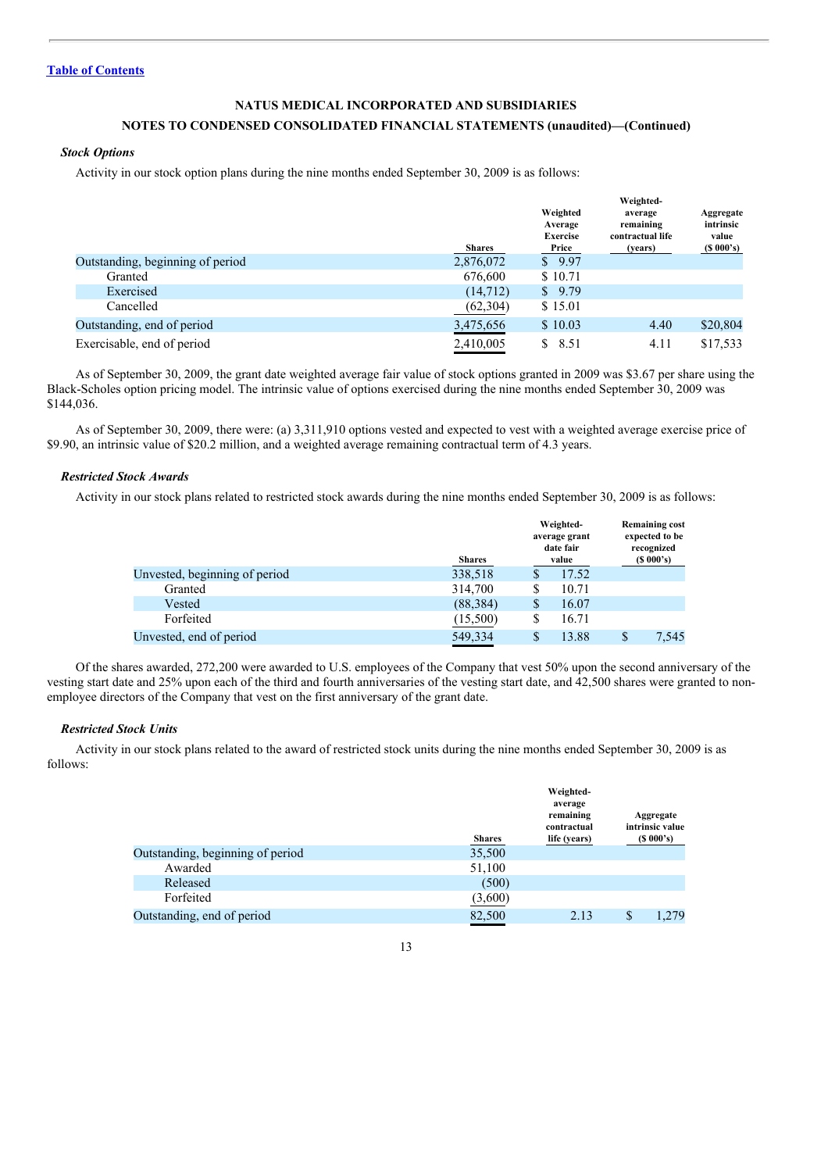# **NATUS MEDICAL INCORPORATED AND SUBSIDIARIES NOTES TO CONDENSED CONSOLIDATED FINANCIAL STATEMENTS (unaudited)—(Continued)**

# *Stock Options*

Activity in our stock option plans during the nine months ended September 30, 2009 is as follows:

|                                  | <b>Shares</b> | Weighted<br>Average<br><b>Exercise</b><br>Price | Weighted-<br>average<br>remaining<br>contractual life<br>(years) | Aggregate<br>intrinsic<br>value<br>$(S\ 000's)$ |
|----------------------------------|---------------|-------------------------------------------------|------------------------------------------------------------------|-------------------------------------------------|
| Outstanding, beginning of period | 2,876,072     | \$9.97                                          |                                                                  |                                                 |
| Granted                          | 676,600       | \$10.71                                         |                                                                  |                                                 |
| Exercised                        | (14,712)      | \$9.79                                          |                                                                  |                                                 |
| Cancelled                        | (62, 304)     | \$15.01                                         |                                                                  |                                                 |
| Outstanding, end of period       | 3,475,656     | \$10.03                                         | 4.40                                                             | \$20,804                                        |
| Exercisable, end of period       | 2,410,005     | 8.51<br>S.                                      | 4.11                                                             | \$17,533                                        |

As of September 30, 2009, the grant date weighted average fair value of stock options granted in 2009 was \$3.67 per share using the Black-Scholes option pricing model. The intrinsic value of options exercised during the nine months ended September 30, 2009 was \$144,036.

As of September 30, 2009, there were: (a) 3,311,910 options vested and expected to vest with a weighted average exercise price of \$9.90, an intrinsic value of \$20.2 million, and a weighted average remaining contractual term of 4.3 years.

#### *Restricted Stock Awards*

Activity in our stock plans related to restricted stock awards during the nine months ended September 30, 2009 is as follows:

|                               | <b>Shares</b> | Weighted-<br>average grant<br>date fair<br>value |       | <b>Remaining cost</b><br>expected to be<br>recognized<br>(S 000's) |       |  |
|-------------------------------|---------------|--------------------------------------------------|-------|--------------------------------------------------------------------|-------|--|
| Unvested, beginning of period | 338,518       | \$                                               | 17.52 |                                                                    |       |  |
| Granted                       | 314,700       | \$                                               | 10.71 |                                                                    |       |  |
| Vested                        | (88, 384)     | \$                                               | 16.07 |                                                                    |       |  |
| Forfeited                     | (15,500)      | \$                                               | 16.71 |                                                                    |       |  |
| Unvested, end of period       | 549,334       | \$                                               | 13.88 | \$                                                                 | 7,545 |  |

Of the shares awarded, 272,200 were awarded to U.S. employees of the Company that vest 50% upon the second anniversary of the vesting start date and 25% upon each of the third and fourth anniversaries of the vesting start date, and 42,500 shares were granted to nonemployee directors of the Company that vest on the first anniversary of the grant date.

## *Restricted Stock Units*

Activity in our stock plans related to the award of restricted stock units during the nine months ended September 30, 2009 is as follows:

|                                  | <b>Shares</b> | Weighted-<br>average<br>remaining<br>contractual<br>life (years) | Aggregate<br>intrinsic value<br>$(S\ 000's)$ |
|----------------------------------|---------------|------------------------------------------------------------------|----------------------------------------------|
| Outstanding, beginning of period | 35,500        |                                                                  |                                              |
| Awarded                          | 51,100        |                                                                  |                                              |
| Released                         | (500)         |                                                                  |                                              |
| Forfeited                        | (3,600)       |                                                                  |                                              |
| Outstanding, end of period       | 82,500        | 2.13                                                             | 1.279                                        |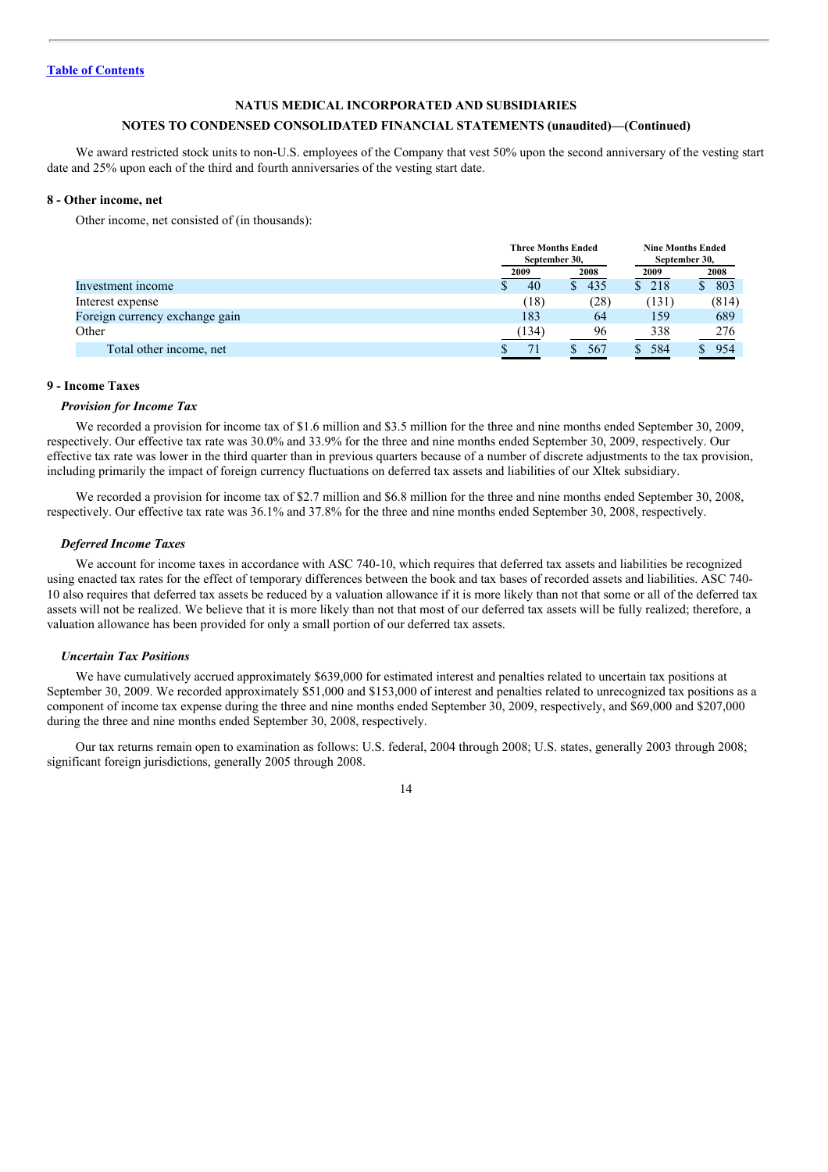# **NOTES TO CONDENSED CONSOLIDATED FINANCIAL STATEMENTS (unaudited)—(Continued)**

We award restricted stock units to non-U.S. employees of the Company that vest 50% upon the second anniversary of the vesting start date and 25% upon each of the third and fourth anniversaries of the vesting start date.

#### **8 - Other income, net**

Other income, net consisted of (in thousands):

|                                |       | <b>Three Months Ended</b><br>September 30, |       | <b>Nine Months Ended</b><br>September 30, |
|--------------------------------|-------|--------------------------------------------|-------|-------------------------------------------|
|                                | 2009  | 2008                                       |       | 2008                                      |
| Investment income              | 40    | 435                                        | \$218 | 803<br>S                                  |
| Interest expense               | (18)  | (28)                                       | (131) | (814)                                     |
| Foreign currency exchange gain | 183   | 64                                         | 159   | 689                                       |
| Other                          | (134) | 96                                         | 338   | 276                                       |
| Total other income, net        |       | 567                                        | 584   | 954                                       |

#### **9 - Income Taxes**

#### *Provision for Income Tax*

We recorded a provision for income tax of \$1.6 million and \$3.5 million for the three and nine months ended September 30, 2009, respectively. Our effective tax rate was 30.0% and 33.9% for the three and nine months ended September 30, 2009, respectively. Our effective tax rate was lower in the third quarter than in previous quarters because of a number of discrete adjustments to the tax provision, including primarily the impact of foreign currency fluctuations on deferred tax assets and liabilities of our Xltek subsidiary.

We recorded a provision for income tax of \$2.7 million and \$6.8 million for the three and nine months ended September 30, 2008. respectively. Our effective tax rate was 36.1% and 37.8% for the three and nine months ended September 30, 2008, respectively.

#### *Deferred Income Taxes*

We account for income taxes in accordance with ASC 740-10, which requires that deferred tax assets and liabilities be recognized using enacted tax rates for the effect of temporary differences between the book and tax bases of recorded assets and liabilities. ASC 740- 10 also requires that deferred tax assets be reduced by a valuation allowance if it is more likely than not that some or all of the deferred tax assets will not be realized. We believe that it is more likely than not that most of our deferred tax assets will be fully realized; therefore, a valuation allowance has been provided for only a small portion of our deferred tax assets.

#### *Uncertain Tax Positions*

We have cumulatively accrued approximately \$639,000 for estimated interest and penalties related to uncertain tax positions at September 30, 2009. We recorded approximately \$51,000 and \$153,000 of interest and penalties related to unrecognized tax positions as a component of income tax expense during the three and nine months ended September 30, 2009, respectively, and \$69,000 and \$207,000 during the three and nine months ended September 30, 2008, respectively.

Our tax returns remain open to examination as follows: U.S. federal, 2004 through 2008; U.S. states, generally 2003 through 2008; significant foreign jurisdictions, generally 2005 through 2008.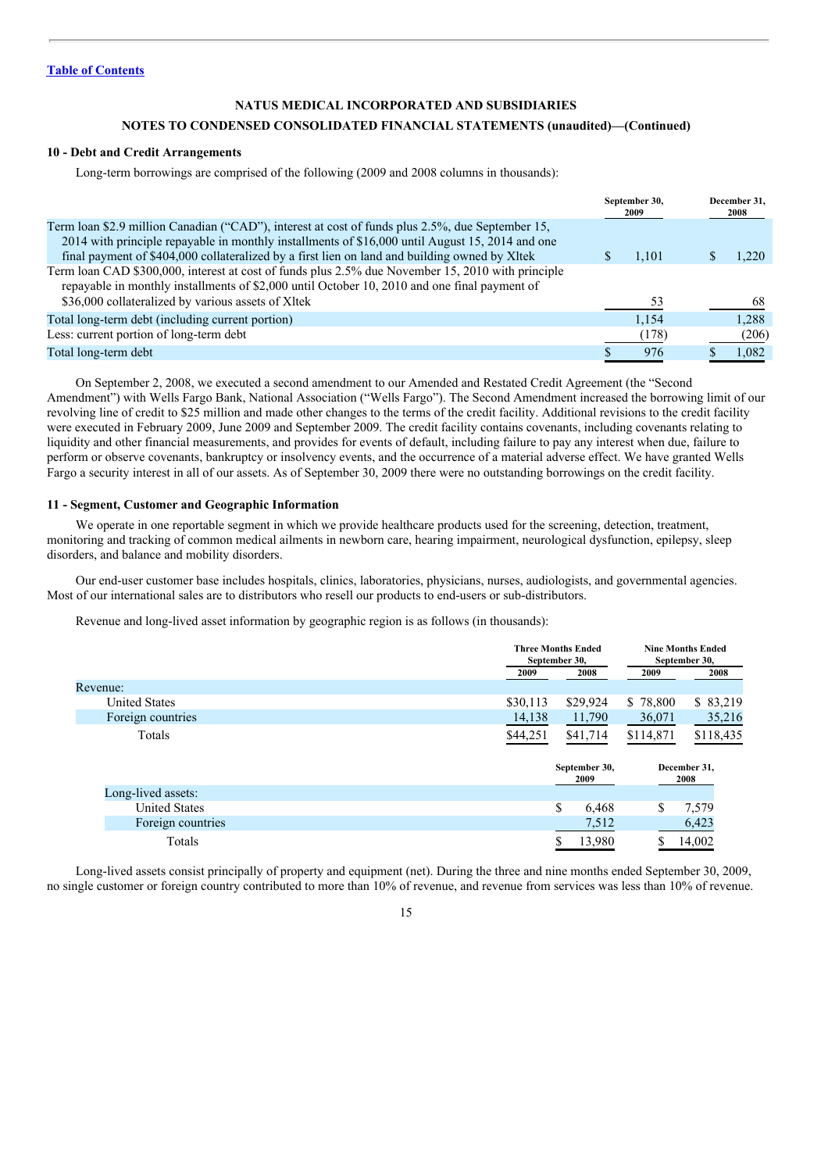# **NATUS MEDICAL INCORPORATED AND SUBSIDIARIES**

# **NOTES TO CONDENSED CONSOLIDATED FINANCIAL STATEMENTS (unaudited)—(Continued)**

#### **10 - Debt and Credit Arrangements**

Long-term borrowings are comprised of the following (2009 and 2008 columns in thousands):

|                                                                                                   | September 30,<br>2009 | December 31.<br>2008 |
|---------------------------------------------------------------------------------------------------|-----------------------|----------------------|
| Term Ioan \$2.9 million Canadian ("CAD"), interest at cost of funds plus 2.5%, due September 15,  |                       |                      |
| 2014 with principle repayable in monthly installments of \$16,000 until August 15, 2014 and one   |                       |                      |
| final payment of \$404,000 collateralized by a first lien on land and building owned by XItek     | 1.101                 | 1.220                |
| Term loan CAD \$300,000, interest at cost of funds plus 2.5% due November 15, 2010 with principle |                       |                      |
| repayable in monthly installments of \$2,000 until October 10, 2010 and one final payment of      |                       |                      |
| \$36,000 collateralized by various assets of Xltek                                                | 53                    | 68                   |
| Total long-term debt (including current portion)                                                  | 1.154                 | 1,288                |
| Less: current portion of long-term debt                                                           | (178)                 | (206)                |
| Total long-term debt                                                                              | 976                   | 1.082                |

On September 2, 2008, we executed a second amendment to our Amended and Restated Credit Agreement (the "Second Amendment") with Wells Fargo Bank, National Association ("Wells Fargo"). The Second Amendment increased the borrowing limit of our revolving line of credit to \$25 million and made other changes to the terms of the credit facility. Additional revisions to the credit facility were executed in February 2009, June 2009 and September 2009. The credit facility contains covenants, including covenants relating to liquidity and other financial measurements, and provides for events of default, including failure to pay any interest when due, failure to perform or observe covenants, bankruptcy or insolvency events, and the occurrence of a material adverse effect. We have granted Wells Fargo a security interest in all of our assets. As of September 30, 2009 there were no outstanding borrowings on the credit facility.

#### **11 - Segment, Customer and Geographic Information**

We operate in one reportable segment in which we provide healthcare products used for the screening, detection, treatment, monitoring and tracking of common medical ailments in newborn care, hearing impairment, neurological dysfunction, epilepsy, sleep disorders, and balance and mobility disorders.

Our end-user customer base includes hospitals, clinics, laboratories, physicians, nurses, audiologists, and governmental agencies. Most of our international sales are to distributors who resell our products to end-users or sub-distributors.

Revenue and long-lived asset information by geographic region is as follows (in thousands):

|                      |          | <b>Three Months Ended</b><br>September 30, |           | <b>Nine Months Ended</b><br>September 30, |
|----------------------|----------|--------------------------------------------|-----------|-------------------------------------------|
|                      | 2009     | 2008                                       |           | 2008                                      |
| Revenue:             |          |                                            |           |                                           |
| <b>United States</b> | \$30,113 | \$29,924                                   | \$78,800  | \$ 83,219                                 |
| Foreign countries    | 14,138   | 11,790                                     | 36,071    | 35,216                                    |
| Totals               | \$44,251 | \$41,714                                   | \$114,871 | \$118,435                                 |
|                      |          | September 30,<br>2009                      |           | December 31,<br>2008                      |
| Long-lived assets:   |          |                                            |           |                                           |
| <b>United States</b> |          | \$.<br>6,468                               | \$        | 7,579                                     |
| Foreign countries    |          | 7,512                                      |           | 6,423                                     |
| Totals               |          | 13,980<br>\$                               | \$        | 14,002                                    |

Long-lived assets consist principally of property and equipment (net). During the three and nine months ended September 30, 2009, no single customer or foreign country contributed to more than 10% of revenue, and revenue from services was less than 10% of revenue.

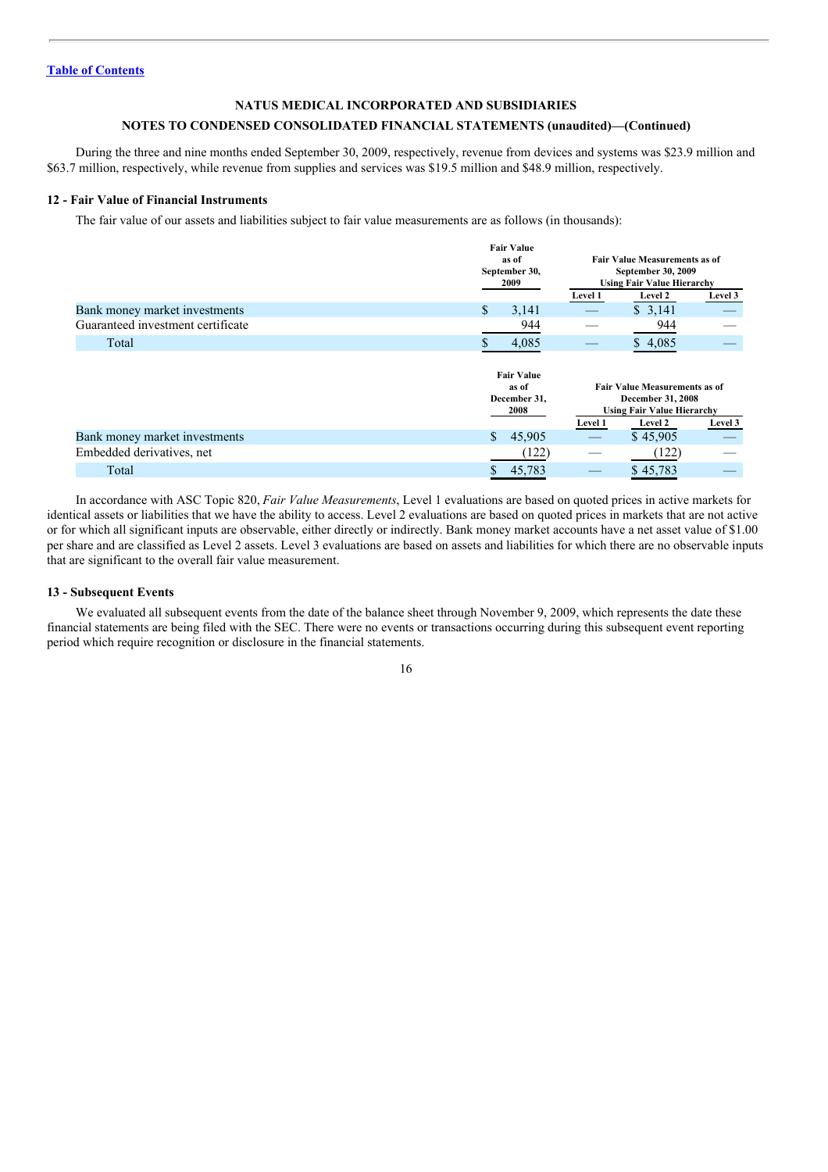# **NOTES TO CONDENSED CONSOLIDATED FINANCIAL STATEMENTS (unaudited)—(Continued)**

During the three and nine months ended September 30, 2009, respectively, revenue from devices and systems was \$23.9 million and \$63.7 million, respectively, while revenue from supplies and services was \$19.5 million and \$48.9 million, respectively.

#### **12 - Fair Value of Financial Instruments**

The fair value of our assets and liabilities subject to fair value measurements are as follows (in thousands):

|                                   | <b>Fair Value</b><br>as of<br>September 30,<br>2009 |         | <b>Fair Value Measurements as of</b><br>September 30, 2009<br><b>Using Fair Value Hierarchy</b> |         |  |
|-----------------------------------|-----------------------------------------------------|---------|-------------------------------------------------------------------------------------------------|---------|--|
|                                   |                                                     | Level 1 | Level 2                                                                                         | Level 3 |  |
| Bank money market investments     | \$<br>3,141                                         |         | \$3,141                                                                                         |         |  |
| Guaranteed investment certificate | 944                                                 |         | 944                                                                                             |         |  |
| Total                             | 4,085                                               |         | \$4,085                                                                                         |         |  |
|                                   | <b>Fair Value</b><br>as of<br>December 31,<br>2008  |         | <b>Fair Value Measurements as of</b><br>December 31, 2008<br><b>Using Fair Value Hierarchy</b>  |         |  |
|                                   |                                                     | Level 1 | Level 2                                                                                         | Level 3 |  |
| Bank money market investments     | 45,905<br>S.                                        |         | \$45,905                                                                                        |         |  |
| Embedded derivatives, net         | (122)                                               |         | (122)                                                                                           |         |  |
| Total                             | 45,783                                              |         | \$45,783                                                                                        |         |  |

In accordance with ASC Topic 820, *Fair Value Measurements*, Level 1 evaluations are based on quoted prices in active markets for identical assets or liabilities that we have the ability to access. Level 2 evaluations are based on quoted prices in markets that are not active or for which all significant inputs are observable, either directly or indirectly. Bank money market accounts have a net asset value of \$1.00 per share and are classified as Level 2 assets. Level 3 evaluations are based on assets and liabilities for which there are no observable inputs that are significant to the overall fair value measurement.

#### **13 - Subsequent Events**

We evaluated all subsequent events from the date of the balance sheet through November 9, 2009, which represents the date these financial statements are being filed with the SEC. There were no events or transactions occurring during this subsequent event reporting period which require recognition or disclosure in the financial statements.

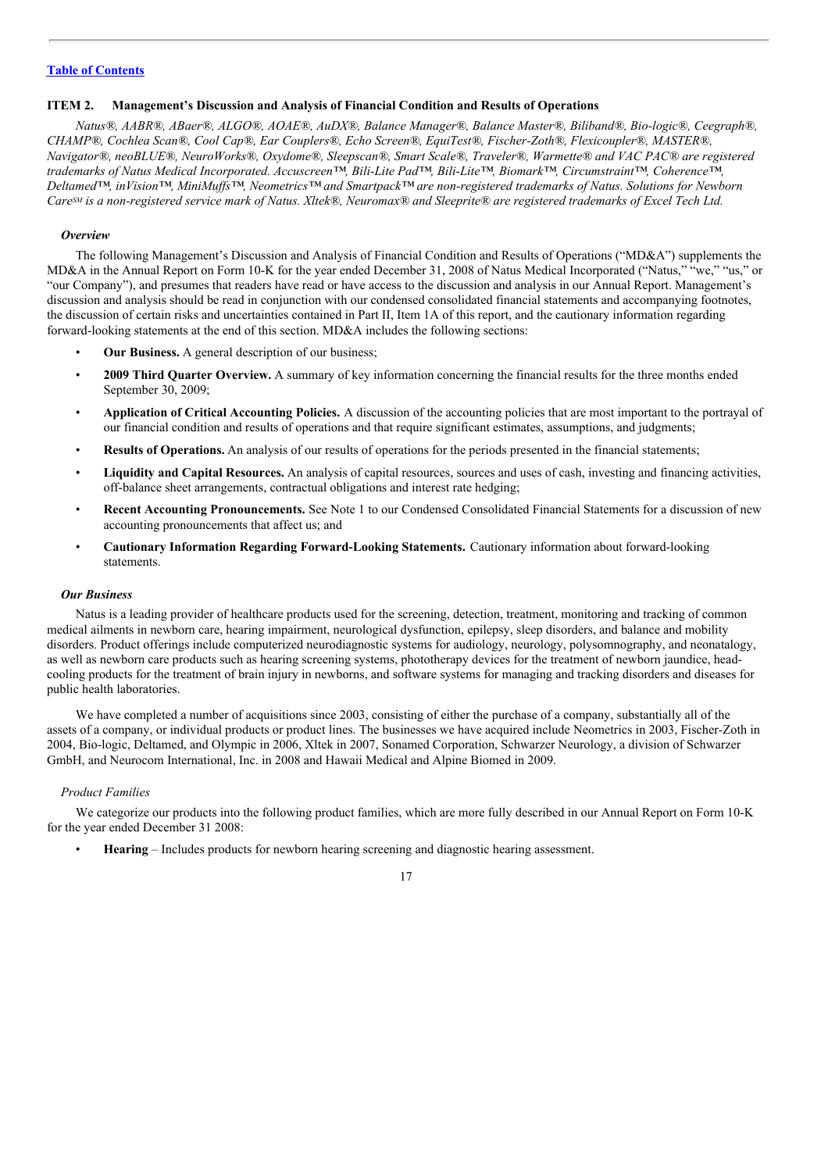## **ITEM 2. Management's Discussion and Analysis of Financial Condition and Results of Operations**

*Natus®, AABR®, ABaer®, ALGO®, AOAE®, AuDX®, Balance Manager®, Balance Master®, Biliband®, Bio-logic®, Ceegraph®, CHAMP®, Cochlea Scan®, Cool Cap®, Ear Couplers®, Echo Screen®, EquiTest®, Fischer-Zoth®, Flexicoupler®, MASTER®, Navigator®, neoBLUE®, NeuroWorks®, Oxydome®, Sleepscan®, Smart Scale®, Traveler®, Warmette® and VAC PAC® are registered trademarks of Natus Medical Incorporated. Accuscreen™, Bili-Lite Pad™, Bili-Lite™, Biomark™, Circumstraint™, Coherence™,* Deltamed™, inVision™, MiniMuffs™, Neometrics™ and Smartpack™ are non-registered trademarks of Natus. Solutions for Newborn CareSM is a non-registered service mark of Natus. XItek®, Neuromax® and Sleeprite® are registered trademarks of Excel Tech Ltd.

#### *Overview*

The following Management's Discussion and Analysis of Financial Condition and Results of Operations ("MD&A") supplements the MD&A in the Annual Report on Form 10-K for the year ended December 31, 2008 of Natus Medical Incorporated ("Natus," "we," "us," or "our Company"), and presumes that readers have read or have access to the discussion and analysis in our Annual Report. Management's discussion and analysis should be read in conjunction with our condensed consolidated financial statements and accompanying footnotes, the discussion of certain risks and uncertainties contained in Part II, Item 1A of this report, and the cautionary information regarding forward-looking statements at the end of this section. MD&A includes the following sections:

- **Our Business.** A general description of our business;
- **2009 Third Quarter Overview.** A summary of key information concerning the financial results for the three months ended September 30, 2009;
- **Application of Critical Accounting Policies.** A discussion of the accounting policies that are most important to the portrayal of our financial condition and results of operations and that require significant estimates, assumptions, and judgments;
- **Results of Operations.** An analysis of our results of operations for the periods presented in the financial statements;
- **Liquidity and Capital Resources.** An analysis of capital resources, sources and uses of cash, investing and financing activities, off-balance sheet arrangements, contractual obligations and interest rate hedging;
- **Recent Accounting Pronouncements.** See Note 1 to our Condensed Consolidated Financial Statements for a discussion of new accounting pronouncements that affect us; and
- **Cautionary Information Regarding Forward-Looking Statements.** Cautionary information about forward-looking statements.

#### *Our Business*

Natus is a leading provider of healthcare products used for the screening, detection, treatment, monitoring and tracking of common medical ailments in newborn care, hearing impairment, neurological dysfunction, epilepsy, sleep disorders, and balance and mobility disorders. Product offerings include computerized neurodiagnostic systems for audiology, neurology, polysomnography, and neonatalogy, as well as newborn care products such as hearing screening systems, phototherapy devices for the treatment of newborn jaundice, headcooling products for the treatment of brain injury in newborns, and software systems for managing and tracking disorders and diseases for public health laboratories.

We have completed a number of acquisitions since 2003, consisting of either the purchase of a company, substantially all of the assets of a company, or individual products or product lines. The businesses we have acquired include Neometrics in 2003, Fischer-Zoth in 2004, Bio-logic, Deltamed, and Olympic in 2006, Xltek in 2007, Sonamed Corporation, Schwarzer Neurology, a division of Schwarzer GmbH, and Neurocom International, Inc. in 2008 and Hawaii Medical and Alpine Biomed in 2009.

#### *Product Families*

We categorize our products into the following product families, which are more fully described in our Annual Report on Form 10-K for the year ended December 31 2008:

• **Hearing** – Includes products for newborn hearing screening and diagnostic hearing assessment.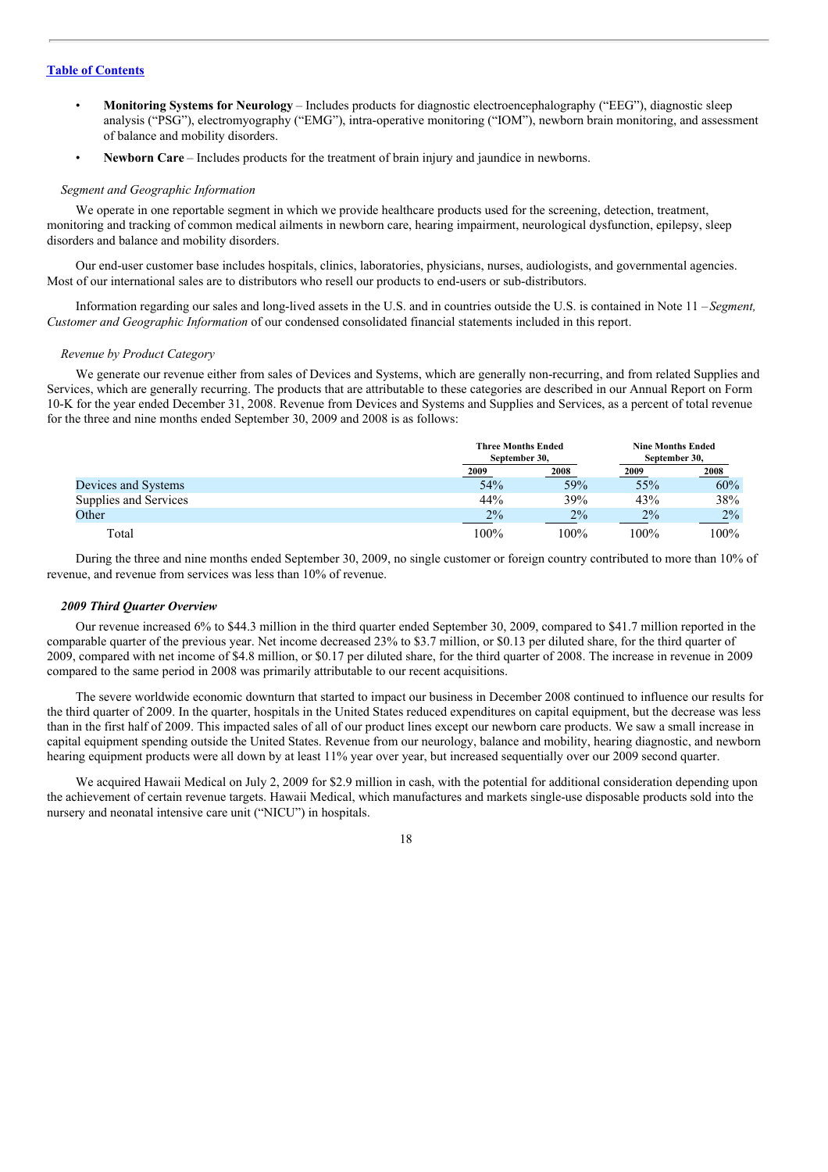- **Monitoring Systems for Neurology** *–* Includes products for diagnostic electroencephalography ("EEG"), diagnostic sleep analysis ("PSG"), electromyography ("EMG"), intra-operative monitoring ("IOM"), newborn brain monitoring, and assessment of balance and mobility disorders.
- **Newborn Care** Includes products for the treatment of brain injury and jaundice in newborns.

#### *Segment and Geographic Information*

We operate in one reportable segment in which we provide healthcare products used for the screening, detection, treatment, monitoring and tracking of common medical ailments in newborn care, hearing impairment, neurological dysfunction, epilepsy, sleep disorders and balance and mobility disorders.

Our end-user customer base includes hospitals, clinics, laboratories, physicians, nurses, audiologists, and governmental agencies. Most of our international sales are to distributors who resell our products to end-users or sub-distributors.

Information regarding our sales and long-lived assets in the U.S. and in countries outside the U.S. is contained in Note 11 –*Segment, Customer and Geographic Information* of our condensed consolidated financial statements included in this report.

#### *Revenue by Product Category*

We generate our revenue either from sales of Devices and Systems, which are generally non-recurring, and from related Supplies and Services, which are generally recurring. The products that are attributable to these categories are described in our Annual Report on Form 10-K for the year ended December 31, 2008. Revenue from Devices and Systems and Supplies and Services, as a percent of total revenue for the three and nine months ended September 30, 2009 and 2008 is as follows:

|                       |       | <b>Three Months Ended</b><br>September 30, |       | <b>Nine Months Ended</b><br>September 30, |
|-----------------------|-------|--------------------------------------------|-------|-------------------------------------------|
|                       | 2009  | 2008                                       | 2009  | 2008                                      |
| Devices and Systems   | 54%   | 59%                                        | 55%   | 60%                                       |
| Supplies and Services | 44%   | 39%                                        | 43%   | 38%                                       |
| Other                 | $2\%$ | $2\%$                                      | $2\%$ | $2\%$                                     |
| Total                 | 100%  | 100%                                       | 100%  | 100%                                      |

During the three and nine months ended September 30, 2009, no single customer or foreign country contributed to more than 10% of revenue, and revenue from services was less than 10% of revenue.

#### *2009 Third Quarter Overview*

Our revenue increased 6% to \$44.3 million in the third quarter ended September 30, 2009, compared to \$41.7 million reported in the comparable quarter of the previous year. Net income decreased 23% to \$3.7 million, or \$0.13 per diluted share, for the third quarter of 2009, compared with net income of \$4.8 million, or \$0.17 per diluted share, for the third quarter of 2008. The increase in revenue in 2009 compared to the same period in 2008 was primarily attributable to our recent acquisitions.

The severe worldwide economic downturn that started to impact our business in December 2008 continued to influence our results for the third quarter of 2009. In the quarter, hospitals in the United States reduced expenditures on capital equipment, but the decrease was less than in the first half of 2009. This impacted sales of all of our product lines except our newborn care products. We saw a small increase in capital equipment spending outside the United States. Revenue from our neurology, balance and mobility, hearing diagnostic, and newborn hearing equipment products were all down by at least 11% year over year, but increased sequentially over our 2009 second quarter.

We acquired Hawaii Medical on July 2, 2009 for \$2.9 million in cash, with the potential for additional consideration depending upon the achievement of certain revenue targets. Hawaii Medical, which manufactures and markets single-use disposable products sold into the nursery and neonatal intensive care unit ("NICU") in hospitals.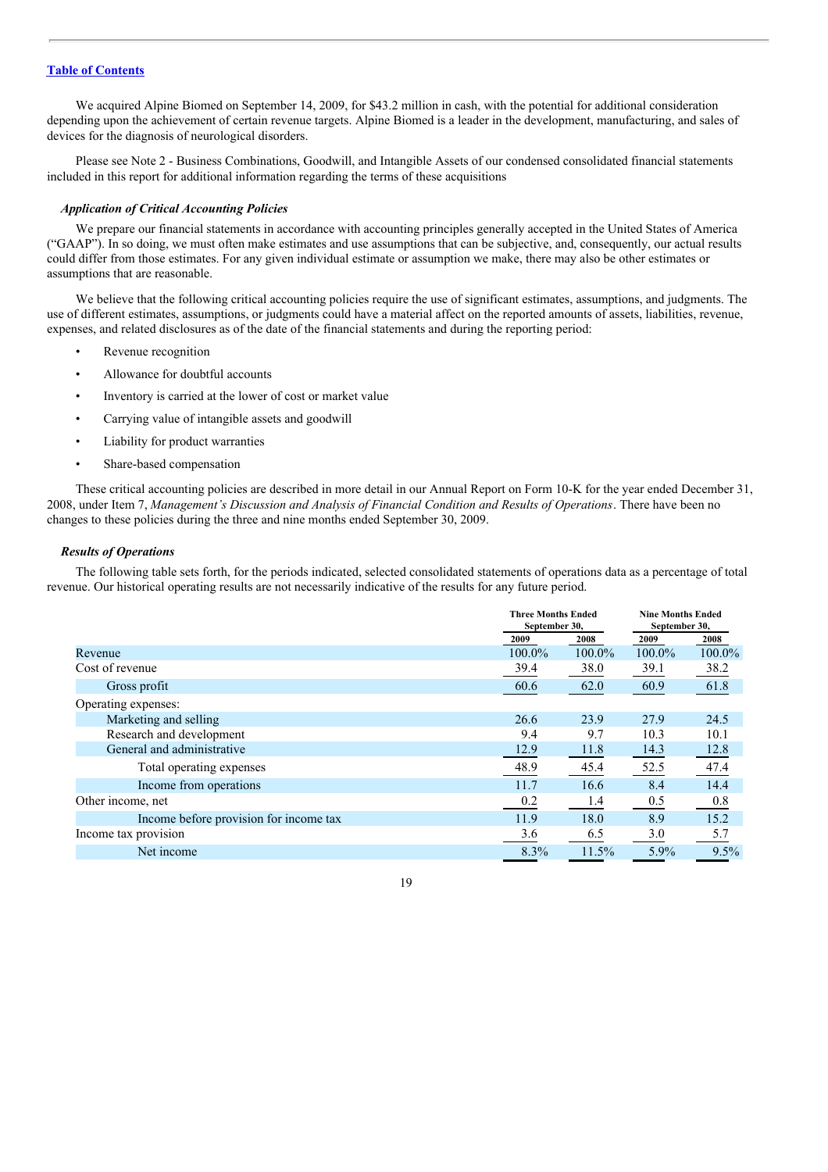We acquired Alpine Biomed on September 14, 2009, for \$43.2 million in cash, with the potential for additional consideration depending upon the achievement of certain revenue targets. Alpine Biomed is a leader in the development, manufacturing, and sales of devices for the diagnosis of neurological disorders.

Please see Note 2 - Business Combinations, Goodwill, and Intangible Assets of our condensed consolidated financial statements included in this report for additional information regarding the terms of these acquisitions

#### *Application of Critical Accounting Policies*

We prepare our financial statements in accordance with accounting principles generally accepted in the United States of America ("GAAP"). In so doing, we must often make estimates and use assumptions that can be subjective, and, consequently, our actual results could differ from those estimates. For any given individual estimate or assumption we make, there may also be other estimates or assumptions that are reasonable.

We believe that the following critical accounting policies require the use of significant estimates, assumptions, and judgments. The use of different estimates, assumptions, or judgments could have a material affect on the reported amounts of assets, liabilities, revenue, expenses, and related disclosures as of the date of the financial statements and during the reporting period:

- Revenue recognition
- Allowance for doubtful accounts
- Inventory is carried at the lower of cost or market value
- Carrying value of intangible assets and goodwill
- Liability for product warranties
- Share-based compensation

These critical accounting policies are described in more detail in our Annual Report on Form 10-K for the year ended December 31, 2008, under Item 7, *Management's Discussion and Analysis of Financial Condition and Results of Operations*. There have been no changes to these policies during the three and nine months ended September 30, 2009.

#### *Results of Operations*

The following table sets forth, for the periods indicated, selected consolidated statements of operations data as a percentage of total revenue. Our historical operating results are not necessarily indicative of the results for any future period.

|                                        |           | <b>Three Months Ended</b><br>September 30, |           | <b>Nine Months Ended</b><br>September 30, |
|----------------------------------------|-----------|--------------------------------------------|-----------|-------------------------------------------|
|                                        | 2009      | 2008                                       | 2009      | 2008                                      |
| Revenue                                | $100.0\%$ | $100.0\%$                                  | $100.0\%$ | $100.0\%$                                 |
| Cost of revenue                        | 39.4      | 38.0                                       | 39.1      | 38.2                                      |
| Gross profit                           | 60.6      | 62.0                                       | 60.9      | 61.8                                      |
| Operating expenses:                    |           |                                            |           |                                           |
| Marketing and selling                  | 26.6      | 23.9                                       | 27.9      | 24.5                                      |
| Research and development               | 9.4       | 9.7                                        | 10.3      | 10.1                                      |
| General and administrative             | 12.9      | 11.8                                       | 14.3      | 12.8                                      |
| Total operating expenses               | 48.9      | 45.4                                       | 52.5      | 47.4                                      |
| Income from operations                 | 11.7      | 16.6                                       | 8.4       | 14.4                                      |
| Other income, net                      | 0.2       | 1.4                                        | 0.5       | 0.8                                       |
| Income before provision for income tax | 11.9      | 18.0                                       | 8.9       | 15.2                                      |
| Income tax provision                   | 3.6       | 6.5                                        | 3.0       | 5.7                                       |
| Net income                             | $8.3\%$   | $11.5\%$                                   | 5.9%      | $9.5\%$                                   |
|                                        |           |                                            |           |                                           |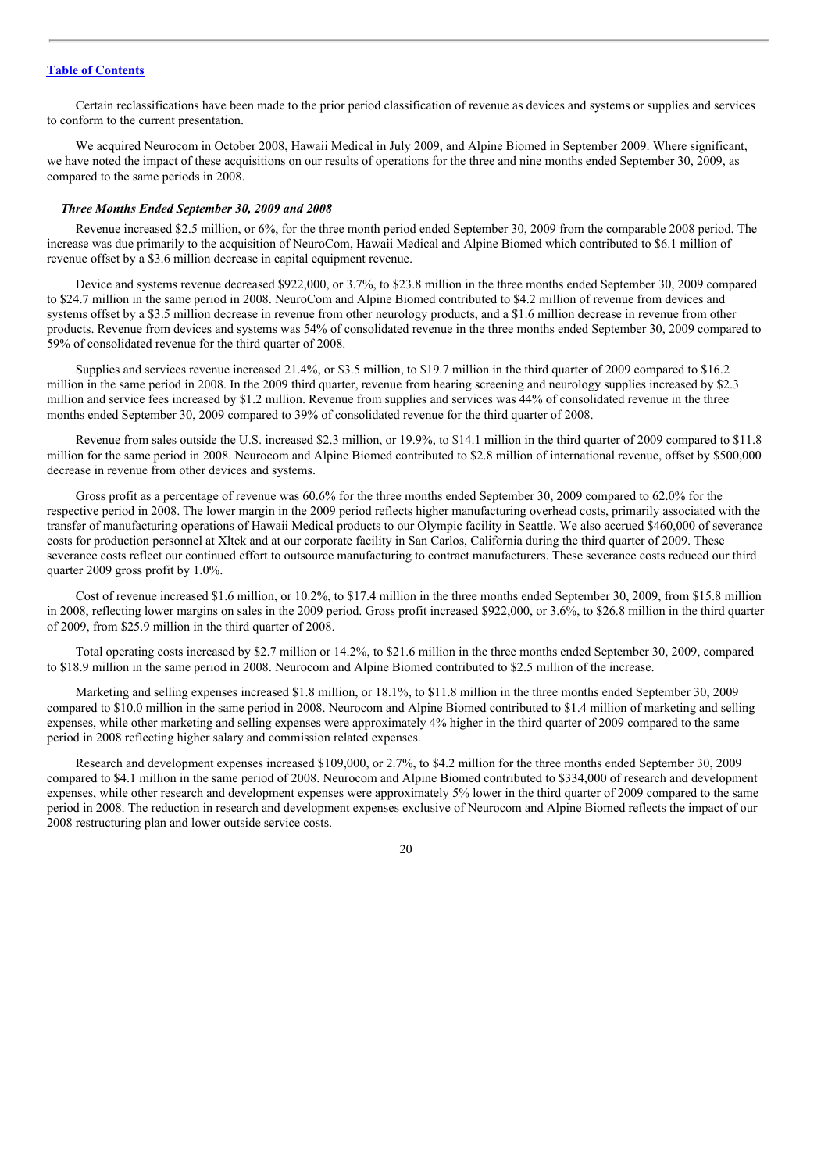Certain reclassifications have been made to the prior period classification of revenue as devices and systems or supplies and services to conform to the current presentation.

We acquired Neurocom in October 2008, Hawaii Medical in July 2009, and Alpine Biomed in September 2009. Where significant, we have noted the impact of these acquisitions on our results of operations for the three and nine months ended September 30, 2009, as compared to the same periods in 2008.

#### *Three Months Ended September 30, 2009 and 2008*

Revenue increased \$2.5 million, or 6%, for the three month period ended September 30, 2009 from the comparable 2008 period. The increase was due primarily to the acquisition of NeuroCom, Hawaii Medical and Alpine Biomed which contributed to \$6.1 million of revenue offset by a \$3.6 million decrease in capital equipment revenue.

Device and systems revenue decreased \$922,000, or 3.7%, to \$23.8 million in the three months ended September 30, 2009 compared to \$24.7 million in the same period in 2008. NeuroCom and Alpine Biomed contributed to \$4.2 million of revenue from devices and systems offset by a \$3.5 million decrease in revenue from other neurology products, and a \$1.6 million decrease in revenue from other products. Revenue from devices and systems was 54% of consolidated revenue in the three months ended September 30, 2009 compared to 59% of consolidated revenue for the third quarter of 2008.

Supplies and services revenue increased 21.4%, or \$3.5 million, to \$19.7 million in the third quarter of 2009 compared to \$16.2 million in the same period in 2008. In the 2009 third quarter, revenue from hearing screening and neurology supplies increased by \$2.3 million and service fees increased by \$1.2 million. Revenue from supplies and services was 44% of consolidated revenue in the three months ended September 30, 2009 compared to 39% of consolidated revenue for the third quarter of 2008.

Revenue from sales outside the U.S. increased \$2.3 million, or 19.9%, to \$14.1 million in the third quarter of 2009 compared to \$11.8 million for the same period in 2008. Neurocom and Alpine Biomed contributed to \$2.8 million of international revenue, offset by \$500,000 decrease in revenue from other devices and systems.

Gross profit as a percentage of revenue was 60.6% for the three months ended September 30, 2009 compared to 62.0% for the respective period in 2008. The lower margin in the 2009 period reflects higher manufacturing overhead costs, primarily associated with the transfer of manufacturing operations of Hawaii Medical products to our Olympic facility in Seattle. We also accrued \$460,000 of severance costs for production personnel at Xltek and at our corporate facility in San Carlos, California during the third quarter of 2009. These severance costs reflect our continued effort to outsource manufacturing to contract manufacturers. These severance costs reduced our third quarter 2009 gross profit by 1.0%.

Cost of revenue increased \$1.6 million, or 10.2%, to \$17.4 million in the three months ended September 30, 2009, from \$15.8 million in 2008, reflecting lower margins on sales in the 2009 period. Gross profit increased \$922,000, or 3.6%, to \$26.8 million in the third quarter of 2009, from \$25.9 million in the third quarter of 2008.

Total operating costs increased by \$2.7 million or 14.2%, to \$21.6 million in the three months ended September 30, 2009, compared to \$18.9 million in the same period in 2008. Neurocom and Alpine Biomed contributed to \$2.5 million of the increase.

Marketing and selling expenses increased \$1.8 million, or 18.1%, to \$11.8 million in the three months ended September 30, 2009 compared to \$10.0 million in the same period in 2008. Neurocom and Alpine Biomed contributed to \$1.4 million of marketing and selling expenses, while other marketing and selling expenses were approximately 4% higher in the third quarter of 2009 compared to the same period in 2008 reflecting higher salary and commission related expenses.

Research and development expenses increased \$109,000, or 2.7%, to \$4.2 million for the three months ended September 30, 2009 compared to \$4.1 million in the same period of 2008. Neurocom and Alpine Biomed contributed to \$334,000 of research and development expenses, while other research and development expenses were approximately 5% lower in the third quarter of 2009 compared to the same period in 2008. The reduction in research and development expenses exclusive of Neurocom and Alpine Biomed reflects the impact of our 2008 restructuring plan and lower outside service costs.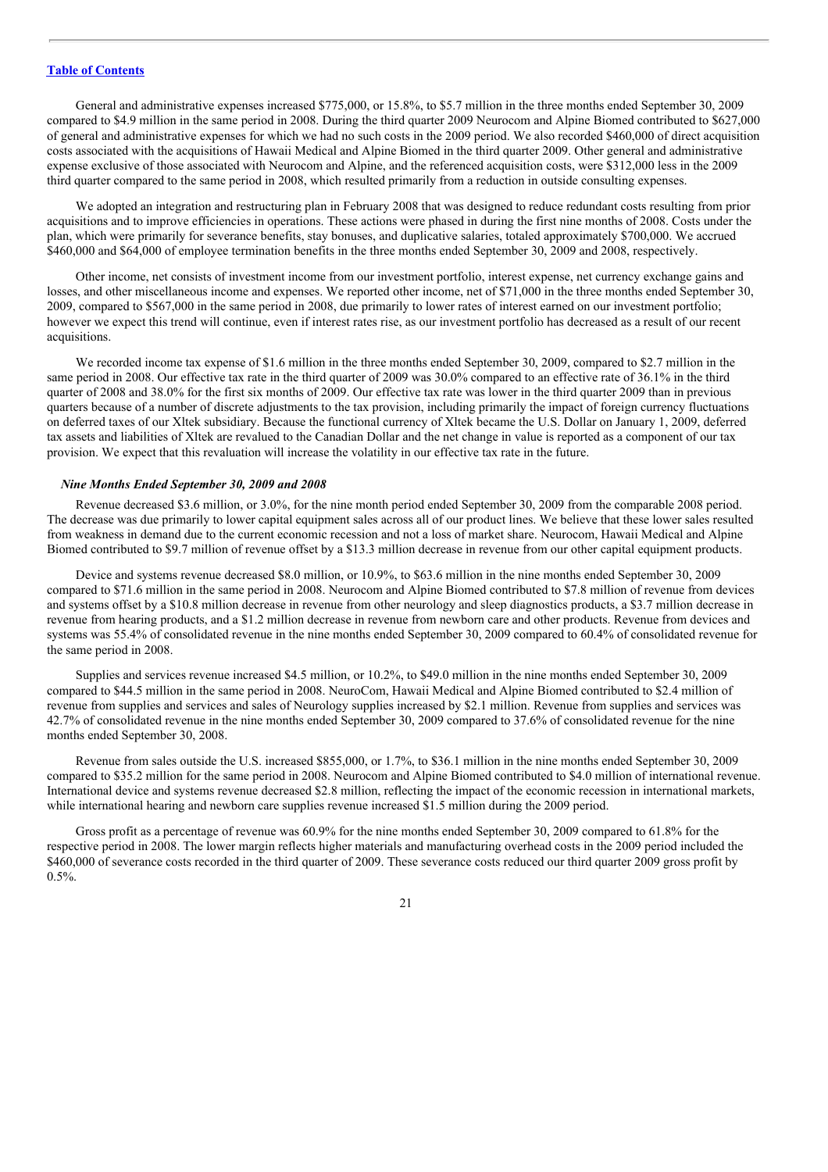General and administrative expenses increased \$775,000, or 15.8%, to \$5.7 million in the three months ended September 30, 2009 compared to \$4.9 million in the same period in 2008. During the third quarter 2009 Neurocom and Alpine Biomed contributed to \$627,000 of general and administrative expenses for which we had no such costs in the 2009 period. We also recorded \$460,000 of direct acquisition costs associated with the acquisitions of Hawaii Medical and Alpine Biomed in the third quarter 2009. Other general and administrative expense exclusive of those associated with Neurocom and Alpine, and the referenced acquisition costs, were \$312,000 less in the 2009 third quarter compared to the same period in 2008, which resulted primarily from a reduction in outside consulting expenses.

We adopted an integration and restructuring plan in February 2008 that was designed to reduce redundant costs resulting from prior acquisitions and to improve efficiencies in operations. These actions were phased in during the first nine months of 2008. Costs under the plan, which were primarily for severance benefits, stay bonuses, and duplicative salaries, totaled approximately \$700,000. We accrued \$460,000 and \$64,000 of employee termination benefits in the three months ended September 30, 2009 and 2008, respectively.

Other income, net consists of investment income from our investment portfolio, interest expense, net currency exchange gains and losses, and other miscellaneous income and expenses. We reported other income, net of \$71,000 in the three months ended September 30, 2009, compared to \$567,000 in the same period in 2008, due primarily to lower rates of interest earned on our investment portfolio; however we expect this trend will continue, even if interest rates rise, as our investment portfolio has decreased as a result of our recent acquisitions.

We recorded income tax expense of \$1.6 million in the three months ended September 30, 2009, compared to \$2.7 million in the same period in 2008. Our effective tax rate in the third quarter of 2009 was 30.0% compared to an effective rate of 36.1% in the third quarter of 2008 and 38.0% for the first six months of 2009. Our effective tax rate was lower in the third quarter 2009 than in previous quarters because of a number of discrete adjustments to the tax provision, including primarily the impact of foreign currency fluctuations on deferred taxes of our Xltek subsidiary. Because the functional currency of Xltek became the U.S. Dollar on January 1, 2009, deferred tax assets and liabilities of Xltek are revalued to the Canadian Dollar and the net change in value is reported as a component of our tax provision. We expect that this revaluation will increase the volatility in our effective tax rate in the future.

#### *Nine Months Ended September 30, 2009 and 2008*

Revenue decreased \$3.6 million, or 3.0%, for the nine month period ended September 30, 2009 from the comparable 2008 period. The decrease was due primarily to lower capital equipment sales across all of our product lines. We believe that these lower sales resulted from weakness in demand due to the current economic recession and not a loss of market share. Neurocom, Hawaii Medical and Alpine Biomed contributed to \$9.7 million of revenue offset by a \$13.3 million decrease in revenue from our other capital equipment products.

Device and systems revenue decreased \$8.0 million, or 10.9%, to \$63.6 million in the nine months ended September 30, 2009 compared to \$71.6 million in the same period in 2008. Neurocom and Alpine Biomed contributed to \$7.8 million of revenue from devices and systems offset by a \$10.8 million decrease in revenue from other neurology and sleep diagnostics products, a \$3.7 million decrease in revenue from hearing products, and a \$1.2 million decrease in revenue from newborn care and other products. Revenue from devices and systems was 55.4% of consolidated revenue in the nine months ended September 30, 2009 compared to 60.4% of consolidated revenue for the same period in 2008.

Supplies and services revenue increased \$4.5 million, or 10.2%, to \$49.0 million in the nine months ended September 30, 2009 compared to \$44.5 million in the same period in 2008. NeuroCom, Hawaii Medical and Alpine Biomed contributed to \$2.4 million of revenue from supplies and services and sales of Neurology supplies increased by \$2.1 million. Revenue from supplies and services was 42.7% of consolidated revenue in the nine months ended September 30, 2009 compared to 37.6% of consolidated revenue for the nine months ended September 30, 2008.

Revenue from sales outside the U.S. increased \$855,000, or 1.7%, to \$36.1 million in the nine months ended September 30, 2009 compared to \$35.2 million for the same period in 2008. Neurocom and Alpine Biomed contributed to \$4.0 million of international revenue. International device and systems revenue decreased \$2.8 million, reflecting the impact of the economic recession in international markets, while international hearing and newborn care supplies revenue increased \$1.5 million during the 2009 period.

Gross profit as a percentage of revenue was 60.9% for the nine months ended September 30, 2009 compared to 61.8% for the respective period in 2008. The lower margin reflects higher materials and manufacturing overhead costs in the 2009 period included the \$460,000 of severance costs recorded in the third quarter of 2009. These severance costs reduced our third quarter 2009 gross profit by 0.5%.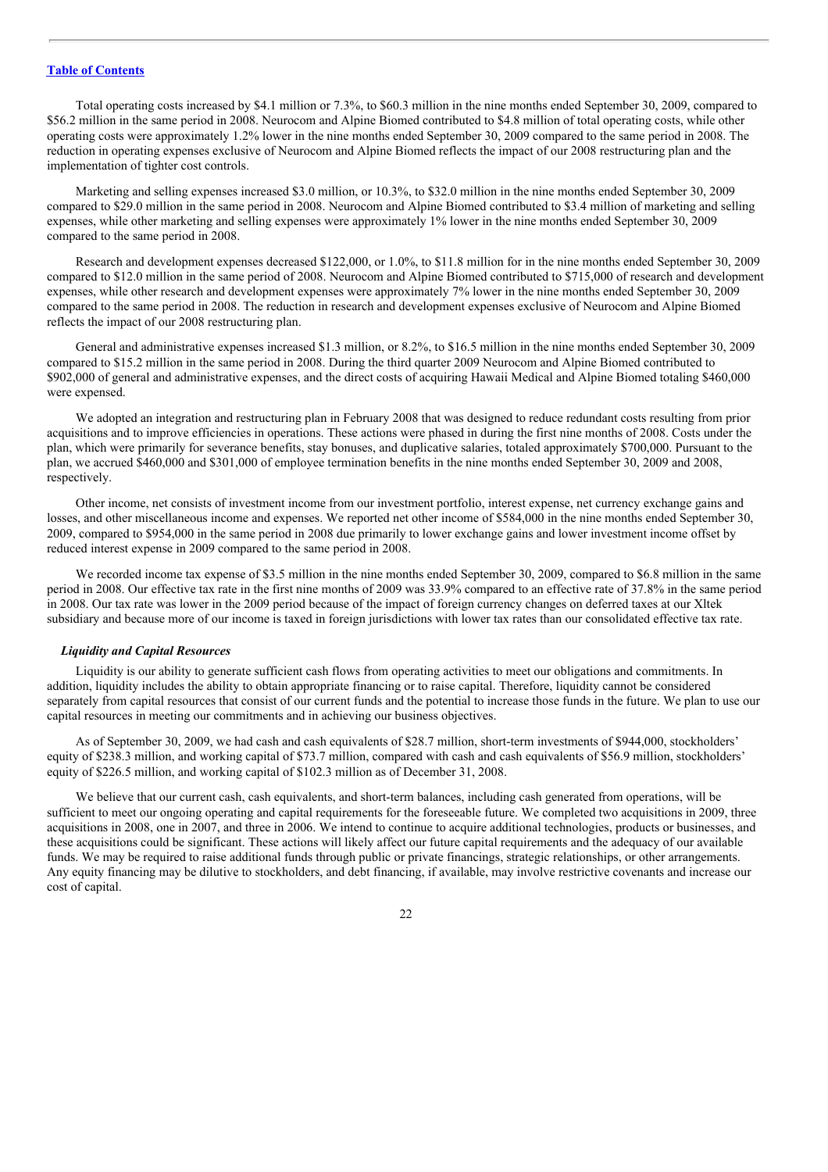Total operating costs increased by \$4.1 million or 7.3%, to \$60.3 million in the nine months ended September 30, 2009, compared to \$56.2 million in the same period in 2008. Neurocom and Alpine Biomed contributed to \$4.8 million of total operating costs, while other operating costs were approximately 1.2% lower in the nine months ended September 30, 2009 compared to the same period in 2008. The reduction in operating expenses exclusive of Neurocom and Alpine Biomed reflects the impact of our 2008 restructuring plan and the implementation of tighter cost controls.

Marketing and selling expenses increased \$3.0 million, or 10.3%, to \$32.0 million in the nine months ended September 30, 2009 compared to \$29.0 million in the same period in 2008. Neurocom and Alpine Biomed contributed to \$3.4 million of marketing and selling expenses, while other marketing and selling expenses were approximately 1% lower in the nine months ended September 30, 2009 compared to the same period in 2008.

Research and development expenses decreased \$122,000, or 1.0%, to \$11.8 million for in the nine months ended September 30, 2009 compared to \$12.0 million in the same period of 2008. Neurocom and Alpine Biomed contributed to \$715,000 of research and development expenses, while other research and development expenses were approximately 7% lower in the nine months ended September 30, 2009 compared to the same period in 2008. The reduction in research and development expenses exclusive of Neurocom and Alpine Biomed reflects the impact of our 2008 restructuring plan.

General and administrative expenses increased \$1.3 million, or 8.2%, to \$16.5 million in the nine months ended September 30, 2009 compared to \$15.2 million in the same period in 2008. During the third quarter 2009 Neurocom and Alpine Biomed contributed to \$902,000 of general and administrative expenses, and the direct costs of acquiring Hawaii Medical and Alpine Biomed totaling \$460,000 were expensed.

We adopted an integration and restructuring plan in February 2008 that was designed to reduce redundant costs resulting from prior acquisitions and to improve efficiencies in operations. These actions were phased in during the first nine months of 2008. Costs under the plan, which were primarily for severance benefits, stay bonuses, and duplicative salaries, totaled approximately \$700,000. Pursuant to the plan, we accrued \$460,000 and \$301,000 of employee termination benefits in the nine months ended September 30, 2009 and 2008, respectively.

Other income, net consists of investment income from our investment portfolio, interest expense, net currency exchange gains and losses, and other miscellaneous income and expenses. We reported net other income of \$584,000 in the nine months ended September 30, 2009, compared to \$954,000 in the same period in 2008 due primarily to lower exchange gains and lower investment income offset by reduced interest expense in 2009 compared to the same period in 2008.

We recorded income tax expense of \$3.5 million in the nine months ended September 30, 2009, compared to \$6.8 million in the same period in 2008. Our effective tax rate in the first nine months of 2009 was 33.9% compared to an effective rate of 37.8% in the same period in 2008. Our tax rate was lower in the 2009 period because of the impact of foreign currency changes on deferred taxes at our Xltek subsidiary and because more of our income is taxed in foreign jurisdictions with lower tax rates than our consolidated effective tax rate.

#### *Liquidity and Capital Resources*

Liquidity is our ability to generate sufficient cash flows from operating activities to meet our obligations and commitments. In addition, liquidity includes the ability to obtain appropriate financing or to raise capital. Therefore, liquidity cannot be considered separately from capital resources that consist of our current funds and the potential to increase those funds in the future. We plan to use our capital resources in meeting our commitments and in achieving our business objectives.

As of September 30, 2009, we had cash and cash equivalents of \$28.7 million, short-term investments of \$944,000, stockholders' equity of \$238.3 million, and working capital of \$73.7 million, compared with cash and cash equivalents of \$56.9 million, stockholders' equity of \$226.5 million, and working capital of \$102.3 million as of December 31, 2008.

We believe that our current cash, cash equivalents, and short-term balances, including cash generated from operations, will be sufficient to meet our ongoing operating and capital requirements for the foreseeable future. We completed two acquisitions in 2009, three acquisitions in 2008, one in 2007, and three in 2006. We intend to continue to acquire additional technologies, products or businesses, and these acquisitions could be significant. These actions will likely affect our future capital requirements and the adequacy of our available funds. We may be required to raise additional funds through public or private financings, strategic relationships, or other arrangements. Any equity financing may be dilutive to stockholders, and debt financing, if available, may involve restrictive covenants and increase our cost of capital.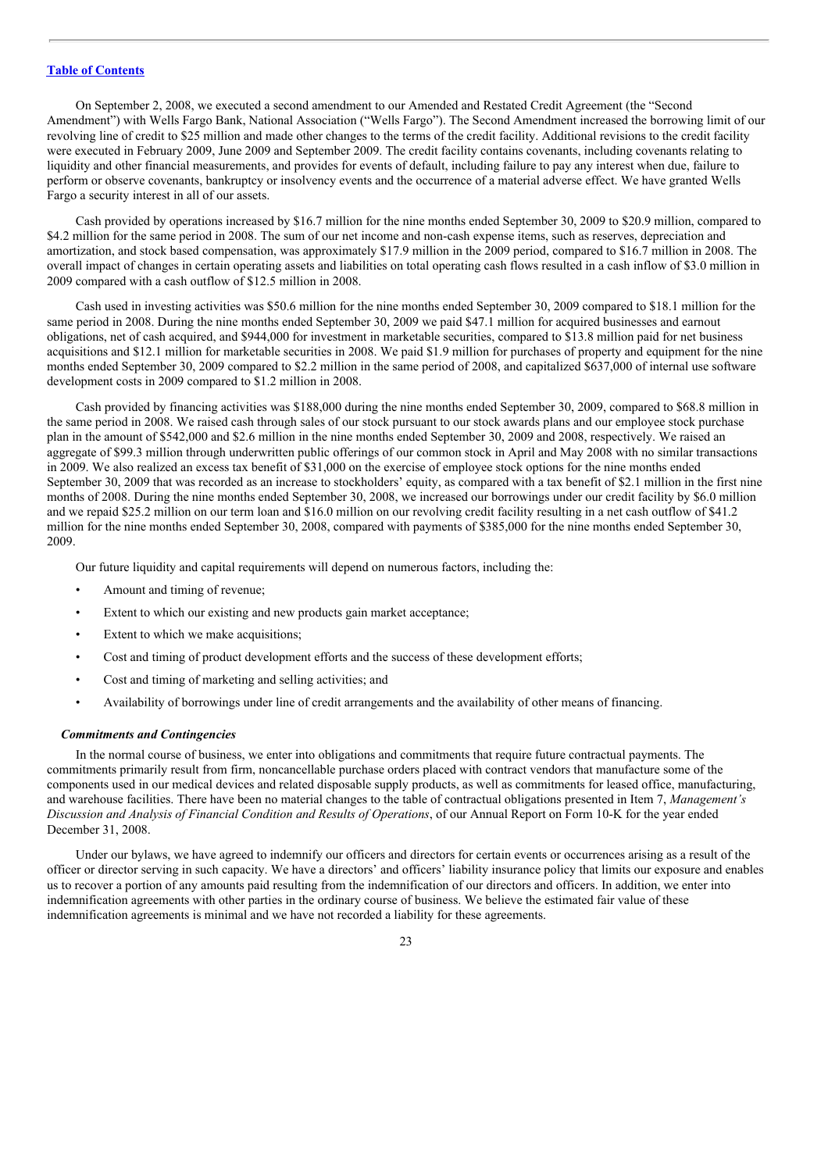On September 2, 2008, we executed a second amendment to our Amended and Restated Credit Agreement (the "Second Amendment") with Wells Fargo Bank, National Association ("Wells Fargo"). The Second Amendment increased the borrowing limit of our revolving line of credit to \$25 million and made other changes to the terms of the credit facility. Additional revisions to the credit facility were executed in February 2009, June 2009 and September 2009. The credit facility contains covenants, including covenants relating to liquidity and other financial measurements, and provides for events of default, including failure to pay any interest when due, failure to perform or observe covenants, bankruptcy or insolvency events and the occurrence of a material adverse effect. We have granted Wells Fargo a security interest in all of our assets.

Cash provided by operations increased by \$16.7 million for the nine months ended September 30, 2009 to \$20.9 million, compared to \$4.2 million for the same period in 2008. The sum of our net income and non-cash expense items, such as reserves, depreciation and amortization, and stock based compensation, was approximately \$17.9 million in the 2009 period, compared to \$16.7 million in 2008. The overall impact of changes in certain operating assets and liabilities on total operating cash flows resulted in a cash inflow of \$3.0 million in 2009 compared with a cash outflow of \$12.5 million in 2008.

Cash used in investing activities was \$50.6 million for the nine months ended September 30, 2009 compared to \$18.1 million for the same period in 2008. During the nine months ended September 30, 2009 we paid \$47.1 million for acquired businesses and earnout obligations, net of cash acquired, and \$944,000 for investment in marketable securities, compared to \$13.8 million paid for net business acquisitions and \$12.1 million for marketable securities in 2008. We paid \$1.9 million for purchases of property and equipment for the nine months ended September 30, 2009 compared to \$2.2 million in the same period of 2008, and capitalized \$637,000 of internal use software development costs in 2009 compared to \$1.2 million in 2008.

Cash provided by financing activities was \$188,000 during the nine months ended September 30, 2009, compared to \$68.8 million in the same period in 2008. We raised cash through sales of our stock pursuant to our stock awards plans and our employee stock purchase plan in the amount of \$542,000 and \$2.6 million in the nine months ended September 30, 2009 and 2008, respectively. We raised an aggregate of \$99.3 million through underwritten public offerings of our common stock in April and May 2008 with no similar transactions in 2009. We also realized an excess tax benefit of \$31,000 on the exercise of employee stock options for the nine months ended September 30, 2009 that was recorded as an increase to stockholders' equity, as compared with a tax benefit of \$2.1 million in the first nine months of 2008. During the nine months ended September 30, 2008, we increased our borrowings under our credit facility by \$6.0 million and we repaid \$25.2 million on our term loan and \$16.0 million on our revolving credit facility resulting in a net cash outflow of \$41.2 million for the nine months ended September 30, 2008, compared with payments of \$385,000 for the nine months ended September 30, 2009.

Our future liquidity and capital requirements will depend on numerous factors, including the:

- Amount and timing of revenue;
- Extent to which our existing and new products gain market acceptance;
- Extent to which we make acquisitions:
- Cost and timing of product development efforts and the success of these development efforts;
- Cost and timing of marketing and selling activities; and
- Availability of borrowings under line of credit arrangements and the availability of other means of financing.

#### *Commitments and Contingencies*

In the normal course of business, we enter into obligations and commitments that require future contractual payments. The commitments primarily result from firm, noncancellable purchase orders placed with contract vendors that manufacture some of the components used in our medical devices and related disposable supply products, as well as commitments for leased office, manufacturing, and warehouse facilities. There have been no material changes to the table of contractual obligations presented in Item 7, *Management's Discussion and Analysis of Financial Condition and Results of Operations*, of our Annual Report on Form 10-K for the year ended December 31, 2008.

Under our bylaws, we have agreed to indemnify our officers and directors for certain events or occurrences arising as a result of the officer or director serving in such capacity. We have a directors' and officers' liability insurance policy that limits our exposure and enables us to recover a portion of any amounts paid resulting from the indemnification of our directors and officers. In addition, we enter into indemnification agreements with other parties in the ordinary course of business. We believe the estimated fair value of these indemnification agreements is minimal and we have not recorded a liability for these agreements.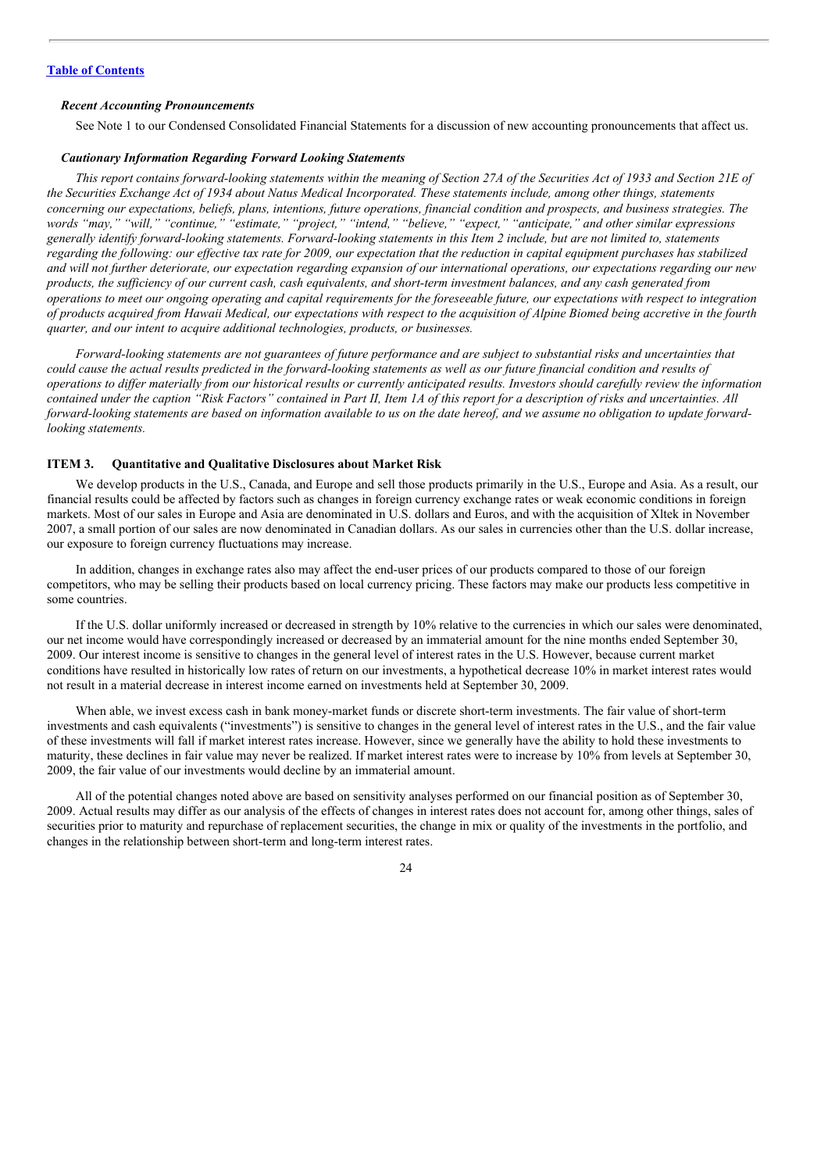#### *Recent Accounting Pronouncements*

See Note 1 to our Condensed Consolidated Financial Statements for a discussion of new accounting pronouncements that affect us.

#### *Cautionary Information Regarding Forward Looking Statements*

This report contains forward-looking statements within the meaning of Section 27A of the Securities Act of 1933 and Section 21E of the Securities Exchange Act of 1934 about Natus Medical Incorporated. These statements include, among other things, statements concerning our expectations, beliefs, plans, intentions, future operations, financial condition and prospects, and business strategies. The words "may," "will," "continue," "estimate," "project," "intend," "believe," "expect," "anticipate," and other similar expressions generally identify forward-looking statements. Forward-looking statements in this Item 2 include, but are not limited to, statements regarding the following: our effective tax rate for 2009, our expectation that the reduction in capital equipment purchases has stabilized and will not further deteriorate, our expectation regarding expansion of our international operations, our expectations regarding our new products, the sufficiency of our current cash, cash equivalents, and short-term investment balances, and any cash generated from operations to meet our ongoing operating and capital requirements for the foreseeable future, our expectations with respect to integration of products acquired from Hawaii Medical, our expectations with respect to the acquisition of Alpine Biomed being accretive in the fourth *quarter, and our intent to acquire additional technologies, products, or businesses.*

Forward-looking statements are not guarantees of future performance and are subject to substantial risks and uncertainties that could cause the actual results predicted in the forward-looking statements as well as our future financial condition and results of operations to differ materially from our historical results or currently anticipated results. Investors should carefully review the information contained under the caption "Risk Factors" contained in Part II, Item 1A of this report for a description of risks and uncertainties. All forward-looking statements are based on information available to us on the date hereof, and we assume no obligation to update forward*looking statements.*

#### **ITEM 3. Quantitative and Qualitative Disclosures about Market Risk**

We develop products in the U.S., Canada, and Europe and sell those products primarily in the U.S., Europe and Asia. As a result, our financial results could be affected by factors such as changes in foreign currency exchange rates or weak economic conditions in foreign markets. Most of our sales in Europe and Asia are denominated in U.S. dollars and Euros, and with the acquisition of Xltek in November 2007, a small portion of our sales are now denominated in Canadian dollars. As our sales in currencies other than the U.S. dollar increase, our exposure to foreign currency fluctuations may increase.

In addition, changes in exchange rates also may affect the end-user prices of our products compared to those of our foreign competitors, who may be selling their products based on local currency pricing. These factors may make our products less competitive in some countries.

If the U.S. dollar uniformly increased or decreased in strength by 10% relative to the currencies in which our sales were denominated, our net income would have correspondingly increased or decreased by an immaterial amount for the nine months ended September 30, 2009. Our interest income is sensitive to changes in the general level of interest rates in the U.S. However, because current market conditions have resulted in historically low rates of return on our investments, a hypothetical decrease 10% in market interest rates would not result in a material decrease in interest income earned on investments held at September 30, 2009.

When able, we invest excess cash in bank money-market funds or discrete short-term investments. The fair value of short-term investments and cash equivalents ("investments") is sensitive to changes in the general level of interest rates in the U.S., and the fair value of these investments will fall if market interest rates increase. However, since we generally have the ability to hold these investments to maturity, these declines in fair value may never be realized. If market interest rates were to increase by 10% from levels at September 30, 2009, the fair value of our investments would decline by an immaterial amount.

All of the potential changes noted above are based on sensitivity analyses performed on our financial position as of September 30, 2009. Actual results may differ as our analysis of the effects of changes in interest rates does not account for, among other things, sales of securities prior to maturity and repurchase of replacement securities, the change in mix or quality of the investments in the portfolio, and changes in the relationship between short-term and long-term interest rates.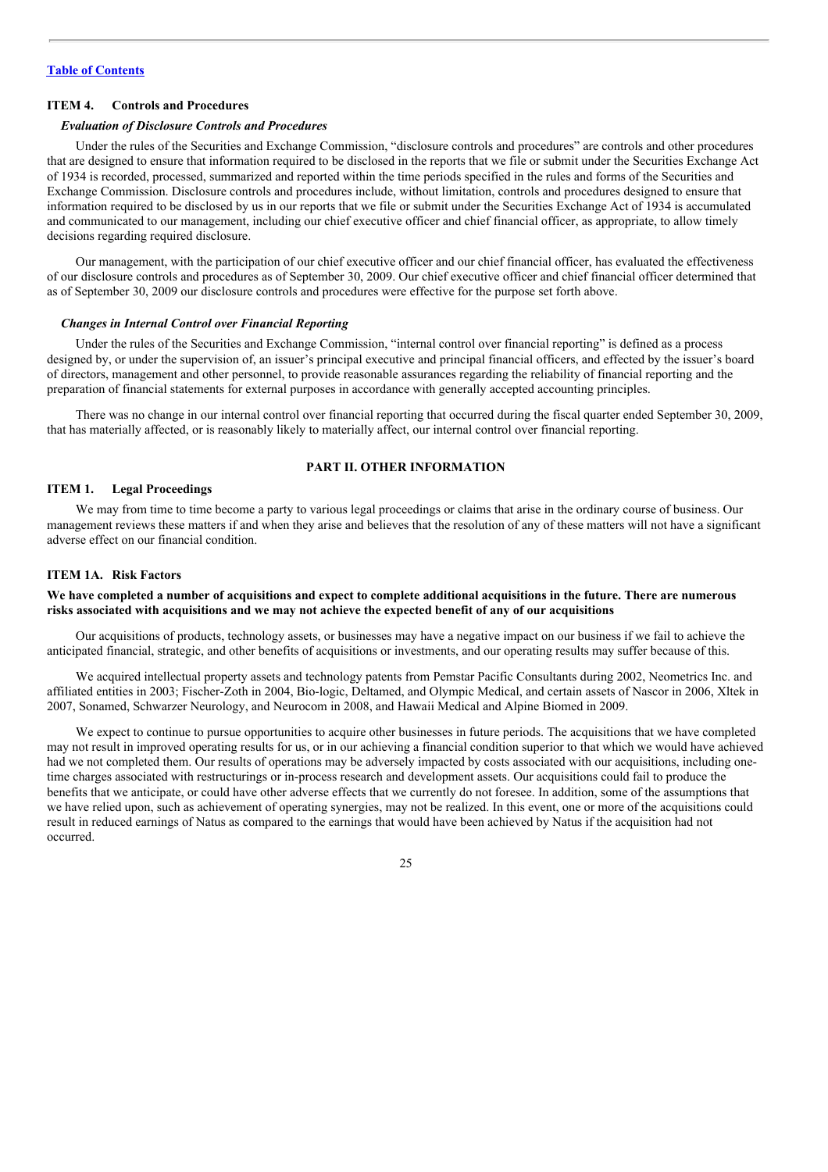#### **ITEM 4. Controls and Procedures**

#### *Evaluation of Disclosure Controls and Procedures*

Under the rules of the Securities and Exchange Commission, "disclosure controls and procedures" are controls and other procedures that are designed to ensure that information required to be disclosed in the reports that we file or submit under the Securities Exchange Act of 1934 is recorded, processed, summarized and reported within the time periods specified in the rules and forms of the Securities and Exchange Commission. Disclosure controls and procedures include, without limitation, controls and procedures designed to ensure that information required to be disclosed by us in our reports that we file or submit under the Securities Exchange Act of 1934 is accumulated and communicated to our management, including our chief executive officer and chief financial officer, as appropriate, to allow timely decisions regarding required disclosure.

Our management, with the participation of our chief executive officer and our chief financial officer, has evaluated the effectiveness of our disclosure controls and procedures as of September 30, 2009. Our chief executive officer and chief financial officer determined that as of September 30, 2009 our disclosure controls and procedures were effective for the purpose set forth above.

#### *Changes in Internal Control over Financial Reporting*

Under the rules of the Securities and Exchange Commission, "internal control over financial reporting" is defined as a process designed by, or under the supervision of, an issuer's principal executive and principal financial officers, and effected by the issuer's board of directors, management and other personnel, to provide reasonable assurances regarding the reliability of financial reporting and the preparation of financial statements for external purposes in accordance with generally accepted accounting principles.

There was no change in our internal control over financial reporting that occurred during the fiscal quarter ended September 30, 2009, that has materially affected, or is reasonably likely to materially affect, our internal control over financial reporting.

# **PART II. OTHER INFORMATION**

#### **ITEM 1. Legal Proceedings**

We may from time to time become a party to various legal proceedings or claims that arise in the ordinary course of business. Our management reviews these matters if and when they arise and believes that the resolution of any of these matters will not have a significant adverse effect on our financial condition.

# **ITEM 1A. Risk Factors**

#### We have completed a number of acquisitions and expect to complete additional acquisitions in the future. There are numerous **risks associated with acquisitions and we may not achieve the expected benefit of any of our acquisitions**

Our acquisitions of products, technology assets, or businesses may have a negative impact on our business if we fail to achieve the anticipated financial, strategic, and other benefits of acquisitions or investments, and our operating results may suffer because of this.

We acquired intellectual property assets and technology patents from Pemstar Pacific Consultants during 2002, Neometrics Inc. and affiliated entities in 2003; Fischer-Zoth in 2004, Bio-logic, Deltamed, and Olympic Medical, and certain assets of Nascor in 2006, Xltek in 2007, Sonamed, Schwarzer Neurology, and Neurocom in 2008, and Hawaii Medical and Alpine Biomed in 2009.

We expect to continue to pursue opportunities to acquire other businesses in future periods. The acquisitions that we have completed may not result in improved operating results for us, or in our achieving a financial condition superior to that which we would have achieved had we not completed them. Our results of operations may be adversely impacted by costs associated with our acquisitions, including onetime charges associated with restructurings or in-process research and development assets. Our acquisitions could fail to produce the benefits that we anticipate, or could have other adverse effects that we currently do not foresee. In addition, some of the assumptions that we have relied upon, such as achievement of operating synergies, may not be realized. In this event, one or more of the acquisitions could result in reduced earnings of Natus as compared to the earnings that would have been achieved by Natus if the acquisition had not occurred.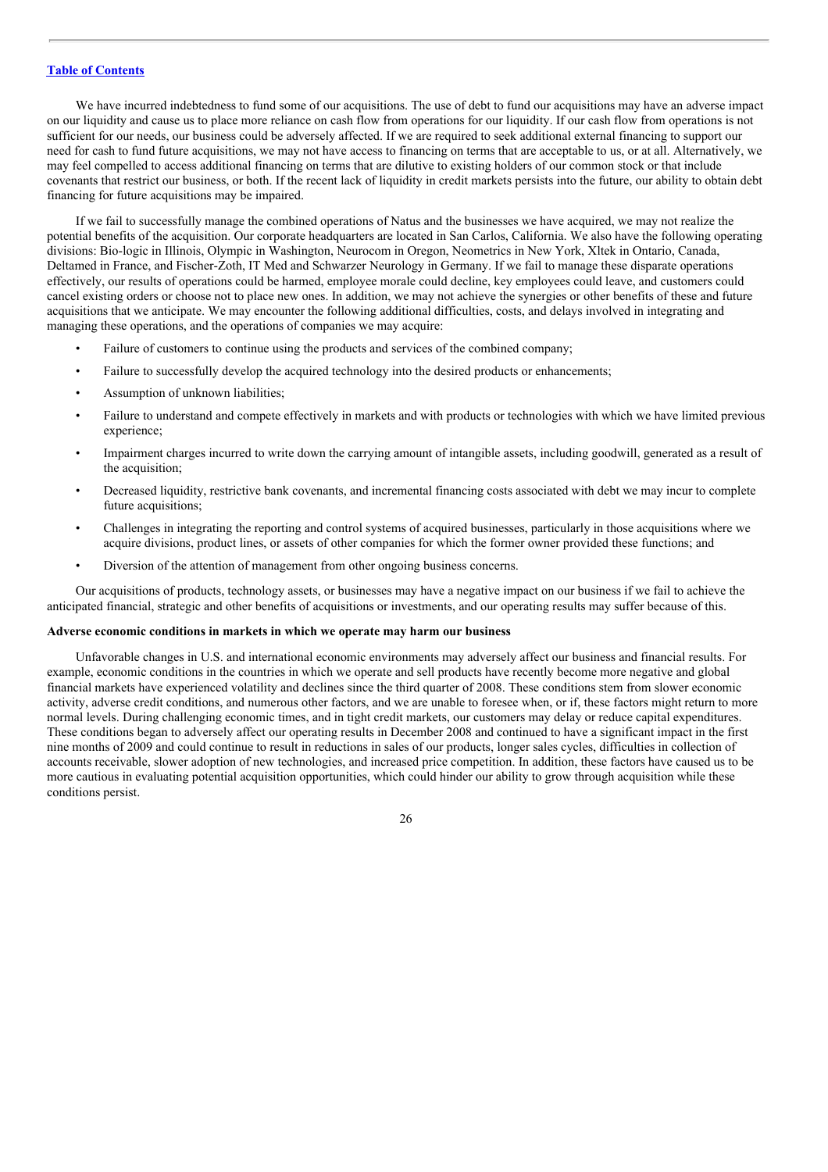We have incurred indebtedness to fund some of our acquisitions. The use of debt to fund our acquisitions may have an adverse impact on our liquidity and cause us to place more reliance on cash flow from operations for our liquidity. If our cash flow from operations is not sufficient for our needs, our business could be adversely affected. If we are required to seek additional external financing to support our need for cash to fund future acquisitions, we may not have access to financing on terms that are acceptable to us, or at all. Alternatively, we may feel compelled to access additional financing on terms that are dilutive to existing holders of our common stock or that include covenants that restrict our business, or both. If the recent lack of liquidity in credit markets persists into the future, our ability to obtain debt financing for future acquisitions may be impaired.

If we fail to successfully manage the combined operations of Natus and the businesses we have acquired, we may not realize the potential benefits of the acquisition. Our corporate headquarters are located in San Carlos, California. We also have the following operating divisions: Bio-logic in Illinois, Olympic in Washington, Neurocom in Oregon, Neometrics in New York, Xltek in Ontario, Canada, Deltamed in France, and Fischer-Zoth, IT Med and Schwarzer Neurology in Germany. If we fail to manage these disparate operations effectively, our results of operations could be harmed, employee morale could decline, key employees could leave, and customers could cancel existing orders or choose not to place new ones. In addition, we may not achieve the synergies or other benefits of these and future acquisitions that we anticipate. We may encounter the following additional difficulties, costs, and delays involved in integrating and managing these operations, and the operations of companies we may acquire:

- Failure of customers to continue using the products and services of the combined company;
- Failure to successfully develop the acquired technology into the desired products or enhancements;
- Assumption of unknown liabilities;
- Failure to understand and compete effectively in markets and with products or technologies with which we have limited previous experience;
- Impairment charges incurred to write down the carrying amount of intangible assets, including goodwill, generated as a result of the acquisition;
- Decreased liquidity, restrictive bank covenants, and incremental financing costs associated with debt we may incur to complete future acquisitions;
- Challenges in integrating the reporting and control systems of acquired businesses, particularly in those acquisitions where we acquire divisions, product lines, or assets of other companies for which the former owner provided these functions; and
- Diversion of the attention of management from other ongoing business concerns.

Our acquisitions of products, technology assets, or businesses may have a negative impact on our business if we fail to achieve the anticipated financial, strategic and other benefits of acquisitions or investments, and our operating results may suffer because of this.

#### **Adverse economic conditions in markets in which we operate may harm our business**

Unfavorable changes in U.S. and international economic environments may adversely affect our business and financial results. For example, economic conditions in the countries in which we operate and sell products have recently become more negative and global financial markets have experienced volatility and declines since the third quarter of 2008. These conditions stem from slower economic activity, adverse credit conditions, and numerous other factors, and we are unable to foresee when, or if, these factors might return to more normal levels. During challenging economic times, and in tight credit markets, our customers may delay or reduce capital expenditures. These conditions began to adversely affect our operating results in December 2008 and continued to have a significant impact in the first nine months of 2009 and could continue to result in reductions in sales of our products, longer sales cycles, difficulties in collection of accounts receivable, slower adoption of new technologies, and increased price competition. In addition, these factors have caused us to be more cautious in evaluating potential acquisition opportunities, which could hinder our ability to grow through acquisition while these conditions persist.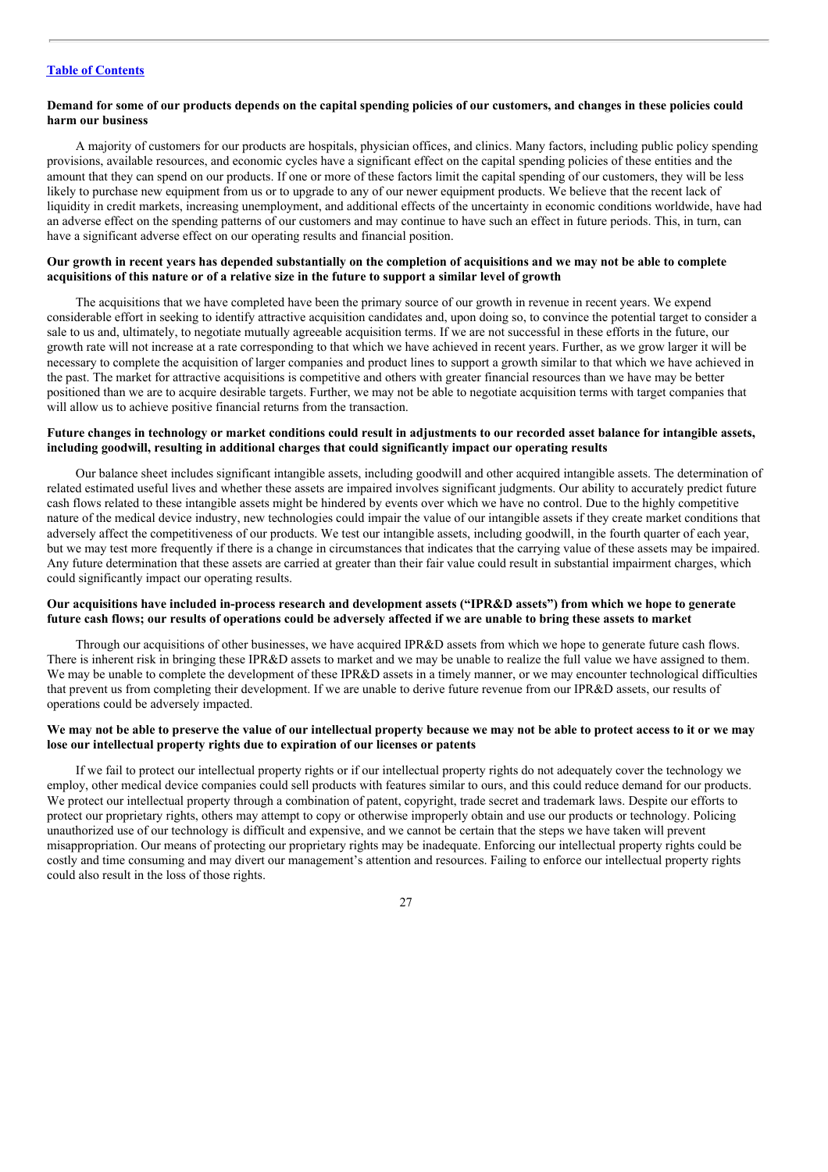# Demand for some of our products depends on the capital spending policies of our customers, and changes in these policies could **harm our business**

A majority of customers for our products are hospitals, physician offices, and clinics. Many factors, including public policy spending provisions, available resources, and economic cycles have a significant effect on the capital spending policies of these entities and the amount that they can spend on our products. If one or more of these factors limit the capital spending of our customers, they will be less likely to purchase new equipment from us or to upgrade to any of our newer equipment products. We believe that the recent lack of liquidity in credit markets, increasing unemployment, and additional effects of the uncertainty in economic conditions worldwide, have had an adverse effect on the spending patterns of our customers and may continue to have such an effect in future periods. This, in turn, can have a significant adverse effect on our operating results and financial position.

#### Our growth in recent years has depended substantially on the completion of acquisitions and we may not be able to complete acquisitions of this nature or of a relative size in the future to support a similar level of growth

The acquisitions that we have completed have been the primary source of our growth in revenue in recent years. We expend considerable effort in seeking to identify attractive acquisition candidates and, upon doing so, to convince the potential target to consider a sale to us and, ultimately, to negotiate mutually agreeable acquisition terms. If we are not successful in these efforts in the future, our growth rate will not increase at a rate corresponding to that which we have achieved in recent years. Further, as we grow larger it will be necessary to complete the acquisition of larger companies and product lines to support a growth similar to that which we have achieved in the past. The market for attractive acquisitions is competitive and others with greater financial resources than we have may be better positioned than we are to acquire desirable targets. Further, we may not be able to negotiate acquisition terms with target companies that will allow us to achieve positive financial returns from the transaction.

#### Future changes in technology or market conditions could result in adjustments to our recorded asset balance for intangible assets, **including goodwill, resulting in additional charges that could significantly impact our operating results**

Our balance sheet includes significant intangible assets, including goodwill and other acquired intangible assets. The determination of related estimated useful lives and whether these assets are impaired involves significant judgments. Our ability to accurately predict future cash flows related to these intangible assets might be hindered by events over which we have no control. Due to the highly competitive nature of the medical device industry, new technologies could impair the value of our intangible assets if they create market conditions that adversely affect the competitiveness of our products. We test our intangible assets, including goodwill, in the fourth quarter of each year, but we may test more frequently if there is a change in circumstances that indicates that the carrying value of these assets may be impaired. Any future determination that these assets are carried at greater than their fair value could result in substantial impairment charges, which could significantly impact our operating results.

#### Our acquisitions have included in-process research and development assets ("IPR&D assets") from which we hope to generate future cash flows; our results of operations could be adversely affected if we are unable to bring these assets to market

Through our acquisitions of other businesses, we have acquired IPR&D assets from which we hope to generate future cash flows. There is inherent risk in bringing these IPR&D assets to market and we may be unable to realize the full value we have assigned to them. We may be unable to complete the development of these IPR&D assets in a timely manner, or we may encounter technological difficulties that prevent us from completing their development. If we are unable to derive future revenue from our IPR&D assets, our results of operations could be adversely impacted.

#### We may not be able to preserve the value of our intellectual property because we may not be able to protect access to it or we may **lose our intellectual property rights due to expiration of our licenses or patents**

If we fail to protect our intellectual property rights or if our intellectual property rights do not adequately cover the technology we employ, other medical device companies could sell products with features similar to ours, and this could reduce demand for our products. We protect our intellectual property through a combination of patent, copyright, trade secret and trademark laws. Despite our efforts to protect our proprietary rights, others may attempt to copy or otherwise improperly obtain and use our products or technology. Policing unauthorized use of our technology is difficult and expensive, and we cannot be certain that the steps we have taken will prevent misappropriation. Our means of protecting our proprietary rights may be inadequate. Enforcing our intellectual property rights could be costly and time consuming and may divert our management's attention and resources. Failing to enforce our intellectual property rights could also result in the loss of those rights.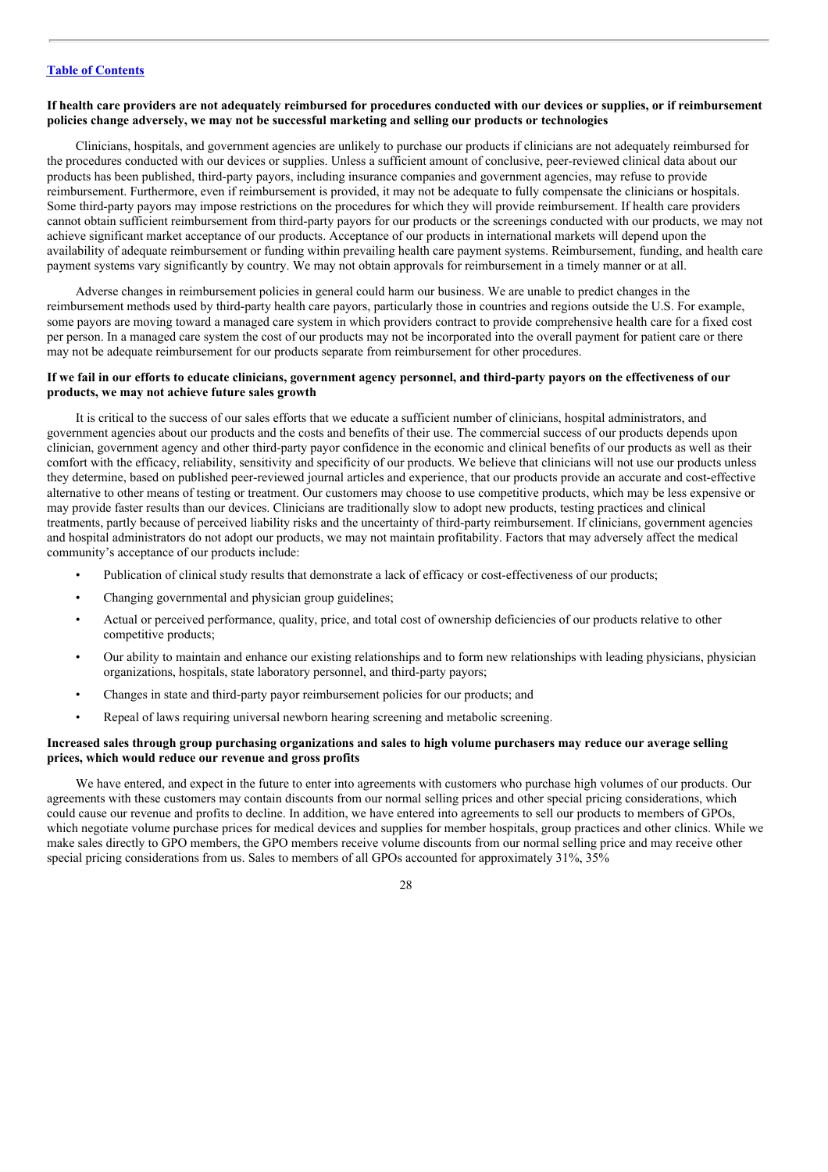## If health care providers are not adequately reimbursed for procedures conducted with our devices or supplies, or if reimbursement **policies change adversely, we may not be successful marketing and selling our products or technologies**

Clinicians, hospitals, and government agencies are unlikely to purchase our products if clinicians are not adequately reimbursed for the procedures conducted with our devices or supplies. Unless a sufficient amount of conclusive, peer-reviewed clinical data about our products has been published, third-party payors, including insurance companies and government agencies, may refuse to provide reimbursement. Furthermore, even if reimbursement is provided, it may not be adequate to fully compensate the clinicians or hospitals. Some third-party payors may impose restrictions on the procedures for which they will provide reimbursement. If health care providers cannot obtain sufficient reimbursement from third-party payors for our products or the screenings conducted with our products, we may not achieve significant market acceptance of our products. Acceptance of our products in international markets will depend upon the availability of adequate reimbursement or funding within prevailing health care payment systems. Reimbursement, funding, and health care payment systems vary significantly by country. We may not obtain approvals for reimbursement in a timely manner or at all.

Adverse changes in reimbursement policies in general could harm our business. We are unable to predict changes in the reimbursement methods used by third-party health care payors, particularly those in countries and regions outside the U.S. For example, some payors are moving toward a managed care system in which providers contract to provide comprehensive health care for a fixed cost per person. In a managed care system the cost of our products may not be incorporated into the overall payment for patient care or there may not be adequate reimbursement for our products separate from reimbursement for other procedures.

## If we fail in our efforts to educate clinicians, government agency personnel, and third-party payors on the effectiveness of our **products, we may not achieve future sales growth**

It is critical to the success of our sales efforts that we educate a sufficient number of clinicians, hospital administrators, and government agencies about our products and the costs and benefits of their use. The commercial success of our products depends upon clinician, government agency and other third-party payor confidence in the economic and clinical benefits of our products as well as their comfort with the efficacy, reliability, sensitivity and specificity of our products. We believe that clinicians will not use our products unless they determine, based on published peer-reviewed journal articles and experience, that our products provide an accurate and cost-effective alternative to other means of testing or treatment. Our customers may choose to use competitive products, which may be less expensive or may provide faster results than our devices. Clinicians are traditionally slow to adopt new products, testing practices and clinical treatments, partly because of perceived liability risks and the uncertainty of third-party reimbursement. If clinicians, government agencies and hospital administrators do not adopt our products, we may not maintain profitability. Factors that may adversely affect the medical community's acceptance of our products include:

- Publication of clinical study results that demonstrate a lack of efficacy or cost-effectiveness of our products;
- Changing governmental and physician group guidelines;
- Actual or perceived performance, quality, price, and total cost of ownership deficiencies of our products relative to other competitive products;
- Our ability to maintain and enhance our existing relationships and to form new relationships with leading physicians, physician organizations, hospitals, state laboratory personnel, and third-party payors;
- Changes in state and third-party payor reimbursement policies for our products; and
- Repeal of laws requiring universal newborn hearing screening and metabolic screening.

#### Increased sales through group purchasing organizations and sales to high volume purchasers may reduce our average selling **prices, which would reduce our revenue and gross profits**

We have entered, and expect in the future to enter into agreements with customers who purchase high volumes of our products. Our agreements with these customers may contain discounts from our normal selling prices and other special pricing considerations, which could cause our revenue and profits to decline. In addition, we have entered into agreements to sell our products to members of GPOs, which negotiate volume purchase prices for medical devices and supplies for member hospitals, group practices and other clinics. While we make sales directly to GPO members, the GPO members receive volume discounts from our normal selling price and may receive other special pricing considerations from us. Sales to members of all GPOs accounted for approximately 31%, 35%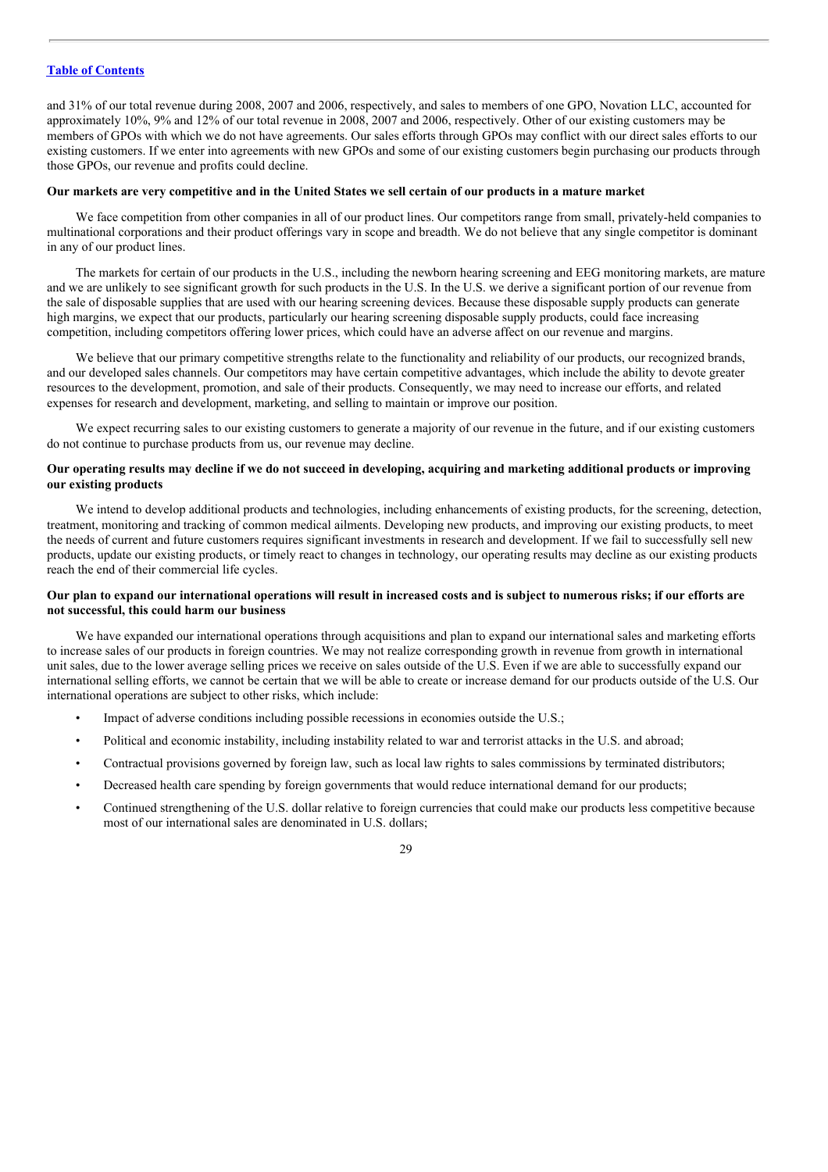and 31% of our total revenue during 2008, 2007 and 2006, respectively, and sales to members of one GPO, Novation LLC, accounted for approximately 10%, 9% and 12% of our total revenue in 2008, 2007 and 2006, respectively. Other of our existing customers may be members of GPOs with which we do not have agreements. Our sales efforts through GPOs may conflict with our direct sales efforts to our existing customers. If we enter into agreements with new GPOs and some of our existing customers begin purchasing our products through those GPOs, our revenue and profits could decline.

#### Our markets are very competitive and in the United States we sell certain of our products in a mature market

We face competition from other companies in all of our product lines. Our competitors range from small, privately-held companies to multinational corporations and their product offerings vary in scope and breadth. We do not believe that any single competitor is dominant in any of our product lines.

The markets for certain of our products in the U.S., including the newborn hearing screening and EEG monitoring markets, are mature and we are unlikely to see significant growth for such products in the U.S. In the U.S. we derive a significant portion of our revenue from the sale of disposable supplies that are used with our hearing screening devices. Because these disposable supply products can generate high margins, we expect that our products, particularly our hearing screening disposable supply products, could face increasing competition, including competitors offering lower prices, which could have an adverse affect on our revenue and margins.

We believe that our primary competitive strengths relate to the functionality and reliability of our products, our recognized brands, and our developed sales channels. Our competitors may have certain competitive advantages, which include the ability to devote greater resources to the development, promotion, and sale of their products. Consequently, we may need to increase our efforts, and related expenses for research and development, marketing, and selling to maintain or improve our position.

We expect recurring sales to our existing customers to generate a majority of our revenue in the future, and if our existing customers do not continue to purchase products from us, our revenue may decline.

## Our operating results may decline if we do not succeed in developing, acquiring and marketing additional products or improving **our existing products**

We intend to develop additional products and technologies, including enhancements of existing products, for the screening, detection, treatment, monitoring and tracking of common medical ailments. Developing new products, and improving our existing products, to meet the needs of current and future customers requires significant investments in research and development. If we fail to successfully sell new products, update our existing products, or timely react to changes in technology, our operating results may decline as our existing products reach the end of their commercial life cycles.

## Our plan to expand our international operations will result in increased costs and is subject to numerous risks; if our efforts are **not successful, this could harm our business**

We have expanded our international operations through acquisitions and plan to expand our international sales and marketing efforts to increase sales of our products in foreign countries. We may not realize corresponding growth in revenue from growth in international unit sales, due to the lower average selling prices we receive on sales outside of the U.S. Even if we are able to successfully expand our international selling efforts, we cannot be certain that we will be able to create or increase demand for our products outside of the U.S. Our international operations are subject to other risks, which include:

- Impact of adverse conditions including possible recessions in economies outside the U.S.;
- Political and economic instability, including instability related to war and terrorist attacks in the U.S. and abroad;
- Contractual provisions governed by foreign law, such as local law rights to sales commissions by terminated distributors;
- Decreased health care spending by foreign governments that would reduce international demand for our products;
- Continued strengthening of the U.S. dollar relative to foreign currencies that could make our products less competitive because most of our international sales are denominated in U.S. dollars;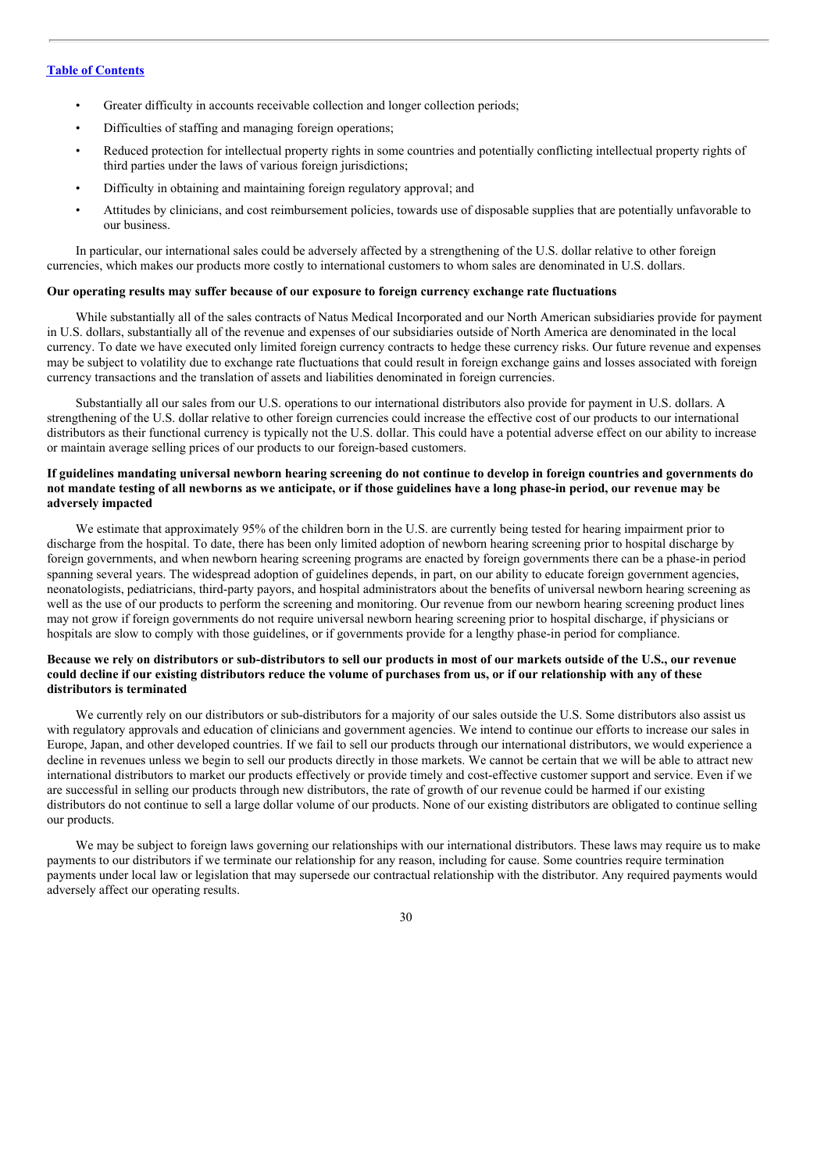- Greater difficulty in accounts receivable collection and longer collection periods;
- Difficulties of staffing and managing foreign operations;
- Reduced protection for intellectual property rights in some countries and potentially conflicting intellectual property rights of third parties under the laws of various foreign jurisdictions;
- Difficulty in obtaining and maintaining foreign regulatory approval; and
- Attitudes by clinicians, and cost reimbursement policies, towards use of disposable supplies that are potentially unfavorable to our business.

In particular, our international sales could be adversely affected by a strengthening of the U.S. dollar relative to other foreign currencies, which makes our products more costly to international customers to whom sales are denominated in U.S. dollars.

#### **Our operating results may suffer because of our exposure to foreign currency exchange rate fluctuations**

While substantially all of the sales contracts of Natus Medical Incorporated and our North American subsidiaries provide for payment in U.S. dollars, substantially all of the revenue and expenses of our subsidiaries outside of North America are denominated in the local currency. To date we have executed only limited foreign currency contracts to hedge these currency risks. Our future revenue and expenses may be subject to volatility due to exchange rate fluctuations that could result in foreign exchange gains and losses associated with foreign currency transactions and the translation of assets and liabilities denominated in foreign currencies.

Substantially all our sales from our U.S. operations to our international distributors also provide for payment in U.S. dollars. A strengthening of the U.S. dollar relative to other foreign currencies could increase the effective cost of our products to our international distributors as their functional currency is typically not the U.S. dollar. This could have a potential adverse effect on our ability to increase or maintain average selling prices of our products to our foreign-based customers.

## If guidelines mandating universal newborn hearing screening do not continue to develop in foreign countries and governments do not mandate testing of all newborns as we anticipate, or if those guidelines have a long phase-in period, our revenue may be **adversely impacted**

We estimate that approximately 95% of the children born in the U.S. are currently being tested for hearing impairment prior to discharge from the hospital. To date, there has been only limited adoption of newborn hearing screening prior to hospital discharge by foreign governments, and when newborn hearing screening programs are enacted by foreign governments there can be a phase-in period spanning several years. The widespread adoption of guidelines depends, in part, on our ability to educate foreign government agencies, neonatologists, pediatricians, third-party payors, and hospital administrators about the benefits of universal newborn hearing screening as well as the use of our products to perform the screening and monitoring. Our revenue from our newborn hearing screening product lines may not grow if foreign governments do not require universal newborn hearing screening prior to hospital discharge, if physicians or hospitals are slow to comply with those guidelines, or if governments provide for a lengthy phase-in period for compliance.

#### Because we rely on distributors or sub-distributors to sell our products in most of our markets outside of the U.S., our revenue could decline if our existing distributors reduce the volume of purchases from us, or if our relationship with any of these **distributors is terminated**

We currently rely on our distributors or sub-distributors for a majority of our sales outside the U.S. Some distributors also assist us with regulatory approvals and education of clinicians and government agencies. We intend to continue our efforts to increase our sales in Europe, Japan, and other developed countries. If we fail to sell our products through our international distributors, we would experience a decline in revenues unless we begin to sell our products directly in those markets. We cannot be certain that we will be able to attract new international distributors to market our products effectively or provide timely and cost-effective customer support and service. Even if we are successful in selling our products through new distributors, the rate of growth of our revenue could be harmed if our existing distributors do not continue to sell a large dollar volume of our products. None of our existing distributors are obligated to continue selling our products.

We may be subject to foreign laws governing our relationships with our international distributors. These laws may require us to make payments to our distributors if we terminate our relationship for any reason, including for cause. Some countries require termination payments under local law or legislation that may supersede our contractual relationship with the distributor. Any required payments would adversely affect our operating results.

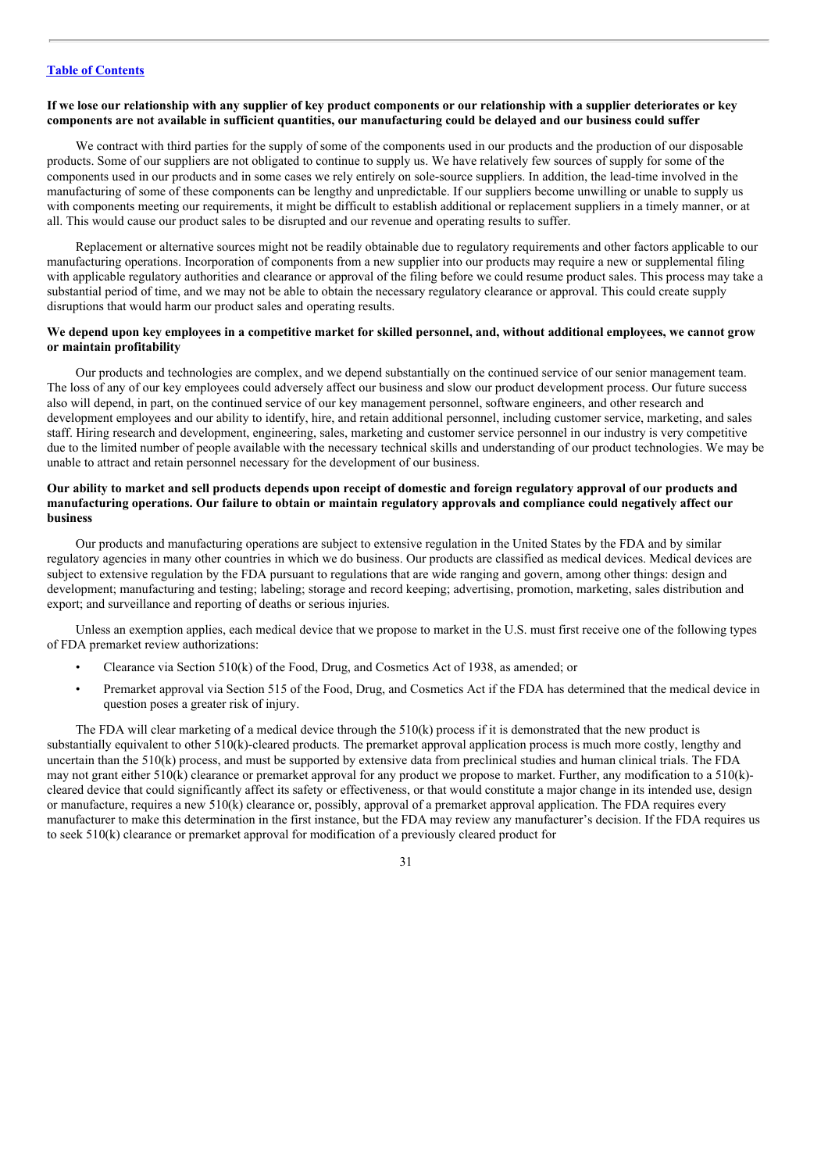## If we lose our relationship with any supplier of key product components or our relationship with a supplier deteriorates or key components are not available in sufficient quantities, our manufacturing could be delayed and our business could suffer

We contract with third parties for the supply of some of the components used in our products and the production of our disposable products. Some of our suppliers are not obligated to continue to supply us. We have relatively few sources of supply for some of the components used in our products and in some cases we rely entirely on sole-source suppliers. In addition, the lead-time involved in the manufacturing of some of these components can be lengthy and unpredictable. If our suppliers become unwilling or unable to supply us with components meeting our requirements, it might be difficult to establish additional or replacement suppliers in a timely manner, or at all. This would cause our product sales to be disrupted and our revenue and operating results to suffer.

Replacement or alternative sources might not be readily obtainable due to regulatory requirements and other factors applicable to our manufacturing operations. Incorporation of components from a new supplier into our products may require a new or supplemental filing with applicable regulatory authorities and clearance or approval of the filing before we could resume product sales. This process may take a substantial period of time, and we may not be able to obtain the necessary regulatory clearance or approval. This could create supply disruptions that would harm our product sales and operating results.

#### We depend upon key employees in a competitive market for skilled personnel, and, without additional employees, we cannot grow **or maintain profitability**

Our products and technologies are complex, and we depend substantially on the continued service of our senior management team. The loss of any of our key employees could adversely affect our business and slow our product development process. Our future success also will depend, in part, on the continued service of our key management personnel, software engineers, and other research and development employees and our ability to identify, hire, and retain additional personnel, including customer service, marketing, and sales staff. Hiring research and development, engineering, sales, marketing and customer service personnel in our industry is very competitive due to the limited number of people available with the necessary technical skills and understanding of our product technologies. We may be unable to attract and retain personnel necessary for the development of our business.

## Our ability to market and sell products depends upon receipt of domestic and foreign regulatory approval of our products and manufacturing operations. Our failure to obtain or maintain regulatory approvals and compliance could negatively affect our **business**

Our products and manufacturing operations are subject to extensive regulation in the United States by the FDA and by similar regulatory agencies in many other countries in which we do business. Our products are classified as medical devices. Medical devices are subject to extensive regulation by the FDA pursuant to regulations that are wide ranging and govern, among other things: design and development; manufacturing and testing; labeling; storage and record keeping; advertising, promotion, marketing, sales distribution and export; and surveillance and reporting of deaths or serious injuries.

Unless an exemption applies, each medical device that we propose to market in the U.S. must first receive one of the following types of FDA premarket review authorizations:

- Clearance via Section 510(k) of the Food, Drug, and Cosmetics Act of 1938, as amended; or
- Premarket approval via Section 515 of the Food, Drug, and Cosmetics Act if the FDA has determined that the medical device in question poses a greater risk of injury.

The FDA will clear marketing of a medical device through the  $510(k)$  process if it is demonstrated that the new product is substantially equivalent to other 510(k)-cleared products. The premarket approval application process is much more costly, lengthy and uncertain than the 510(k) process, and must be supported by extensive data from preclinical studies and human clinical trials. The FDA may not grant either 510(k) clearance or premarket approval for any product we propose to market. Further, any modification to a 510(k) cleared device that could significantly affect its safety or effectiveness, or that would constitute a major change in its intended use, design or manufacture, requires a new 510(k) clearance or, possibly, approval of a premarket approval application. The FDA requires every manufacturer to make this determination in the first instance, but the FDA may review any manufacturer's decision. If the FDA requires us to seek 510(k) clearance or premarket approval for modification of a previously cleared product for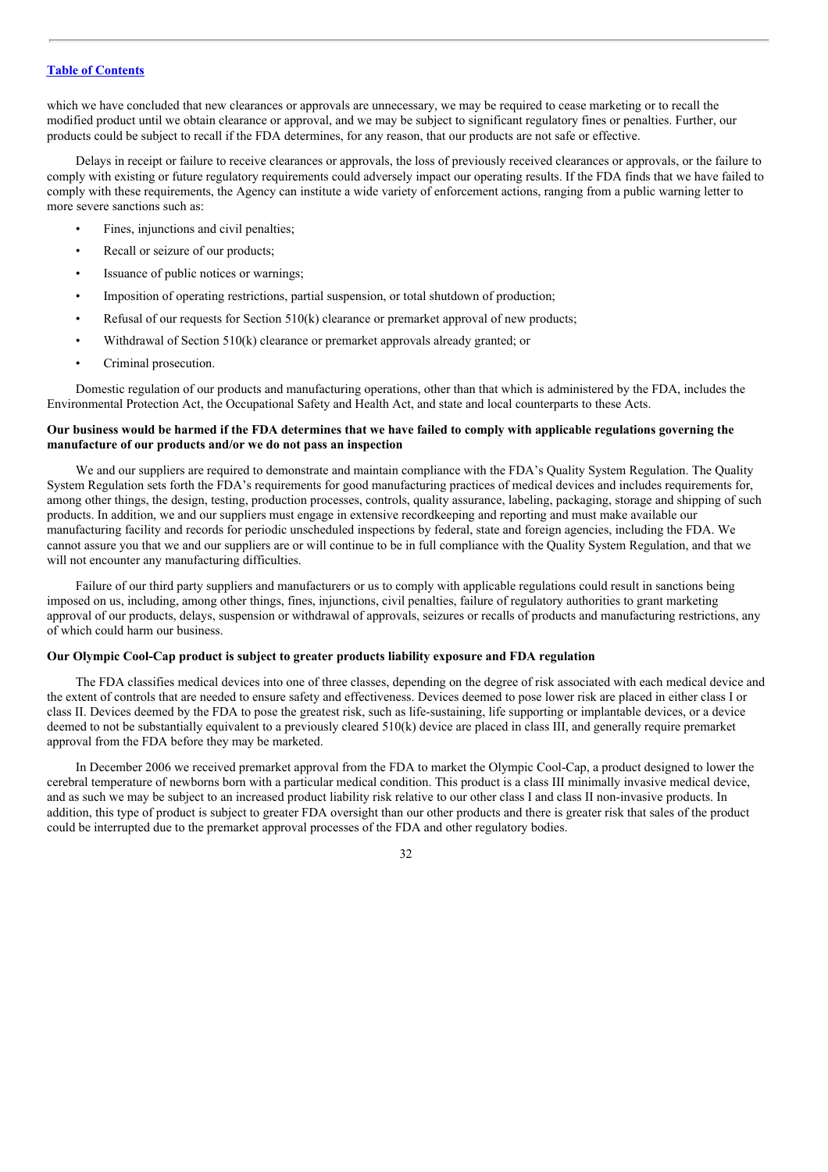which we have concluded that new clearances or approvals are unnecessary, we may be required to cease marketing or to recall the modified product until we obtain clearance or approval, and we may be subject to significant regulatory fines or penalties. Further, our products could be subject to recall if the FDA determines, for any reason, that our products are not safe or effective.

Delays in receipt or failure to receive clearances or approvals, the loss of previously received clearances or approvals, or the failure to comply with existing or future regulatory requirements could adversely impact our operating results. If the FDA finds that we have failed to comply with these requirements, the Agency can institute a wide variety of enforcement actions, ranging from a public warning letter to more severe sanctions such as:

- Fines, injunctions and civil penalties;
- Recall or seizure of our products;
- Issuance of public notices or warnings;
- Imposition of operating restrictions, partial suspension, or total shutdown of production;
- Refusal of our requests for Section 510(k) clearance or premarket approval of new products;
- Withdrawal of Section 510(k) clearance or premarket approvals already granted; or
- Criminal prosecution.

Domestic regulation of our products and manufacturing operations, other than that which is administered by the FDA, includes the Environmental Protection Act, the Occupational Safety and Health Act, and state and local counterparts to these Acts.

#### Our business would be harmed if the FDA determines that we have failed to comply with applicable regulations governing the **manufacture of our products and/or we do not pass an inspection**

We and our suppliers are required to demonstrate and maintain compliance with the FDA's Quality System Regulation. The Quality System Regulation sets forth the FDA's requirements for good manufacturing practices of medical devices and includes requirements for, among other things, the design, testing, production processes, controls, quality assurance, labeling, packaging, storage and shipping of such products. In addition, we and our suppliers must engage in extensive recordkeeping and reporting and must make available our manufacturing facility and records for periodic unscheduled inspections by federal, state and foreign agencies, including the FDA. We cannot assure you that we and our suppliers are or will continue to be in full compliance with the Quality System Regulation, and that we will not encounter any manufacturing difficulties.

Failure of our third party suppliers and manufacturers or us to comply with applicable regulations could result in sanctions being imposed on us, including, among other things, fines, injunctions, civil penalties, failure of regulatory authorities to grant marketing approval of our products, delays, suspension or withdrawal of approvals, seizures or recalls of products and manufacturing restrictions, any of which could harm our business.

### **Our Olympic Cool-Cap product is subject to greater products liability exposure and FDA regulation**

The FDA classifies medical devices into one of three classes, depending on the degree of risk associated with each medical device and the extent of controls that are needed to ensure safety and effectiveness. Devices deemed to pose lower risk are placed in either class I or class II. Devices deemed by the FDA to pose the greatest risk, such as life-sustaining, life supporting or implantable devices, or a device deemed to not be substantially equivalent to a previously cleared 510(k) device are placed in class III, and generally require premarket approval from the FDA before they may be marketed.

In December 2006 we received premarket approval from the FDA to market the Olympic Cool-Cap, a product designed to lower the cerebral temperature of newborns born with a particular medical condition. This product is a class III minimally invasive medical device, and as such we may be subject to an increased product liability risk relative to our other class I and class II non-invasive products. In addition, this type of product is subject to greater FDA oversight than our other products and there is greater risk that sales of the product could be interrupted due to the premarket approval processes of the FDA and other regulatory bodies.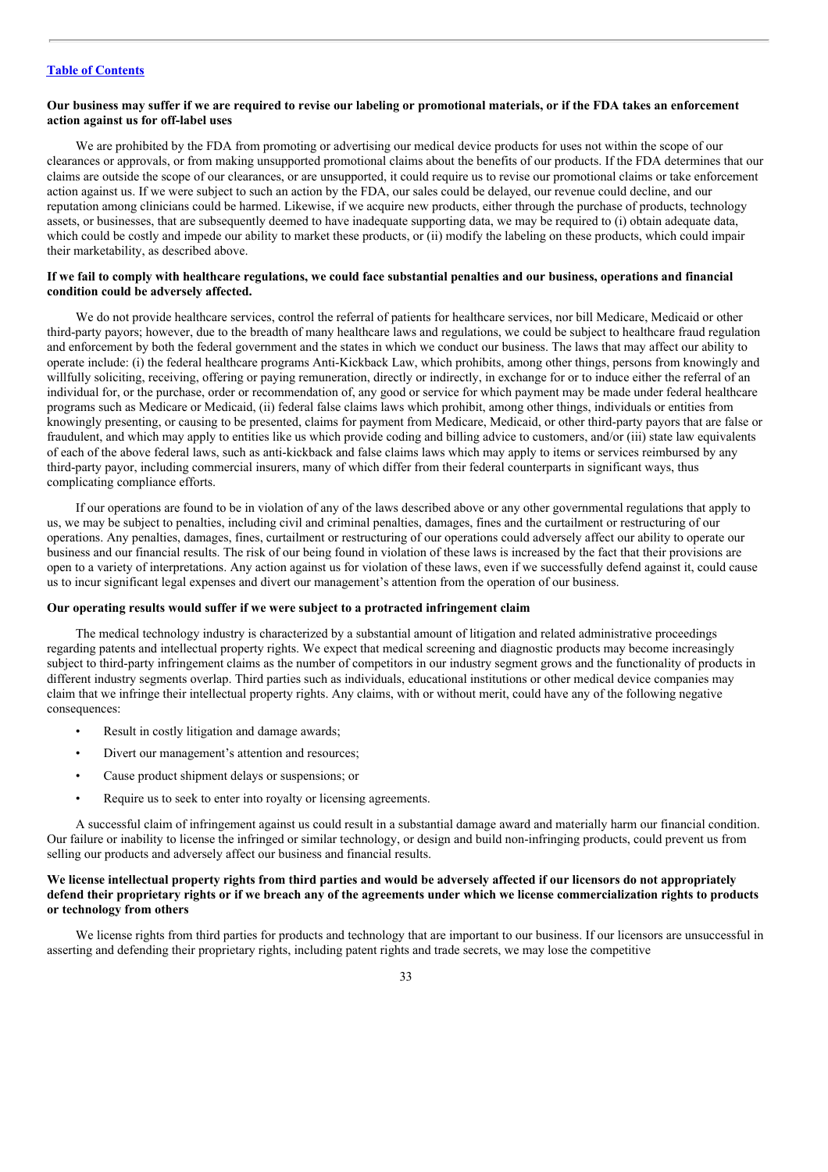# Our business may suffer if we are required to revise our labeling or promotional materials, or if the FDA takes an enforcement **action against us for off-label uses**

We are prohibited by the FDA from promoting or advertising our medical device products for uses not within the scope of our clearances or approvals, or from making unsupported promotional claims about the benefits of our products. If the FDA determines that our claims are outside the scope of our clearances, or are unsupported, it could require us to revise our promotional claims or take enforcement action against us. If we were subject to such an action by the FDA, our sales could be delayed, our revenue could decline, and our reputation among clinicians could be harmed. Likewise, if we acquire new products, either through the purchase of products, technology assets, or businesses, that are subsequently deemed to have inadequate supporting data, we may be required to (i) obtain adequate data, which could be costly and impede our ability to market these products, or (ii) modify the labeling on these products, which could impair their marketability, as described above.

#### If we fail to comply with healthcare regulations, we could face substantial penalties and our business, operations and financial **condition could be adversely affected.**

We do not provide healthcare services, control the referral of patients for healthcare services, nor bill Medicare, Medicaid or other third-party payors; however, due to the breadth of many healthcare laws and regulations, we could be subject to healthcare fraud regulation and enforcement by both the federal government and the states in which we conduct our business. The laws that may affect our ability to operate include: (i) the federal healthcare programs Anti-Kickback Law, which prohibits, among other things, persons from knowingly and willfully soliciting, receiving, offering or paying remuneration, directly or indirectly, in exchange for or to induce either the referral of an individual for, or the purchase, order or recommendation of, any good or service for which payment may be made under federal healthcare programs such as Medicare or Medicaid, (ii) federal false claims laws which prohibit, among other things, individuals or entities from knowingly presenting, or causing to be presented, claims for payment from Medicare, Medicaid, or other third-party payors that are false or fraudulent, and which may apply to entities like us which provide coding and billing advice to customers, and/or (iii) state law equivalents of each of the above federal laws, such as anti-kickback and false claims laws which may apply to items or services reimbursed by any third-party payor, including commercial insurers, many of which differ from their federal counterparts in significant ways, thus complicating compliance efforts.

If our operations are found to be in violation of any of the laws described above or any other governmental regulations that apply to us, we may be subject to penalties, including civil and criminal penalties, damages, fines and the curtailment or restructuring of our operations. Any penalties, damages, fines, curtailment or restructuring of our operations could adversely affect our ability to operate our business and our financial results. The risk of our being found in violation of these laws is increased by the fact that their provisions are open to a variety of interpretations. Any action against us for violation of these laws, even if we successfully defend against it, could cause us to incur significant legal expenses and divert our management's attention from the operation of our business.

#### **Our operating results would suffer if we were subject to a protracted infringement claim**

The medical technology industry is characterized by a substantial amount of litigation and related administrative proceedings regarding patents and intellectual property rights. We expect that medical screening and diagnostic products may become increasingly subject to third-party infringement claims as the number of competitors in our industry segment grows and the functionality of products in different industry segments overlap. Third parties such as individuals, educational institutions or other medical device companies may claim that we infringe their intellectual property rights. Any claims, with or without merit, could have any of the following negative consequences:

- Result in costly litigation and damage awards;
- Divert our management's attention and resources;
- Cause product shipment delays or suspensions; or
- Require us to seek to enter into royalty or licensing agreements.

A successful claim of infringement against us could result in a substantial damage award and materially harm our financial condition. Our failure or inability to license the infringed or similar technology, or design and build non-infringing products, could prevent us from selling our products and adversely affect our business and financial results.

# We license intellectual property rights from third parties and would be adversely affected if our licensors do not appropriately defend their proprietary rights or if we breach any of the agreements under which we license commercialization rights to products **or technology from others**

We license rights from third parties for products and technology that are important to our business. If our licensors are unsuccessful in asserting and defending their proprietary rights, including patent rights and trade secrets, we may lose the competitive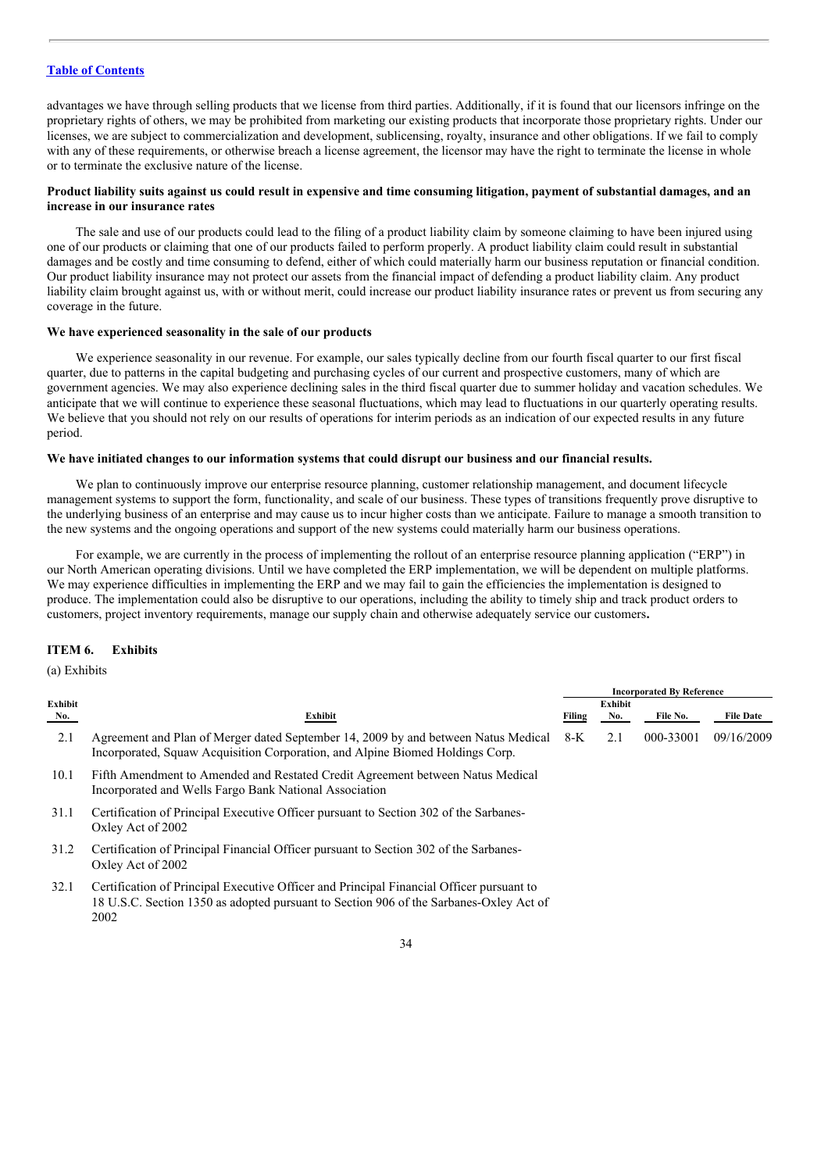advantages we have through selling products that we license from third parties. Additionally, if it is found that our licensors infringe on the proprietary rights of others, we may be prohibited from marketing our existing products that incorporate those proprietary rights. Under our licenses, we are subject to commercialization and development, sublicensing, royalty, insurance and other obligations. If we fail to comply with any of these requirements, or otherwise breach a license agreement, the licensor may have the right to terminate the license in whole or to terminate the exclusive nature of the license.

# Product liability suits against us could result in expensive and time consuming litigation, payment of substantial damages, and an **increase in our insurance rates**

The sale and use of our products could lead to the filing of a product liability claim by someone claiming to have been injured using one of our products or claiming that one of our products failed to perform properly. A product liability claim could result in substantial damages and be costly and time consuming to defend, either of which could materially harm our business reputation or financial condition. Our product liability insurance may not protect our assets from the financial impact of defending a product liability claim. Any product liability claim brought against us, with or without merit, could increase our product liability insurance rates or prevent us from securing any coverage in the future.

# **We have experienced seasonality in the sale of our products**

We experience seasonality in our revenue. For example, our sales typically decline from our fourth fiscal quarter to our first fiscal quarter, due to patterns in the capital budgeting and purchasing cycles of our current and prospective customers, many of which are government agencies. We may also experience declining sales in the third fiscal quarter due to summer holiday and vacation schedules. We anticipate that we will continue to experience these seasonal fluctuations, which may lead to fluctuations in our quarterly operating results. We believe that you should not rely on our results of operations for interim periods as an indication of our expected results in any future period.

#### We have initiated changes to our information systems that could disrupt our business and our financial results.

We plan to continuously improve our enterprise resource planning, customer relationship management, and document lifecycle management systems to support the form, functionality, and scale of our business. These types of transitions frequently prove disruptive to the underlying business of an enterprise and may cause us to incur higher costs than we anticipate. Failure to manage a smooth transition to the new systems and the ongoing operations and support of the new systems could materially harm our business operations.

For example, we are currently in the process of implementing the rollout of an enterprise resource planning application ("ERP") in our North American operating divisions. Until we have completed the ERP implementation, we will be dependent on multiple platforms. We may experience difficulties in implementing the ERP and we may fail to gain the efficiencies the implementation is designed to produce. The implementation could also be disruptive to our operations, including the ability to timely ship and track product orders to customers, project inventory requirements, manage our supply chain and otherwise adequately service our customers**.**

# **ITEM 6. Exhibits**

(a) Exhibits

|         |                                                                                        |        | <b>Incorporated By Reference</b> |           |                  |
|---------|----------------------------------------------------------------------------------------|--------|----------------------------------|-----------|------------------|
| Exhibit |                                                                                        |        | Exhibit                          |           |                  |
| No.     | Exhibit                                                                                | Filing | No.                              | File No.  | <b>File Date</b> |
|         | Agreement and Plan of Merger dated September 14, 2009 by and between Natus Medical 8-K |        | 2.1                              | 000-33001 | 09/16/2009       |
|         | Incorporated, Squaw Acquisition Corporation, and Alpine Biomed Holdings Corp.          |        |                                  |           |                  |

- 10.1 Fifth Amendment to Amended and Restated Credit Agreement between Natus Medical Incorporated and Wells Fargo Bank National Association
- 31.1 Certification of Principal Executive Officer pursuant to Section 302 of the Sarbanes-Oxley Act of 2002
- 31.2 Certification of Principal Financial Officer pursuant to Section 302 of the Sarbanes-Oxley Act of 2002
- 32.1 Certification of Principal Executive Officer and Principal Financial Officer pursuant to 18 U.S.C. Section 1350 as adopted pursuant to Section 906 of the Sarbanes-Oxley Act of 2002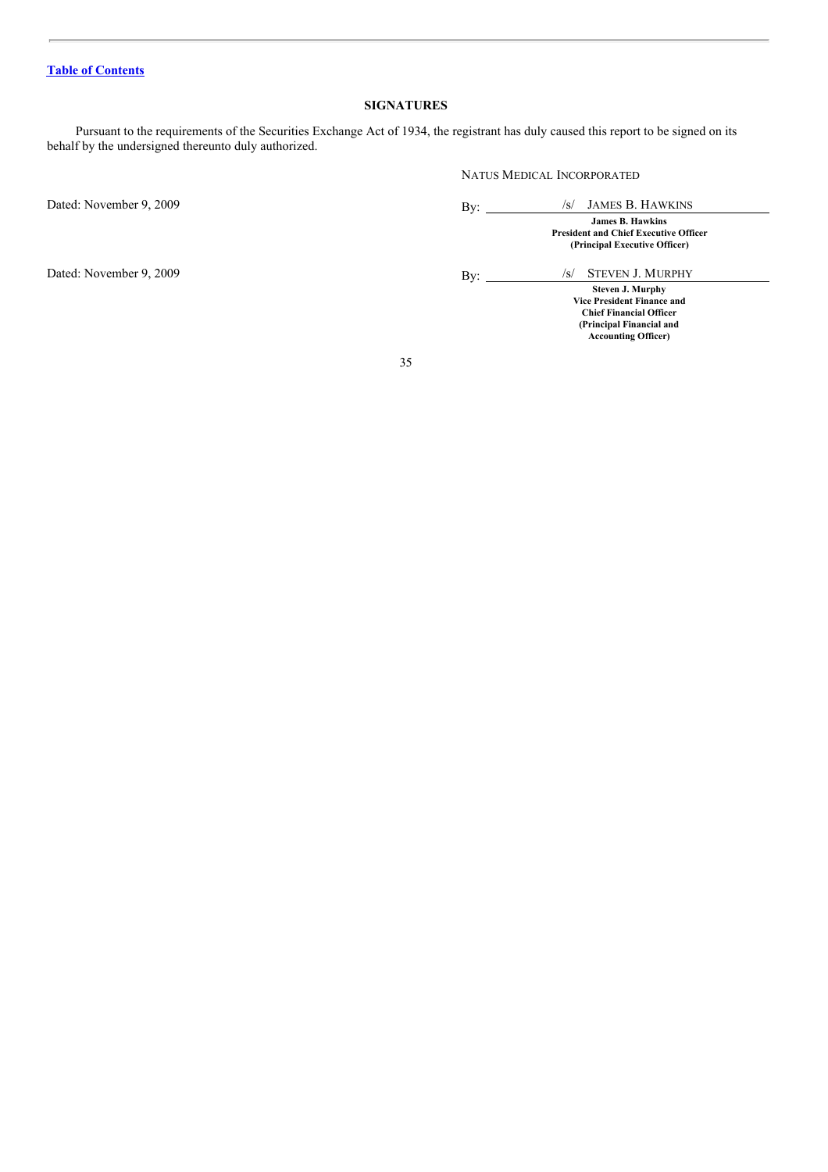# **SIGNATURES**

Pursuant to the requirements of the Securities Exchange Act of 1934, the registrant has duly caused this report to be signed on its behalf by the undersigned thereunto duly authorized.

Dated: November 9, 2009 By:

Dated: November 9, 2009 By:

NATUS MEDICAL INCORPORATED

/s/ JAMES B. HAWKINS

**James B. Hawkins President and Chief Executive Officer (Principal Executive Officer)**

/s/ STEVEN J. MURPHY

**Steven J. Murphy Vice President Finance and Chief Financial Officer (Principal Financial and Accounting Officer)**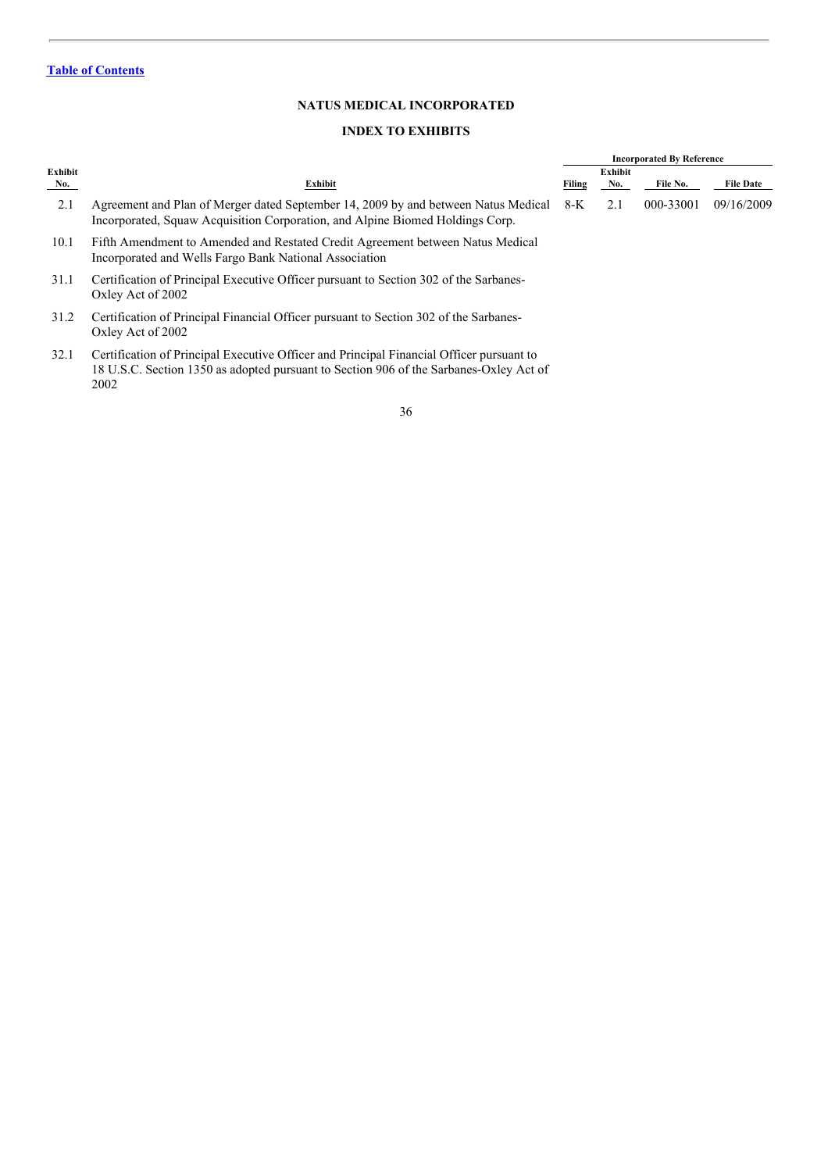# **NATUS MEDICAL INCORPORATED**

# **INDEX TO EXHIBITS**

|                |                                                                                                                                                                                            | <b>Incorporated By Reference</b> |                |           |                  |
|----------------|--------------------------------------------------------------------------------------------------------------------------------------------------------------------------------------------|----------------------------------|----------------|-----------|------------------|
| Exhibit<br>No. | Exhibit                                                                                                                                                                                    | Filing                           | Exhibit<br>No. | File No.  | <b>File Date</b> |
| 2.1            | Agreement and Plan of Merger dated September 14, 2009 by and between Natus Medical<br>Incorporated, Squaw Acquisition Corporation, and Alpine Biomed Holdings Corp.                        | $8-K$                            | 2.1            | 000-33001 | 09/16/2009       |
| 10.1           | Fifth Amendment to Amended and Restated Credit Agreement between Natus Medical<br>Incorporated and Wells Fargo Bank National Association                                                   |                                  |                |           |                  |
| 31.1           | Certification of Principal Executive Officer pursuant to Section 302 of the Sarbanes-<br>Oxley Act of 2002                                                                                 |                                  |                |           |                  |
| 31.2           | Certification of Principal Financial Officer pursuant to Section 302 of the Sarbanes-<br>Oxley Act of 2002                                                                                 |                                  |                |           |                  |
| 32.1           | Certification of Principal Executive Officer and Principal Financial Officer pursuant to<br>18 U.S.C. Section 1350 as adopted pursuant to Section 906 of the Sarbanes-Oxley Act of<br>2002 |                                  |                |           |                  |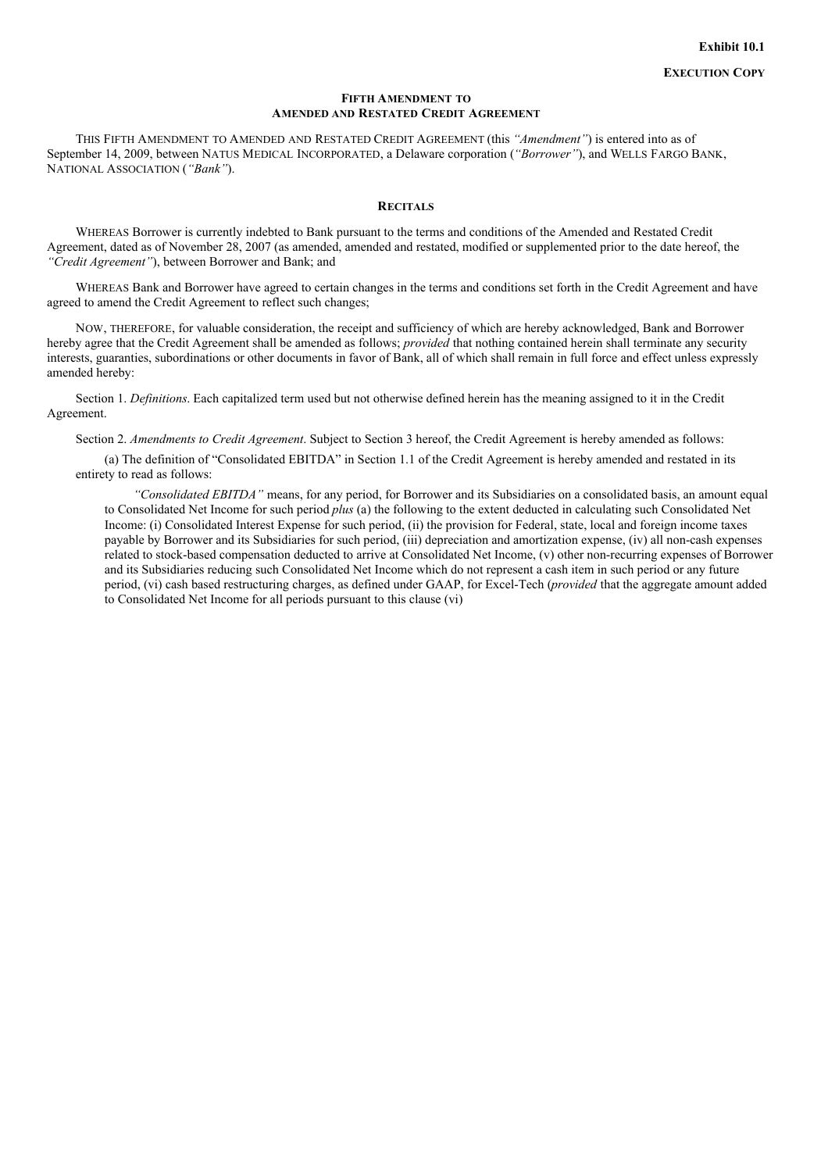## **FIFTH AMENDMENT TO AMENDED AND RESTATED CREDIT AGREEMENT**

THIS FIFTH AMENDMENT TO AMENDED AND RESTATED CREDIT AGREEMENT (this *"Amendment"*) is entered into as of September 14, 2009, between NATUS MEDICAL INCORPORATED, a Delaware corporation (*"Borrower"*), and WELLS FARGO BANK, NATIONAL ASSOCIATION (*"Bank"*).

#### **RECITALS**

WHEREAS Borrower is currently indebted to Bank pursuant to the terms and conditions of the Amended and Restated Credit Agreement, dated as of November 28, 2007 (as amended, amended and restated, modified or supplemented prior to the date hereof, the *"Credit Agreement"*), between Borrower and Bank; and

WHEREAS Bank and Borrower have agreed to certain changes in the terms and conditions set forth in the Credit Agreement and have agreed to amend the Credit Agreement to reflect such changes;

NOW, THEREFORE, for valuable consideration, the receipt and sufficiency of which are hereby acknowledged, Bank and Borrower hereby agree that the Credit Agreement shall be amended as follows; *provided* that nothing contained herein shall terminate any security interests, guaranties, subordinations or other documents in favor of Bank, all of which shall remain in full force and effect unless expressly amended hereby:

Section 1. *Definitions*. Each capitalized term used but not otherwise defined herein has the meaning assigned to it in the Credit Agreement.

Section 2. *Amendments to Credit Agreement*. Subject to Section 3 hereof, the Credit Agreement is hereby amended as follows:

(a) The definition of "Consolidated EBITDA" in Section 1.1 of the Credit Agreement is hereby amended and restated in its entirety to read as follows:

*"Consolidated EBITDA"* means, for any period, for Borrower and its Subsidiaries on a consolidated basis, an amount equal to Consolidated Net Income for such period *plus* (a) the following to the extent deducted in calculating such Consolidated Net Income: (i) Consolidated Interest Expense for such period, (ii) the provision for Federal, state, local and foreign income taxes payable by Borrower and its Subsidiaries for such period, (iii) depreciation and amortization expense, (iv) all non-cash expenses related to stock-based compensation deducted to arrive at Consolidated Net Income, (v) other non-recurring expenses of Borrower and its Subsidiaries reducing such Consolidated Net Income which do not represent a cash item in such period or any future period, (vi) cash based restructuring charges, as defined under GAAP, for Excel-Tech (*provided* that the aggregate amount added to Consolidated Net Income for all periods pursuant to this clause (vi)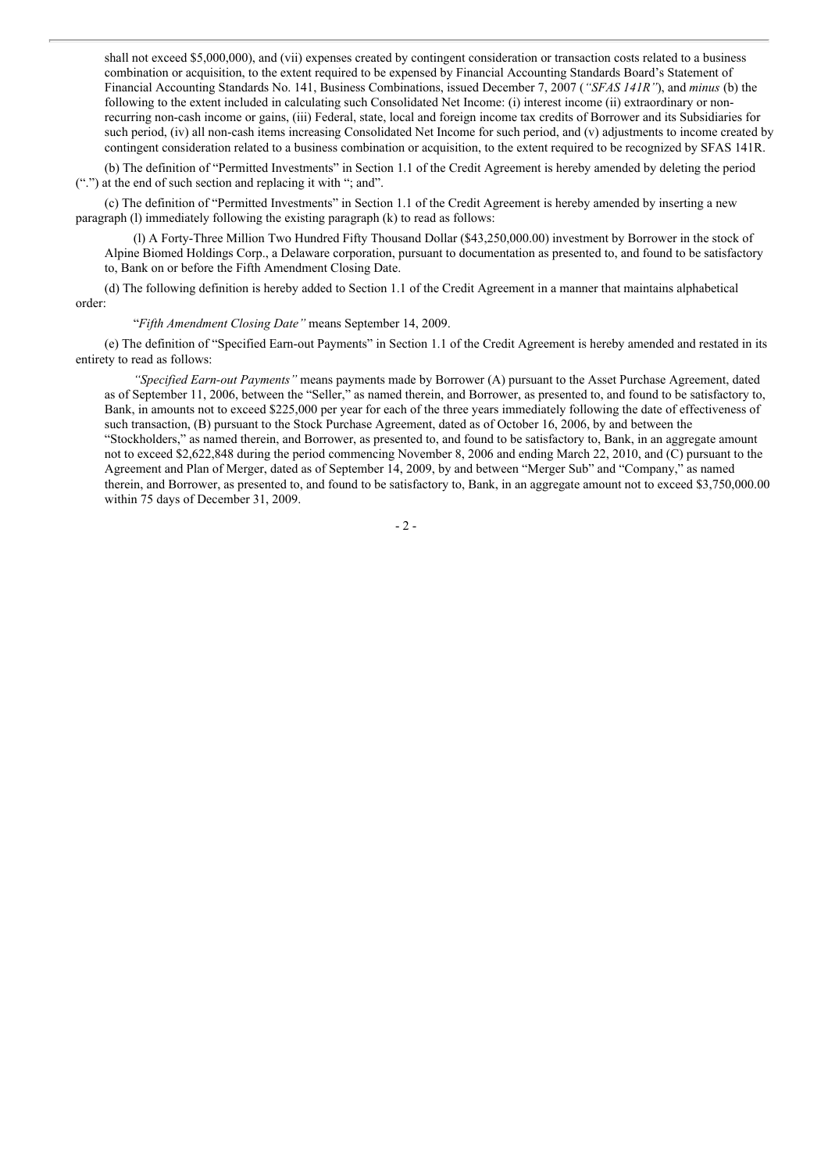shall not exceed \$5,000,000), and (vii) expenses created by contingent consideration or transaction costs related to a business combination or acquisition, to the extent required to be expensed by Financial Accounting Standards Board's Statement of Financial Accounting Standards No. 141, Business Combinations, issued December 7, 2007 (*"SFAS 141R"*), and *minus* (b) the following to the extent included in calculating such Consolidated Net Income: (i) interest income (ii) extraordinary or nonrecurring non-cash income or gains, (iii) Federal, state, local and foreign income tax credits of Borrower and its Subsidiaries for such period, (iv) all non-cash items increasing Consolidated Net Income for such period, and (v) adjustments to income created by contingent consideration related to a business combination or acquisition, to the extent required to be recognized by SFAS 141R.

(b) The definition of "Permitted Investments" in Section 1.1 of the Credit Agreement is hereby amended by deleting the period (".") at the end of such section and replacing it with "; and".

(c) The definition of "Permitted Investments" in Section 1.1 of the Credit Agreement is hereby amended by inserting a new paragraph (l) immediately following the existing paragraph (k) to read as follows:

(l) A Forty-Three Million Two Hundred Fifty Thousand Dollar (\$43,250,000.00) investment by Borrower in the stock of Alpine Biomed Holdings Corp., a Delaware corporation, pursuant to documentation as presented to, and found to be satisfactory to, Bank on or before the Fifth Amendment Closing Date.

(d) The following definition is hereby added to Section 1.1 of the Credit Agreement in a manner that maintains alphabetical order:

"*Fifth Amendment Closing Date"* means September 14, 2009.

(e) The definition of "Specified Earn-out Payments" in Section 1.1 of the Credit Agreement is hereby amended and restated in its entirety to read as follows:

*"Specified Earn-out Payments"* means payments made by Borrower (A) pursuant to the Asset Purchase Agreement, dated as of September 11, 2006, between the "Seller," as named therein, and Borrower, as presented to, and found to be satisfactory to, Bank, in amounts not to exceed \$225,000 per year for each of the three years immediately following the date of effectiveness of such transaction, (B) pursuant to the Stock Purchase Agreement, dated as of October 16, 2006, by and between the "Stockholders," as named therein, and Borrower, as presented to, and found to be satisfactory to, Bank, in an aggregate amount not to exceed \$2,622,848 during the period commencing November 8, 2006 and ending March 22, 2010, and (C) pursuant to the Agreement and Plan of Merger, dated as of September 14, 2009, by and between "Merger Sub" and "Company," as named therein, and Borrower, as presented to, and found to be satisfactory to, Bank, in an aggregate amount not to exceed \$3,750,000.00 within 75 days of December 31, 2009.

- 2 -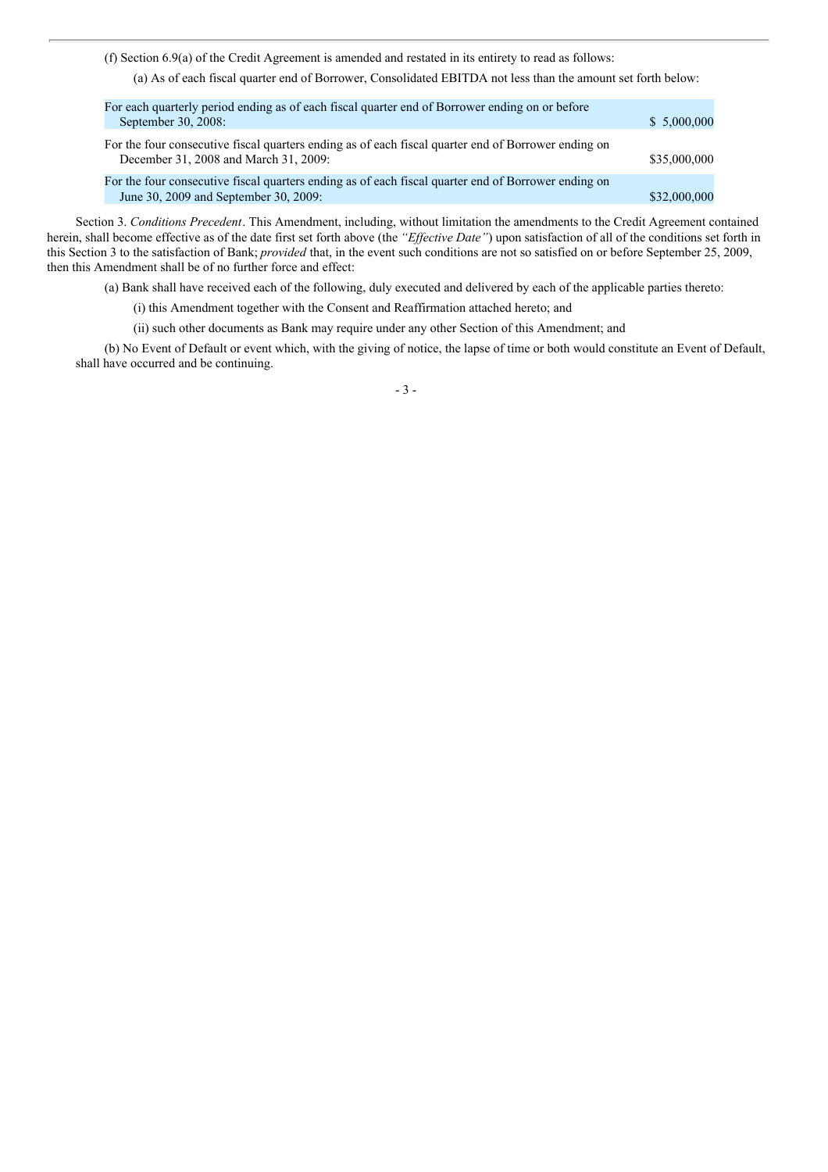(f) Section 6.9(a) of the Credit Agreement is amended and restated in its entirety to read as follows:

(a) As of each fiscal quarter end of Borrower, Consolidated EBITDA not less than the amount set forth below:

| For each quarterly period ending as of each fiscal quarter end of Borrower ending on or before<br>September 30, 2008:                        | \$5,000,000  |
|----------------------------------------------------------------------------------------------------------------------------------------------|--------------|
| For the four consecutive fiscal quarters ending as of each fiscal quarter end of Borrower ending on<br>December 31, 2008 and March 31, 2009: | \$35,000,000 |
| For the four consecutive fiscal quarters ending as of each fiscal quarter end of Borrower ending on<br>June 30, 2009 and September 30, 2009: | \$32,000,000 |

Section 3. *Conditions Precedent*. This Amendment, including, without limitation the amendments to the Credit Agreement contained herein, shall become effective as of the date first set forth above (the *"Effective Date"*) upon satisfaction of all of the conditions set forth in this Section 3 to the satisfaction of Bank; *provided* that, in the event such conditions are not so satisfied on or before September 25, 2009, then this Amendment shall be of no further force and effect:

(a) Bank shall have received each of the following, duly executed and delivered by each of the applicable parties thereto:

(i) this Amendment together with the Consent and Reaffirmation attached hereto; and

(ii) such other documents as Bank may require under any other Section of this Amendment; and

(b) No Event of Default or event which, with the giving of notice, the lapse of time or both would constitute an Event of Default, shall have occurred and be continuing.

- 3 -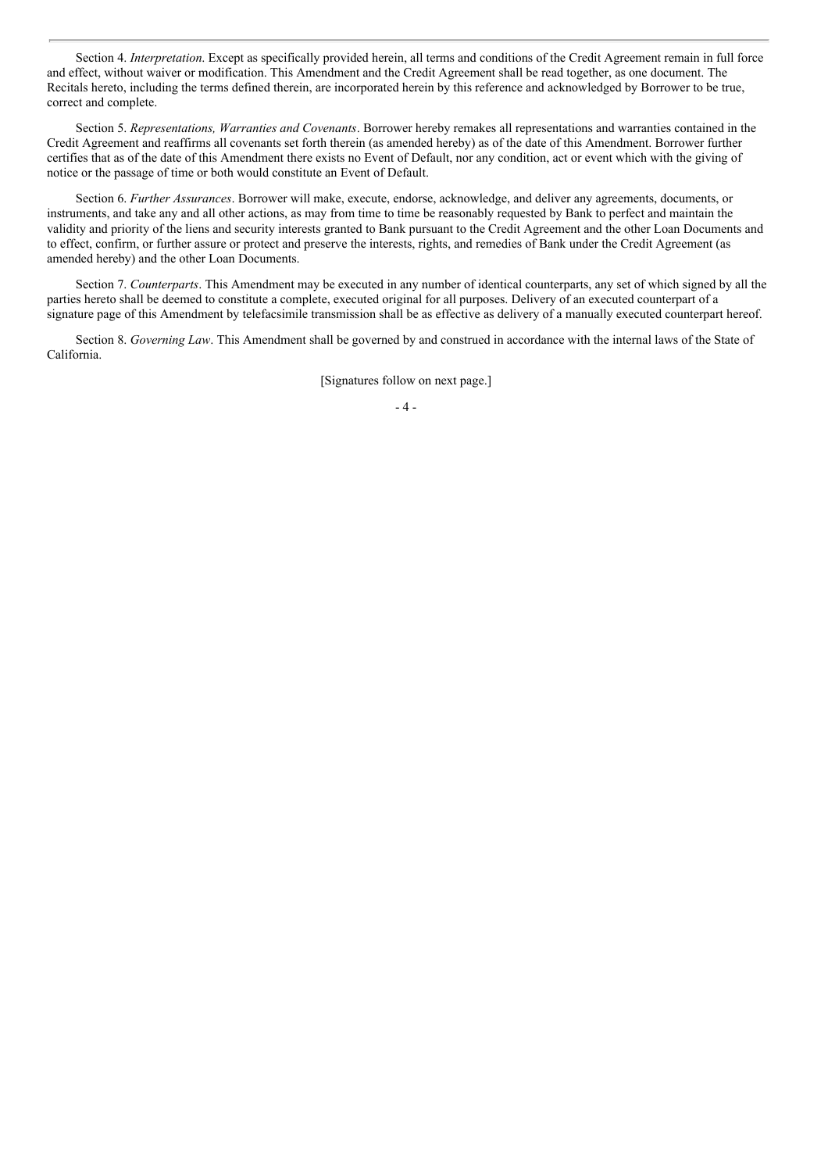Section 4. *Interpretation*. Except as specifically provided herein, all terms and conditions of the Credit Agreement remain in full force and effect, without waiver or modification. This Amendment and the Credit Agreement shall be read together, as one document. The Recitals hereto, including the terms defined therein, are incorporated herein by this reference and acknowledged by Borrower to be true, correct and complete.

Section 5. *Representations, Warranties and Covenants*. Borrower hereby remakes all representations and warranties contained in the Credit Agreement and reaffirms all covenants set forth therein (as amended hereby) as of the date of this Amendment. Borrower further certifies that as of the date of this Amendment there exists no Event of Default, nor any condition, act or event which with the giving of notice or the passage of time or both would constitute an Event of Default.

Section 6. *Further Assurances*. Borrower will make, execute, endorse, acknowledge, and deliver any agreements, documents, or instruments, and take any and all other actions, as may from time to time be reasonably requested by Bank to perfect and maintain the validity and priority of the liens and security interests granted to Bank pursuant to the Credit Agreement and the other Loan Documents and to effect, confirm, or further assure or protect and preserve the interests, rights, and remedies of Bank under the Credit Agreement (as amended hereby) and the other Loan Documents.

Section 7. *Counterparts*. This Amendment may be executed in any number of identical counterparts, any set of which signed by all the parties hereto shall be deemed to constitute a complete, executed original for all purposes. Delivery of an executed counterpart of a signature page of this Amendment by telefacsimile transmission shall be as effective as delivery of a manually executed counterpart hereof.

Section 8. *Governing Law*. This Amendment shall be governed by and construed in accordance with the internal laws of the State of California.

[Signatures follow on next page.]

 $-4-$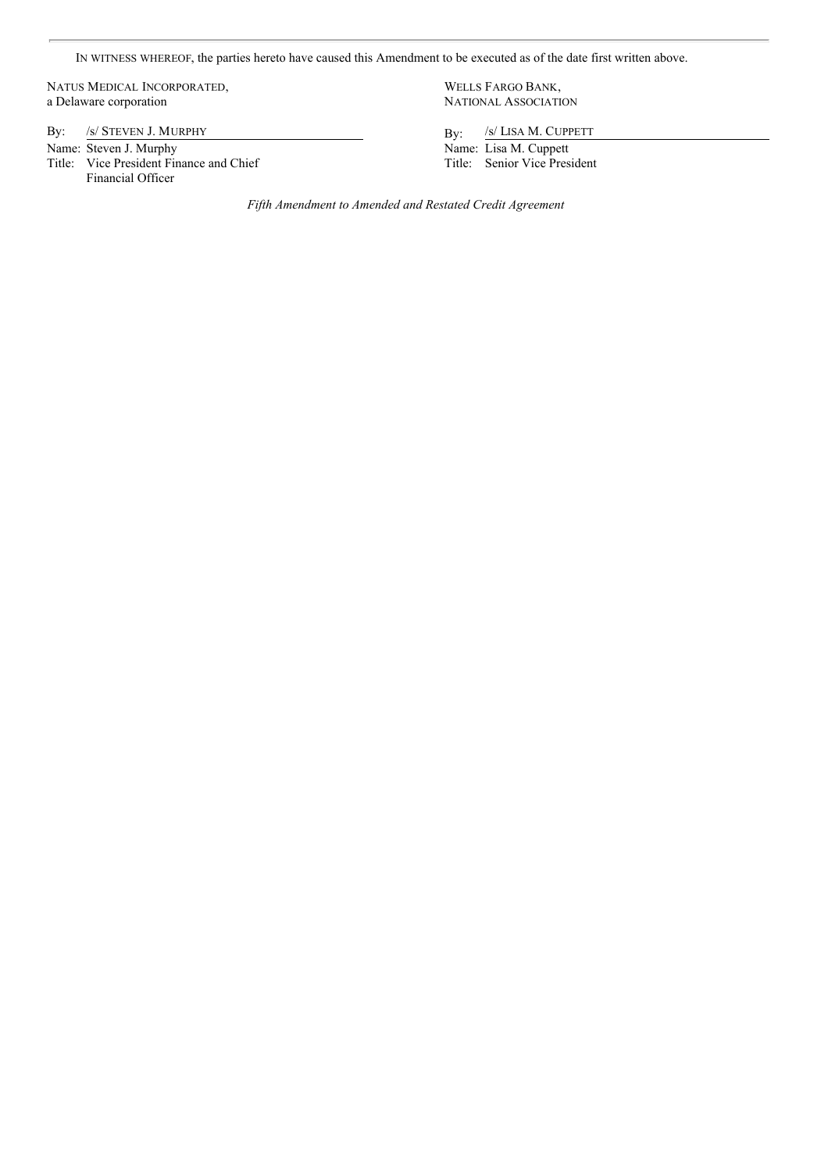IN WITNESS WHEREOF, the parties hereto have caused this Amendment to be executed as of the date first written above.

NATUS MEDICAL INCORPORATED, WELLS FARGO BANK, a Delaware corporation WELLS FARGO BANK, NATIONAL ASSOCIATI

By: /s/ STEVEN J. MURPHY By: /s/ Steven J. Murphy By: // Name: Steven J. Murphy

Title: Vice President Finance and Chief Financial Officer

NATIONAL ASSOCIATION

/s/ LISA M. CUPPETT

Name: Lisa M. Cuppett Title: Senior Vice President

*Fifth Amendment to Amended and Restated Credit Agreement*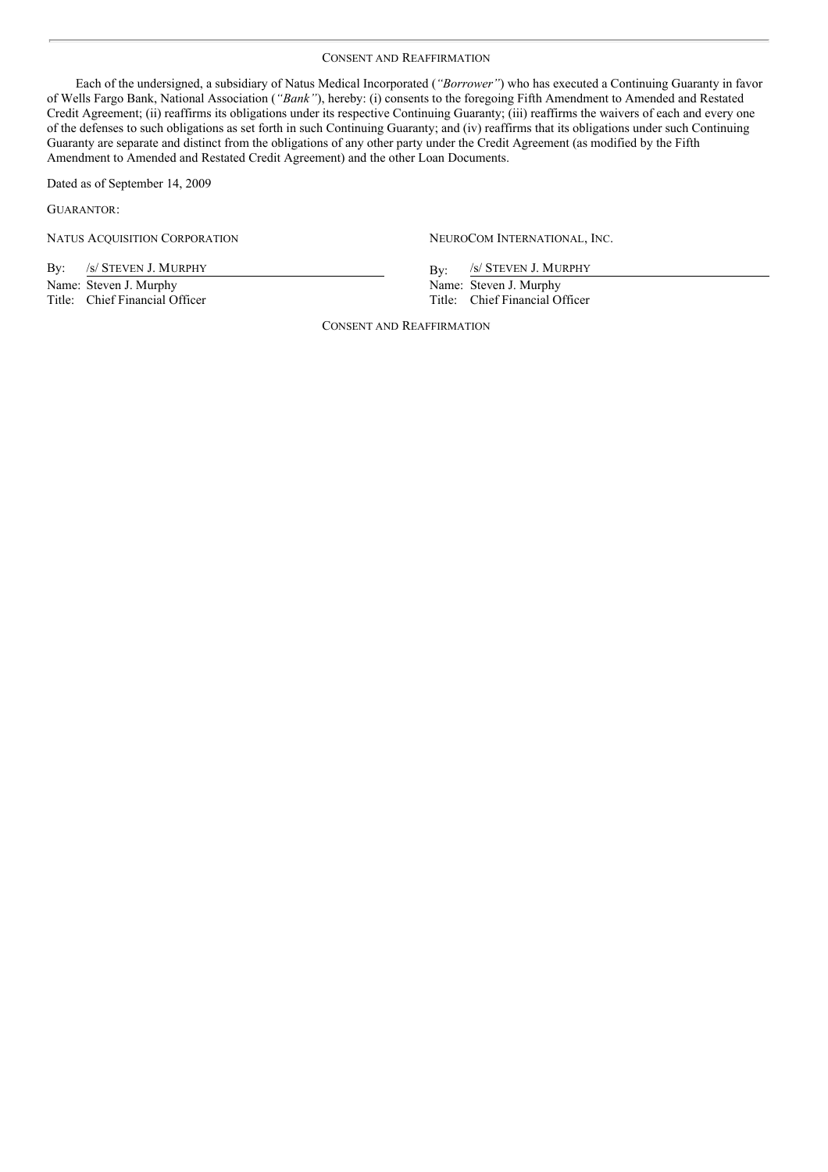#### CONSENT AND REAFFIRMATION

Each of the undersigned, a subsidiary of Natus Medical Incorporated (*"Borrower"*) who has executed a Continuing Guaranty in favor of Wells Fargo Bank, National Association (*"Bank"*), hereby: (i) consents to the foregoing Fifth Amendment to Amended and Restated Credit Agreement; (ii) reaffirms its obligations under its respective Continuing Guaranty; (iii) reaffirms the waivers of each and every one of the defenses to such obligations as set forth in such Continuing Guaranty; and (iv) reaffirms that its obligations under such Continuing Guaranty are separate and distinct from the obligations of any other party under the Credit Agreement (as modified by the Fifth Amendment to Amended and Restated Credit Agreement) and the other Loan Documents.

Dated as of September 14, 2009

GUARANTOR:

NATUS ACOUISITION CORPORATION NEUROCOM INTERNATIONAL, INC.

By:  $\frac{S}{S}$  STEVEN J. MURPHY By: By: By: Name: Steven J. Murphy Title: Chief Financial Officer Title: Chief Financial Officer Title: Chief Financial Officer

/s/ STEVEN J. MURPHY Name: Steven J. Murphy

CONSENT AND REAFFIRMATION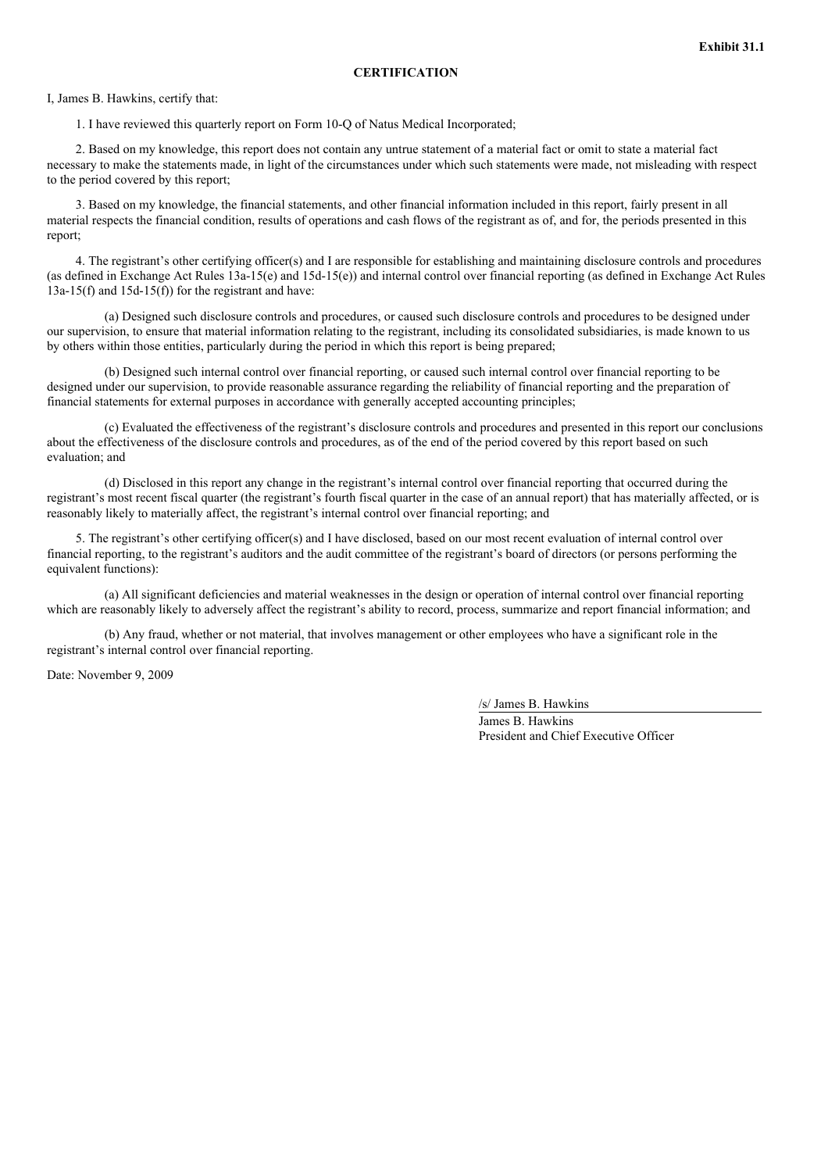# **CERTIFICATION**

# I, James B. Hawkins, certify that:

1. I have reviewed this quarterly report on Form 10-Q of Natus Medical Incorporated;

2. Based on my knowledge, this report does not contain any untrue statement of a material fact or omit to state a material fact necessary to make the statements made, in light of the circumstances under which such statements were made, not misleading with respect to the period covered by this report;

3. Based on my knowledge, the financial statements, and other financial information included in this report, fairly present in all material respects the financial condition, results of operations and cash flows of the registrant as of, and for, the periods presented in this report;

4. The registrant's other certifying officer(s) and I are responsible for establishing and maintaining disclosure controls and procedures (as defined in Exchange Act Rules 13a-15(e) and 15d-15(e)) and internal control over financial reporting (as defined in Exchange Act Rules 13a-15(f) and 15d-15(f)) for the registrant and have:

(a) Designed such disclosure controls and procedures, or caused such disclosure controls and procedures to be designed under our supervision, to ensure that material information relating to the registrant, including its consolidated subsidiaries, is made known to us by others within those entities, particularly during the period in which this report is being prepared;

(b) Designed such internal control over financial reporting, or caused such internal control over financial reporting to be designed under our supervision, to provide reasonable assurance regarding the reliability of financial reporting and the preparation of financial statements for external purposes in accordance with generally accepted accounting principles;

(c) Evaluated the effectiveness of the registrant's disclosure controls and procedures and presented in this report our conclusions about the effectiveness of the disclosure controls and procedures, as of the end of the period covered by this report based on such evaluation; and

(d) Disclosed in this report any change in the registrant's internal control over financial reporting that occurred during the registrant's most recent fiscal quarter (the registrant's fourth fiscal quarter in the case of an annual report) that has materially affected, or is reasonably likely to materially affect, the registrant's internal control over financial reporting; and

5. The registrant's other certifying officer(s) and I have disclosed, based on our most recent evaluation of internal control over financial reporting, to the registrant's auditors and the audit committee of the registrant's board of directors (or persons performing the equivalent functions):

(a) All significant deficiencies and material weaknesses in the design or operation of internal control over financial reporting which are reasonably likely to adversely affect the registrant's ability to record, process, summarize and report financial information; and

(b) Any fraud, whether or not material, that involves management or other employees who have a significant role in the registrant's internal control over financial reporting.

Date: November 9, 2009

/s/ James B. Hawkins James B. Hawkins President and Chief Executive Officer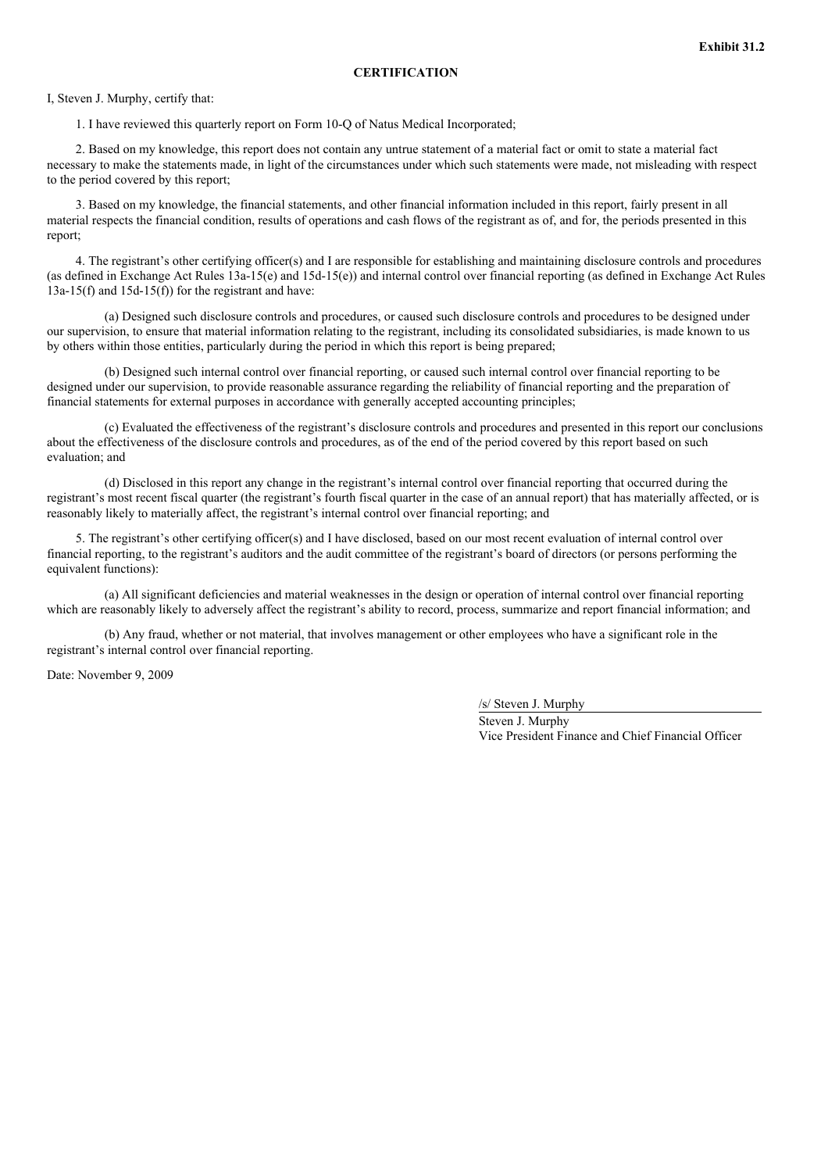# **CERTIFICATION**

# I, Steven J. Murphy, certify that:

1. I have reviewed this quarterly report on Form 10-Q of Natus Medical Incorporated;

2. Based on my knowledge, this report does not contain any untrue statement of a material fact or omit to state a material fact necessary to make the statements made, in light of the circumstances under which such statements were made, not misleading with respect to the period covered by this report;

3. Based on my knowledge, the financial statements, and other financial information included in this report, fairly present in all material respects the financial condition, results of operations and cash flows of the registrant as of, and for, the periods presented in this report;

4. The registrant's other certifying officer(s) and I are responsible for establishing and maintaining disclosure controls and procedures (as defined in Exchange Act Rules 13a-15(e) and 15d-15(e)) and internal control over financial reporting (as defined in Exchange Act Rules 13a-15(f) and 15d-15(f)) for the registrant and have:

(a) Designed such disclosure controls and procedures, or caused such disclosure controls and procedures to be designed under our supervision, to ensure that material information relating to the registrant, including its consolidated subsidiaries, is made known to us by others within those entities, particularly during the period in which this report is being prepared;

(b) Designed such internal control over financial reporting, or caused such internal control over financial reporting to be designed under our supervision, to provide reasonable assurance regarding the reliability of financial reporting and the preparation of financial statements for external purposes in accordance with generally accepted accounting principles;

(c) Evaluated the effectiveness of the registrant's disclosure controls and procedures and presented in this report our conclusions about the effectiveness of the disclosure controls and procedures, as of the end of the period covered by this report based on such evaluation; and

(d) Disclosed in this report any change in the registrant's internal control over financial reporting that occurred during the registrant's most recent fiscal quarter (the registrant's fourth fiscal quarter in the case of an annual report) that has materially affected, or is reasonably likely to materially affect, the registrant's internal control over financial reporting; and

5. The registrant's other certifying officer(s) and I have disclosed, based on our most recent evaluation of internal control over financial reporting, to the registrant's auditors and the audit committee of the registrant's board of directors (or persons performing the equivalent functions):

(a) All significant deficiencies and material weaknesses in the design or operation of internal control over financial reporting which are reasonably likely to adversely affect the registrant's ability to record, process, summarize and report financial information; and

(b) Any fraud, whether or not material, that involves management or other employees who have a significant role in the registrant's internal control over financial reporting.

Date: November 9, 2009

/s/ Steven J. Murphy

Steven J. Murphy Vice President Finance and Chief Financial Officer